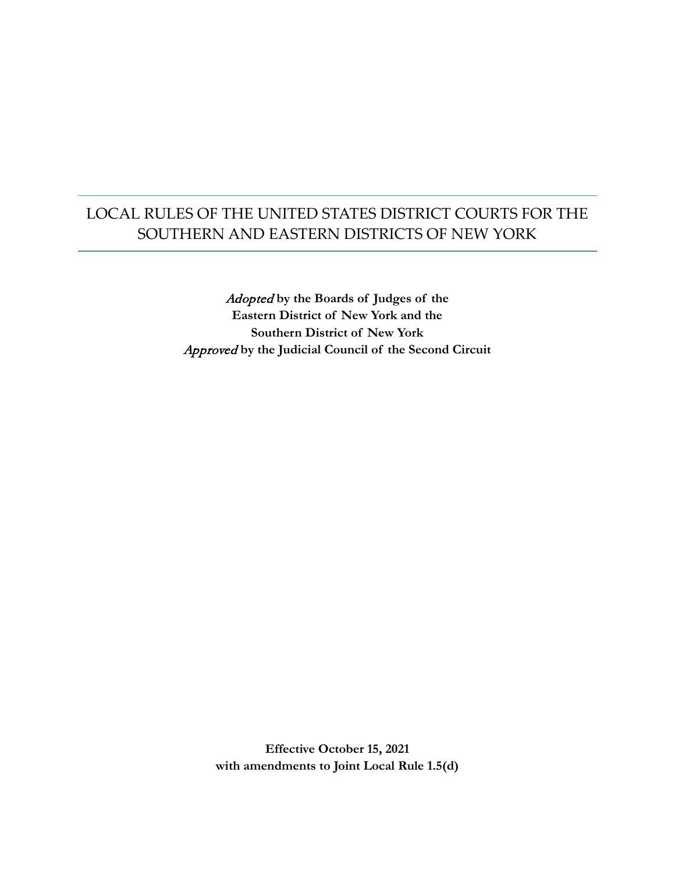# LOCAL RULES OF THE UNITED STATES DISTRICT COURTS FOR THE SOUTHERN AND EASTERN DISTRICTS OF NEW YORK

Adopted **by the Boards of Judges of the Eastern District of New York and the Southern District of New York** Approved **by the Judicial Council of the Second Circuit**

> **Effective October 15, 2021 with amendments to Joint Local Rule 1.5(d)**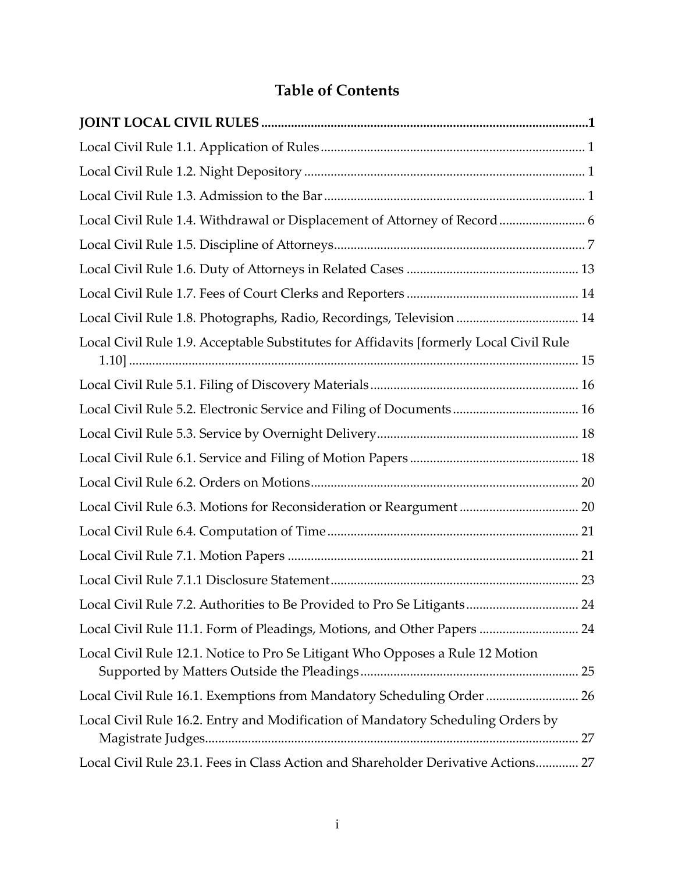# **Table of Contents**

| Local Civil Rule 1.4. Withdrawal or Displacement of Attorney of Record 6               |
|----------------------------------------------------------------------------------------|
|                                                                                        |
|                                                                                        |
|                                                                                        |
| Local Civil Rule 1.8. Photographs, Radio, Recordings, Television  14                   |
| Local Civil Rule 1.9. Acceptable Substitutes for Affidavits [formerly Local Civil Rule |
|                                                                                        |
| Local Civil Rule 5.2. Electronic Service and Filing of Documents  16                   |
|                                                                                        |
|                                                                                        |
|                                                                                        |
| Local Civil Rule 6.3. Motions for Reconsideration or Reargument  20                    |
|                                                                                        |
|                                                                                        |
| 23                                                                                     |
| Local Civil Rule 7.2. Authorities to Be Provided to Pro Se Litigants 24                |
| Local Civil Rule 11.1. Form of Pleadings, Motions, and Other Papers  24                |
| Local Civil Rule 12.1. Notice to Pro Se Litigant Who Opposes a Rule 12 Motion          |
| Local Civil Rule 16.1. Exemptions from Mandatory Scheduling Order  26                  |
| Local Civil Rule 16.2. Entry and Modification of Mandatory Scheduling Orders by        |
| Local Civil Rule 23.1. Fees in Class Action and Shareholder Derivative Actions 27      |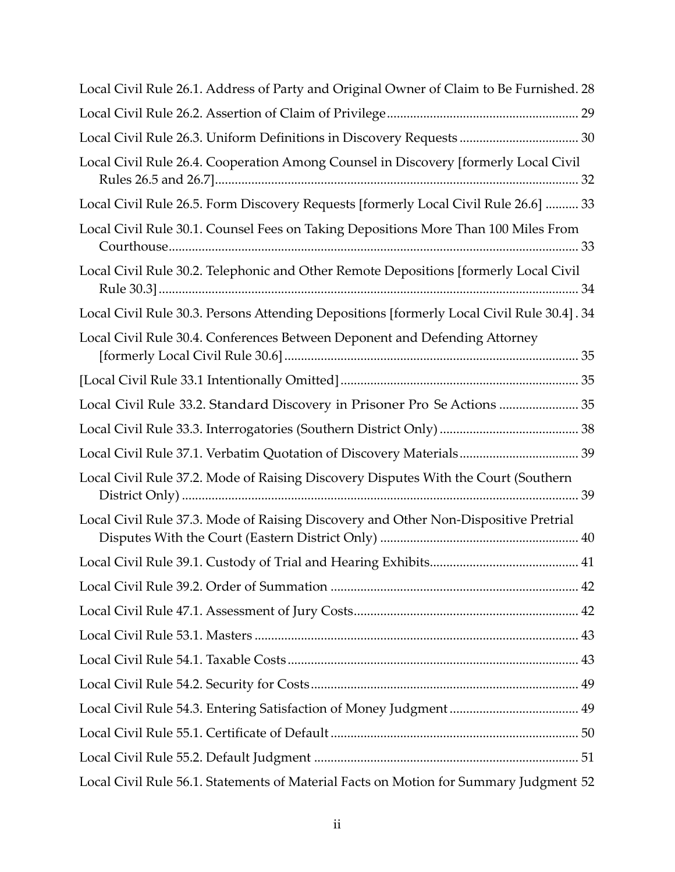| Local Civil Rule 26.1. Address of Party and Original Owner of Claim to Be Furnished. 28   |
|-------------------------------------------------------------------------------------------|
|                                                                                           |
|                                                                                           |
| Local Civil Rule 26.4. Cooperation Among Counsel in Discovery [formerly Local Civil       |
| Local Civil Rule 26.5. Form Discovery Requests [formerly Local Civil Rule 26.6]  33       |
| Local Civil Rule 30.1. Counsel Fees on Taking Depositions More Than 100 Miles From        |
| Local Civil Rule 30.2. Telephonic and Other Remote Depositions [formerly Local Civil      |
| Local Civil Rule 30.3. Persons Attending Depositions [formerly Local Civil Rule 30.4]. 34 |
| Local Civil Rule 30.4. Conferences Between Deponent and Defending Attorney                |
|                                                                                           |
| Local Civil Rule 33.2. Standard Discovery in Prisoner Pro Se Actions  35                  |
|                                                                                           |
| Local Civil Rule 37.1. Verbatim Quotation of Discovery Materials 39                       |
| Local Civil Rule 37.2. Mode of Raising Discovery Disputes With the Court (Southern        |
| Local Civil Rule 37.3. Mode of Raising Discovery and Other Non-Dispositive Pretrial       |
|                                                                                           |
|                                                                                           |
|                                                                                           |
|                                                                                           |
|                                                                                           |
|                                                                                           |
|                                                                                           |
|                                                                                           |
|                                                                                           |
| Local Civil Rule 56.1. Statements of Material Facts on Motion for Summary Judgment 52     |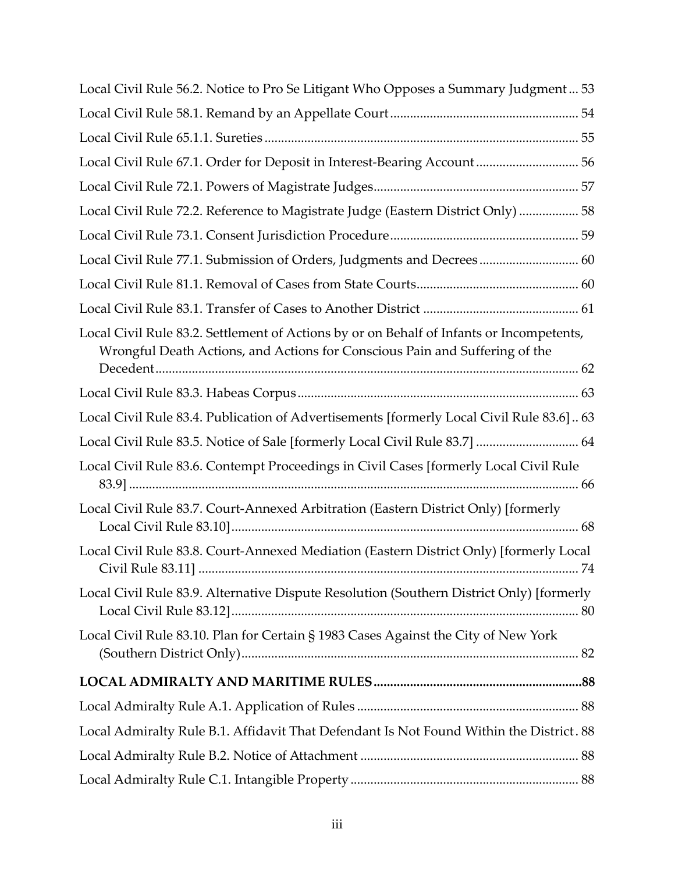| Local Civil Rule 56.2. Notice to Pro Se Litigant Who Opposes a Summary Judgment 53                                                                                      |
|-------------------------------------------------------------------------------------------------------------------------------------------------------------------------|
|                                                                                                                                                                         |
|                                                                                                                                                                         |
| Local Civil Rule 67.1. Order for Deposit in Interest-Bearing Account 56                                                                                                 |
|                                                                                                                                                                         |
| Local Civil Rule 72.2. Reference to Magistrate Judge (Eastern District Only)  58                                                                                        |
|                                                                                                                                                                         |
| Local Civil Rule 77.1. Submission of Orders, Judgments and Decrees 60                                                                                                   |
|                                                                                                                                                                         |
|                                                                                                                                                                         |
| Local Civil Rule 83.2. Settlement of Actions by or on Behalf of Infants or Incompetents,<br>Wrongful Death Actions, and Actions for Conscious Pain and Suffering of the |
|                                                                                                                                                                         |
| Local Civil Rule 83.4. Publication of Advertisements [formerly Local Civil Rule 83.6] 63                                                                                |
|                                                                                                                                                                         |
| Local Civil Rule 83.6. Contempt Proceedings in Civil Cases [formerly Local Civil Rule                                                                                   |
| Local Civil Rule 83.7. Court-Annexed Arbitration (Eastern District Only) [formerly                                                                                      |
| Local Civil Rule 83.8. Court-Annexed Mediation (Eastern District Only) [formerly Local                                                                                  |
| Local Civil Rule 83.9. Alternative Dispute Resolution (Southern District Only) [formerly                                                                                |
| Local Civil Rule 83.10. Plan for Certain § 1983 Cases Against the City of New York                                                                                      |
|                                                                                                                                                                         |
|                                                                                                                                                                         |
| Local Admiralty Rule B.1. Affidavit That Defendant Is Not Found Within the District. 88                                                                                 |
|                                                                                                                                                                         |
|                                                                                                                                                                         |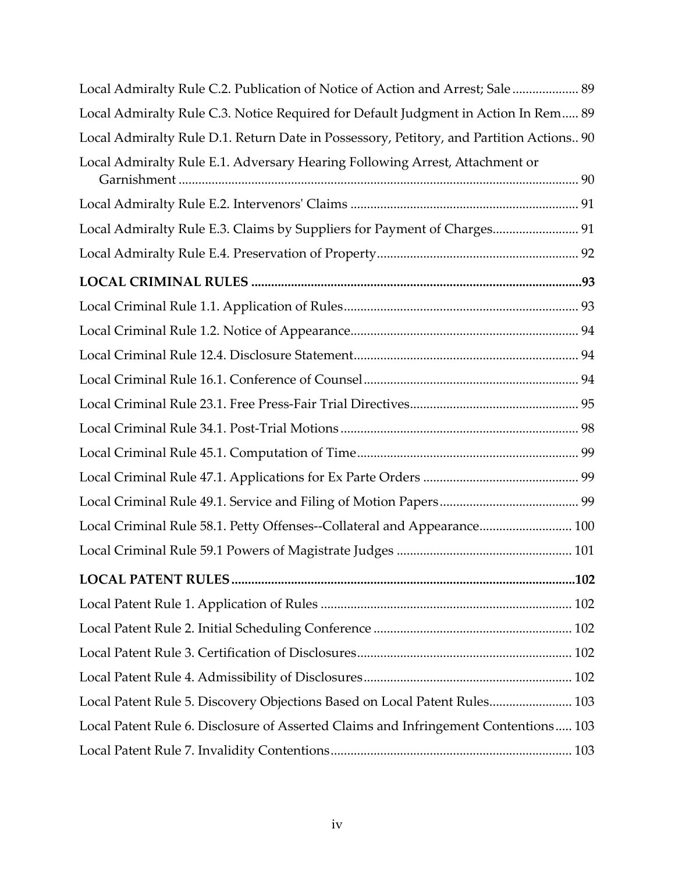| Local Admiralty Rule C.2. Publication of Notice of Action and Arrest; Sale  89          |  |
|-----------------------------------------------------------------------------------------|--|
| Local Admiralty Rule C.3. Notice Required for Default Judgment in Action In Rem 89      |  |
| Local Admiralty Rule D.1. Return Date in Possessory, Petitory, and Partition Actions 90 |  |
| Local Admiralty Rule E.1. Adversary Hearing Following Arrest, Attachment or             |  |
|                                                                                         |  |
| Local Admiralty Rule E.3. Claims by Suppliers for Payment of Charges 91                 |  |
|                                                                                         |  |
|                                                                                         |  |
|                                                                                         |  |
|                                                                                         |  |
|                                                                                         |  |
|                                                                                         |  |
|                                                                                         |  |
|                                                                                         |  |
|                                                                                         |  |
|                                                                                         |  |
|                                                                                         |  |
| Local Criminal Rule 58.1. Petty Offenses--Collateral and Appearance 100                 |  |
|                                                                                         |  |
|                                                                                         |  |
|                                                                                         |  |
|                                                                                         |  |
|                                                                                         |  |
|                                                                                         |  |
| Local Patent Rule 5. Discovery Objections Based on Local Patent Rules 103               |  |
| Local Patent Rule 6. Disclosure of Asserted Claims and Infringement Contentions 103     |  |
|                                                                                         |  |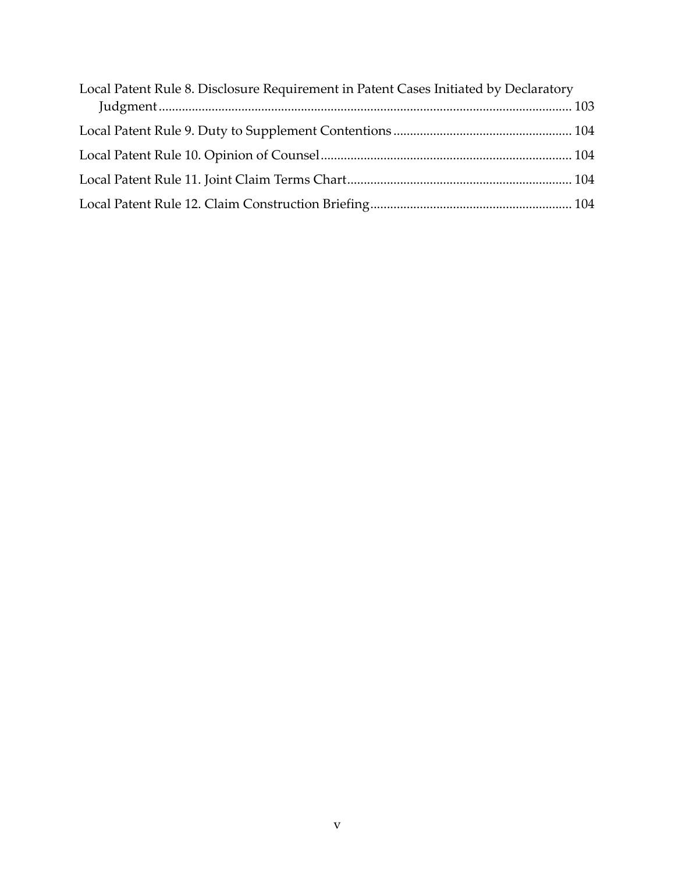| Local Patent Rule 8. Disclosure Requirement in Patent Cases Initiated by Declaratory |  |
|--------------------------------------------------------------------------------------|--|
|                                                                                      |  |
|                                                                                      |  |
|                                                                                      |  |
|                                                                                      |  |
|                                                                                      |  |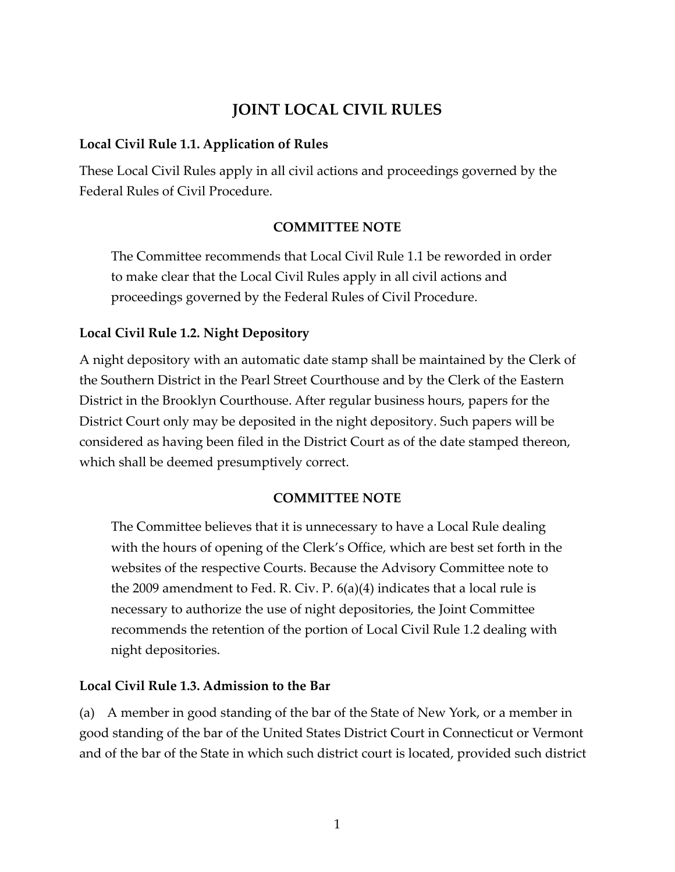## **JOINT LOCAL CIVIL RULES**

## <span id="page-6-1"></span><span id="page-6-0"></span>**Local Civil Rule 1.1. Application of Rules**

These Local Civil Rules apply in all civil actions and proceedings governed by the Federal Rules of Civil Procedure.

## **COMMITTEE NOTE**

The Committee recommends that Local Civil Rule 1.1 be reworded in order to make clear that the Local Civil Rules apply in all civil actions and proceedings governed by the Federal Rules of Civil Procedure.

## <span id="page-6-2"></span>**Local Civil Rule 1.2. Night Depository**

A night depository with an automatic date stamp shall be maintained by the Clerk of the Southern District in the Pearl Street Courthouse and by the Clerk of the Eastern District in the Brooklyn Courthouse. After regular business hours, papers for the District Court only may be deposited in the night depository. Such papers will be considered as having been filed in the District Court as of the date stamped thereon, which shall be deemed presumptively correct.

#### **COMMITTEE NOTE**

The Committee believes that it is unnecessary to have a Local Rule dealing with the hours of opening of the Clerk's Office, which are best set forth in the websites of the respective Courts. Because the Advisory Committee note to the 2009 amendment to Fed. R. Civ. P. 6(a)(4) indicates that a local rule is necessary to authorize the use of night depositories, the Joint Committee recommends the retention of the portion of Local Civil Rule 1.2 dealing with night depositories.

## <span id="page-6-3"></span>**Local Civil Rule 1.3. Admission to the Bar**

(a) A member in good standing of the bar of the State of New York, or a member in good standing of the bar of the United States District Court in Connecticut or Vermont and of the bar of the State in which such district court is located, provided such district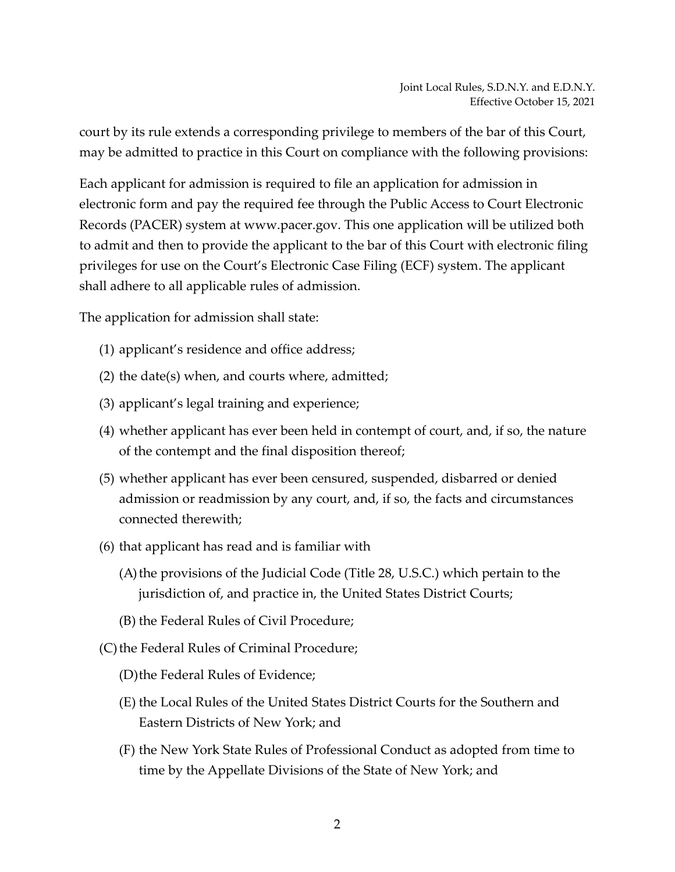court by its rule extends a corresponding privilege to members of the bar of this Court, may be admitted to practice in this Court on compliance with the following provisions:

Each applicant for admission is required to file an application for admission in electronic form and pay the required fee through the Public Access to Court Electronic Records (PACER) system at www.pacer.gov. This one application will be utilized both to admit and then to provide the applicant to the bar of this Court with electronic filing privileges for use on the Court's Electronic Case Filing (ECF) system. The applicant shall adhere to all applicable rules of admission.

The application for admission shall state:

- (1) applicant's residence and office address;
- (2) the date(s) when, and courts where, admitted;
- (3) applicant's legal training and experience;
- (4) whether applicant has ever been held in contempt of court, and, if so, the nature of the contempt and the final disposition thereof;
- (5) whether applicant has ever been censured, suspended, disbarred or denied admission or readmission by any court, and, if so, the facts and circumstances connected therewith;
- (6) that applicant has read and is familiar with
	- (A) the provisions of the Judicial Code (Title 28, U.S.C.) which pertain to the jurisdiction of, and practice in, the United States District Courts;
	- (B) the Federal Rules of Civil Procedure;
- (C)the Federal Rules of Criminal Procedure;
	- (D)the Federal Rules of Evidence;
	- (E) the Local Rules of the United States District Courts for the Southern and Eastern Districts of New York; and
	- (F) the New York State Rules of Professional Conduct as adopted from time to time by the Appellate Divisions of the State of New York; and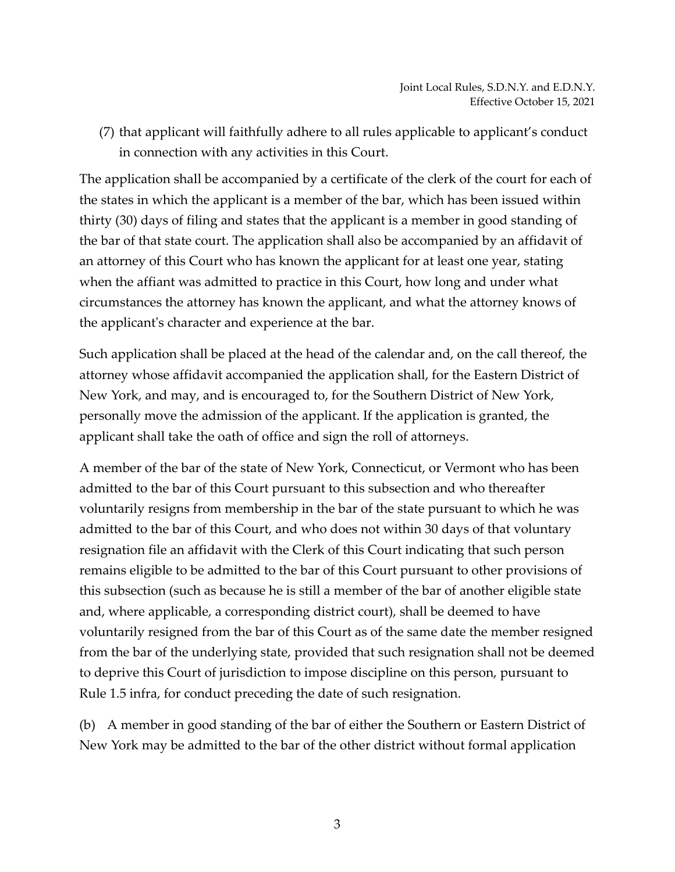(7) that applicant will faithfully adhere to all rules applicable to applicant's conduct in connection with any activities in this Court.

The application shall be accompanied by a certificate of the clerk of the court for each of the states in which the applicant is a member of the bar, which has been issued within thirty (30) days of filing and states that the applicant is a member in good standing of the bar of that state court. The application shall also be accompanied by an affidavit of an attorney of this Court who has known the applicant for at least one year, stating when the affiant was admitted to practice in this Court, how long and under what circumstances the attorney has known the applicant, and what the attorney knows of the applicant's character and experience at the bar.

Such application shall be placed at the head of the calendar and, on the call thereof, the attorney whose affidavit accompanied the application shall, for the Eastern District of New York, and may, and is encouraged to, for the Southern District of New York, personally move the admission of the applicant. If the application is granted, the applicant shall take the oath of office and sign the roll of attorneys.

A member of the bar of the state of New York, Connecticut, or Vermont who has been admitted to the bar of this Court pursuant to this subsection and who thereafter voluntarily resigns from membership in the bar of the state pursuant to which he was admitted to the bar of this Court, and who does not within 30 days of that voluntary resignation file an affidavit with the Clerk of this Court indicating that such person remains eligible to be admitted to the bar of this Court pursuant to other provisions of this subsection (such as because he is still a member of the bar of another eligible state and, where applicable, a corresponding district court), shall be deemed to have voluntarily resigned from the bar of this Court as of the same date the member resigned from the bar of the underlying state, provided that such resignation shall not be deemed to deprive this Court of jurisdiction to impose discipline on this person, pursuant to Rule 1.5 infra, for conduct preceding the date of such resignation.

(b) A member in good standing of the bar of either the Southern or Eastern District of New York may be admitted to the bar of the other district without formal application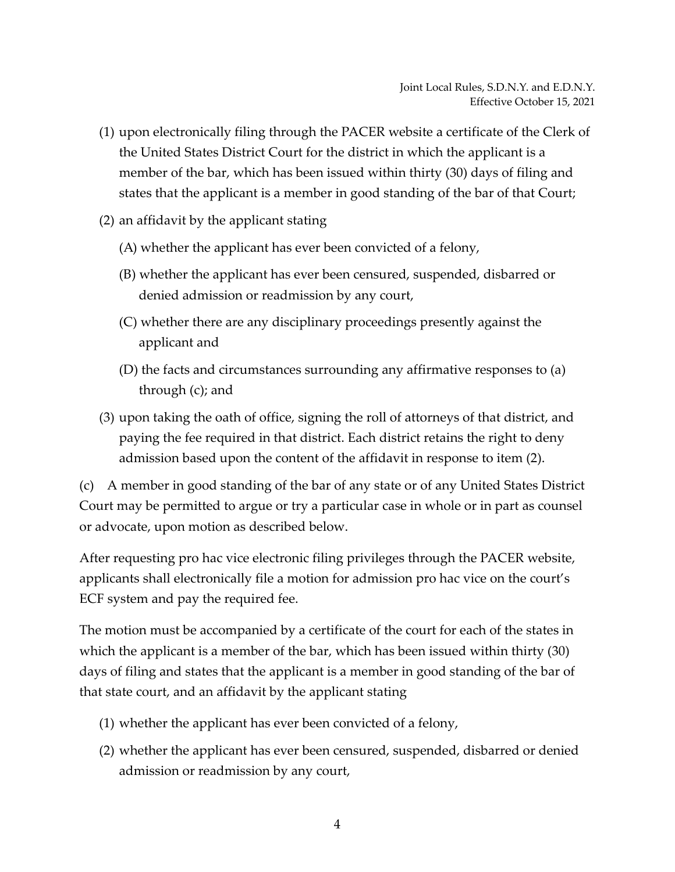- (1) upon electronically filing through the PACER website a certificate of the Clerk of the United States District Court for the district in which the applicant is a member of the bar, which has been issued within thirty (30) days of filing and states that the applicant is a member in good standing of the bar of that Court;
- (2) an affidavit by the applicant stating
	- (A) whether the applicant has ever been convicted of a felony,
	- (B) whether the applicant has ever been censured, suspended, disbarred or denied admission or readmission by any court,
	- (C) whether there are any disciplinary proceedings presently against the applicant and
	- (D) the facts and circumstances surrounding any affirmative responses to (a) through (c); and
- (3) upon taking the oath of office, signing the roll of attorneys of that district, and paying the fee required in that district. Each district retains the right to deny admission based upon the content of the affidavit in response to item (2).

(c) A member in good standing of the bar of any state or of any United States District Court may be permitted to argue or try a particular case in whole or in part as counsel or advocate, upon motion as described below.

After requesting pro hac vice electronic filing privileges through the PACER website, applicants shall electronically file a motion for admission pro hac vice on the court's ECF system and pay the required fee.

The motion must be accompanied by a certificate of the court for each of the states in which the applicant is a member of the bar, which has been issued within thirty (30) days of filing and states that the applicant is a member in good standing of the bar of that state court, and an affidavit by the applicant stating

- (1) whether the applicant has ever been convicted of a felony,
- (2) whether the applicant has ever been censured, suspended, disbarred or denied admission or readmission by any court,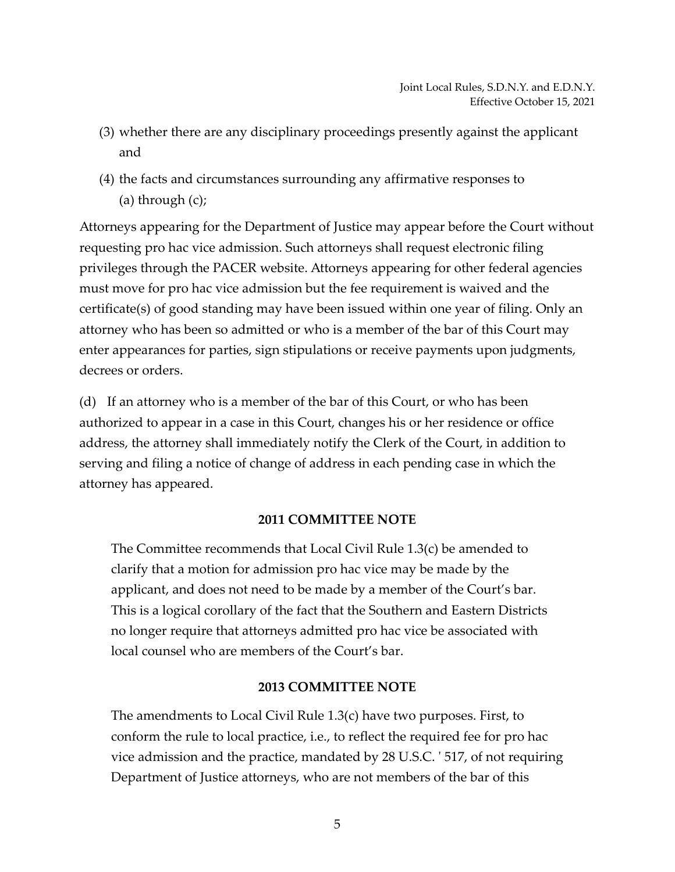- (3) whether there are any disciplinary proceedings presently against the applicant and
- (4) the facts and circumstances surrounding any affirmative responses to (a) through (c);

Attorneys appearing for the Department of Justice may appear before the Court without requesting pro hac vice admission. Such attorneys shall request electronic filing privileges through the PACER website. Attorneys appearing for other federal agencies must move for pro hac vice admission but the fee requirement is waived and the certificate(s) of good standing may have been issued within one year of filing. Only an attorney who has been so admitted or who is a member of the bar of this Court may enter appearances for parties, sign stipulations or receive payments upon judgments, decrees or orders.

(d) If an attorney who is a member of the bar of this Court, or who has been authorized to appear in a case in this Court, changes his or her residence or office address, the attorney shall immediately notify the Clerk of the Court, in addition to serving and filing a notice of change of address in each pending case in which the attorney has appeared.

## **2011 COMMITTEE NOTE**

The Committee recommends that Local Civil Rule 1.3(c) be amended to clarify that a motion for admission pro hac vice may be made by the applicant, and does not need to be made by a member of the Court's bar. This is a logical corollary of the fact that the Southern and Eastern Districts no longer require that attorneys admitted pro hac vice be associated with local counsel who are members of the Court's bar.

#### **2013 COMMITTEE NOTE**

The amendments to Local Civil Rule 1.3(c) have two purposes. First, to conform the rule to local practice, i.e., to reflect the required fee for pro hac vice admission and the practice, mandated by 28 U.S.C. ' 517, of not requiring Department of Justice attorneys, who are not members of the bar of this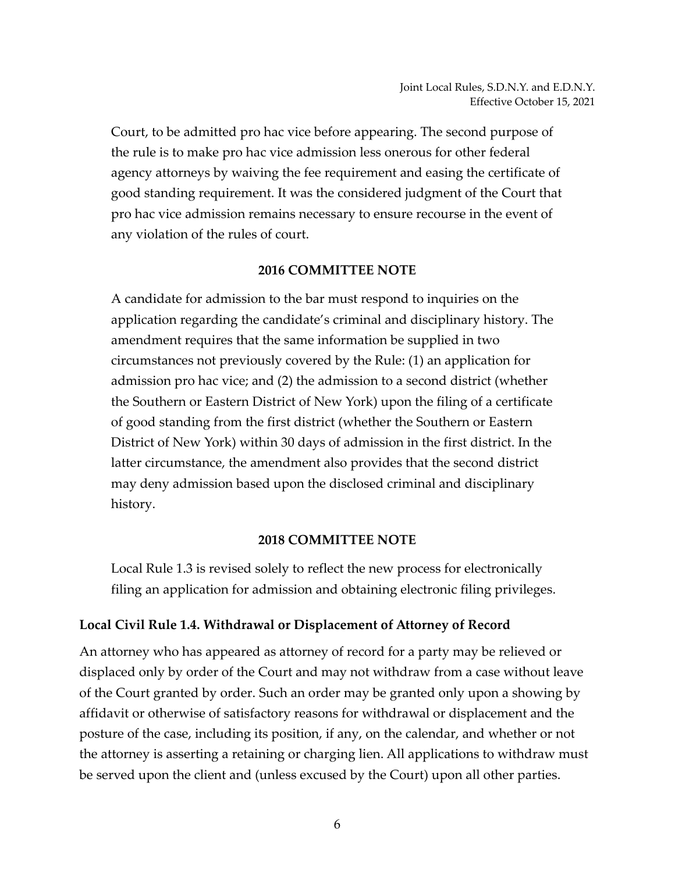Court, to be admitted pro hac vice before appearing. The second purpose of the rule is to make pro hac vice admission less onerous for other federal agency attorneys by waiving the fee requirement and easing the certificate of good standing requirement. It was the considered judgment of the Court that pro hac vice admission remains necessary to ensure recourse in the event of any violation of the rules of court.

#### **2016 COMMITTEE NOTE**

A candidate for admission to the bar must respond to inquiries on the application regarding the candidate's criminal and disciplinary history. The amendment requires that the same information be supplied in two circumstances not previously covered by the Rule: (1) an application for admission pro hac vice; and (2) the admission to a second district (whether the Southern or Eastern District of New York) upon the filing of a certificate of good standing from the first district (whether the Southern or Eastern District of New York) within 30 days of admission in the first district. In the latter circumstance, the amendment also provides that the second district may deny admission based upon the disclosed criminal and disciplinary history.

#### **2018 COMMITTEE NOTE**

Local Rule 1.3 is revised solely to reflect the new process for electronically filing an application for admission and obtaining electronic filing privileges.

#### <span id="page-11-0"></span>**Local Civil Rule 1.4. Withdrawal or Displacement of Attorney of Record**

An attorney who has appeared as attorney of record for a party may be relieved or displaced only by order of the Court and may not withdraw from a case without leave of the Court granted by order. Such an order may be granted only upon a showing by affidavit or otherwise of satisfactory reasons for withdrawal or displacement and the posture of the case, including its position, if any, on the calendar, and whether or not the attorney is asserting a retaining or charging lien. All applications to withdraw must be served upon the client and (unless excused by the Court) upon all other parties.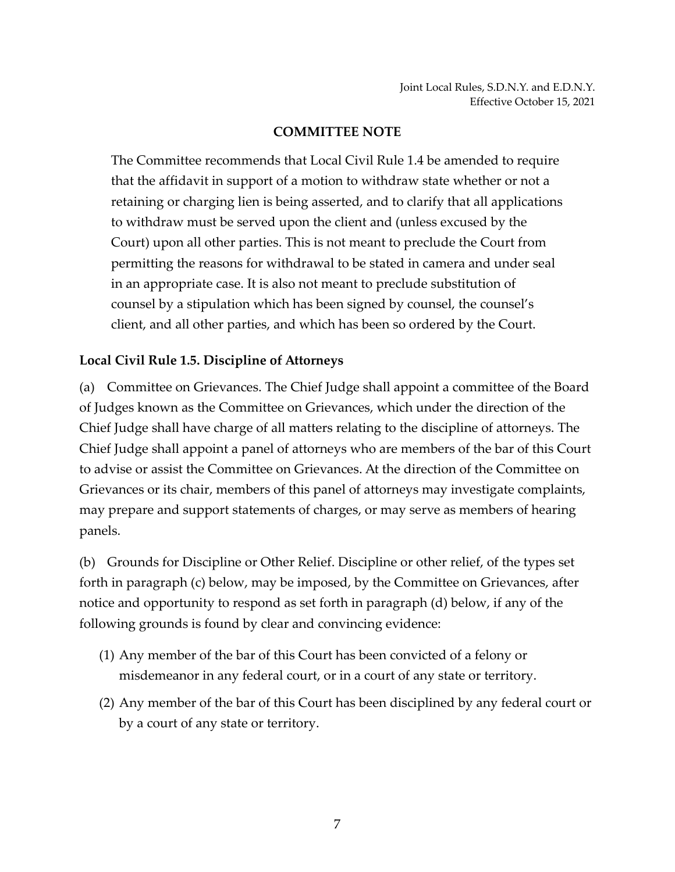The Committee recommends that Local Civil Rule 1.4 be amended to require that the affidavit in support of a motion to withdraw state whether or not a retaining or charging lien is being asserted, and to clarify that all applications to withdraw must be served upon the client and (unless excused by the Court) upon all other parties. This is not meant to preclude the Court from permitting the reasons for withdrawal to be stated in camera and under seal in an appropriate case. It is also not meant to preclude substitution of counsel by a stipulation which has been signed by counsel, the counsel's client, and all other parties, and which has been so ordered by the Court.

## <span id="page-12-0"></span>**Local Civil Rule 1.5. Discipline of Attorneys**

(a) Committee on Grievances. The Chief Judge shall appoint a committee of the Board of Judges known as the Committee on Grievances, which under the direction of the Chief Judge shall have charge of all matters relating to the discipline of attorneys. The Chief Judge shall appoint a panel of attorneys who are members of the bar of this Court to advise or assist the Committee on Grievances. At the direction of the Committee on Grievances or its chair, members of this panel of attorneys may investigate complaints, may prepare and support statements of charges, or may serve as members of hearing panels.

(b) Grounds for Discipline or Other Relief. Discipline or other relief, of the types set forth in paragraph (c) below, may be imposed, by the Committee on Grievances, after notice and opportunity to respond as set forth in paragraph (d) below, if any of the following grounds is found by clear and convincing evidence:

- (1) Any member of the bar of this Court has been convicted of a felony or misdemeanor in any federal court, or in a court of any state or territory.
- (2) Any member of the bar of this Court has been disciplined by any federal court or by a court of any state or territory.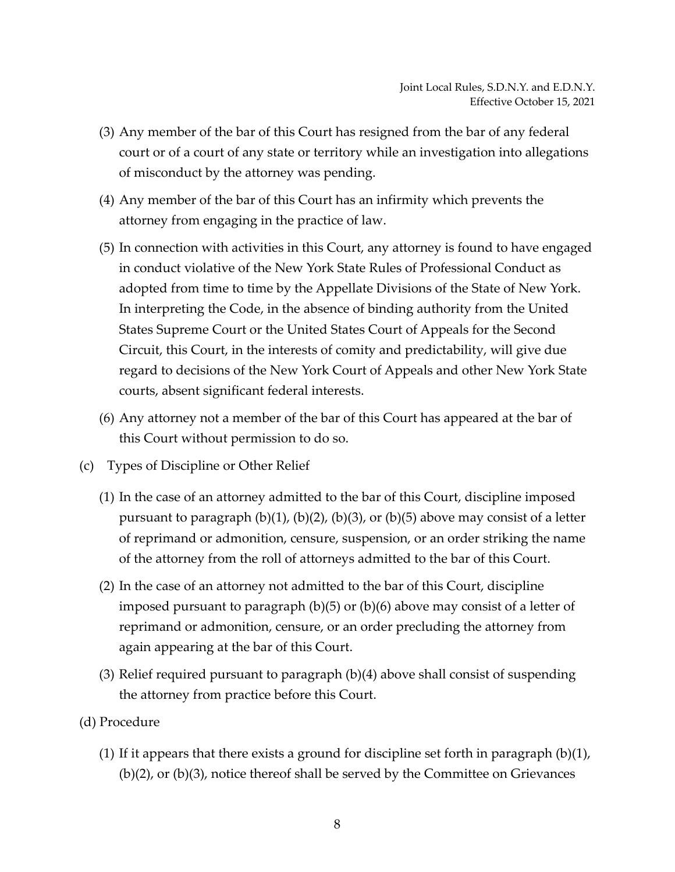- (3) Any member of the bar of this Court has resigned from the bar of any federal court or of a court of any state or territory while an investigation into allegations of misconduct by the attorney was pending.
- (4) Any member of the bar of this Court has an infirmity which prevents the attorney from engaging in the practice of law.
- (5) In connection with activities in this Court, any attorney is found to have engaged in conduct violative of the New York State Rules of Professional Conduct as adopted from time to time by the Appellate Divisions of the State of New York. In interpreting the Code, in the absence of binding authority from the United States Supreme Court or the United States Court of Appeals for the Second Circuit, this Court, in the interests of comity and predictability, will give due regard to decisions of the New York Court of Appeals and other New York State courts, absent significant federal interests.
- (6) Any attorney not a member of the bar of this Court has appeared at the bar of this Court without permission to do so.
- (c) Types of Discipline or Other Relief
	- (1) In the case of an attorney admitted to the bar of this Court, discipline imposed pursuant to paragraph  $(b)(1)$ ,  $(b)(2)$ ,  $(b)(3)$ , or  $(b)(5)$  above may consist of a letter of reprimand or admonition, censure, suspension, or an order striking the name of the attorney from the roll of attorneys admitted to the bar of this Court.
	- (2) In the case of an attorney not admitted to the bar of this Court, discipline imposed pursuant to paragraph  $(b)(5)$  or  $(b)(6)$  above may consist of a letter of reprimand or admonition, censure, or an order precluding the attorney from again appearing at the bar of this Court.
	- (3) Relief required pursuant to paragraph (b)(4) above shall consist of suspending the attorney from practice before this Court.
- (d) Procedure
	- (1) If it appears that there exists a ground for discipline set forth in paragraph  $(b)(1)$ , (b)(2), or (b)(3), notice thereof shall be served by the Committee on Grievances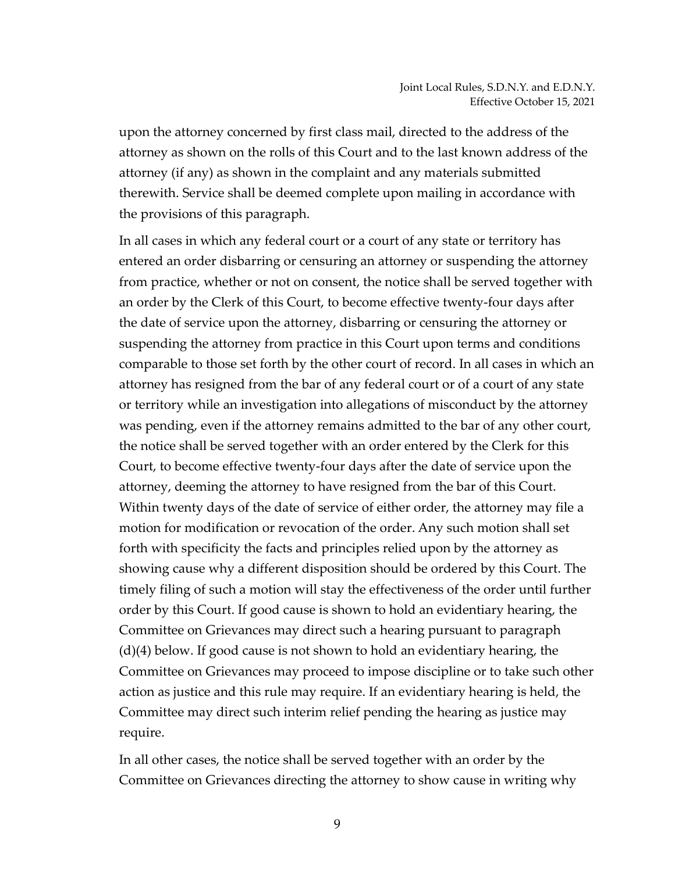upon the attorney concerned by first class mail, directed to the address of the attorney as shown on the rolls of this Court and to the last known address of the attorney (if any) as shown in the complaint and any materials submitted therewith. Service shall be deemed complete upon mailing in accordance with the provisions of this paragraph.

In all cases in which any federal court or a court of any state or territory has entered an order disbarring or censuring an attorney or suspending the attorney from practice, whether or not on consent, the notice shall be served together with an order by the Clerk of this Court, to become effective twenty-four days after the date of service upon the attorney, disbarring or censuring the attorney or suspending the attorney from practice in this Court upon terms and conditions comparable to those set forth by the other court of record. In all cases in which an attorney has resigned from the bar of any federal court or of a court of any state or territory while an investigation into allegations of misconduct by the attorney was pending, even if the attorney remains admitted to the bar of any other court, the notice shall be served together with an order entered by the Clerk for this Court, to become effective twenty-four days after the date of service upon the attorney, deeming the attorney to have resigned from the bar of this Court. Within twenty days of the date of service of either order, the attorney may file a motion for modification or revocation of the order. Any such motion shall set forth with specificity the facts and principles relied upon by the attorney as showing cause why a different disposition should be ordered by this Court. The timely filing of such a motion will stay the effectiveness of the order until further order by this Court. If good cause is shown to hold an evidentiary hearing, the Committee on Grievances may direct such a hearing pursuant to paragraph (d)(4) below. If good cause is not shown to hold an evidentiary hearing, the Committee on Grievances may proceed to impose discipline or to take such other action as justice and this rule may require. If an evidentiary hearing is held, the Committee may direct such interim relief pending the hearing as justice may require.

In all other cases, the notice shall be served together with an order by the Committee on Grievances directing the attorney to show cause in writing why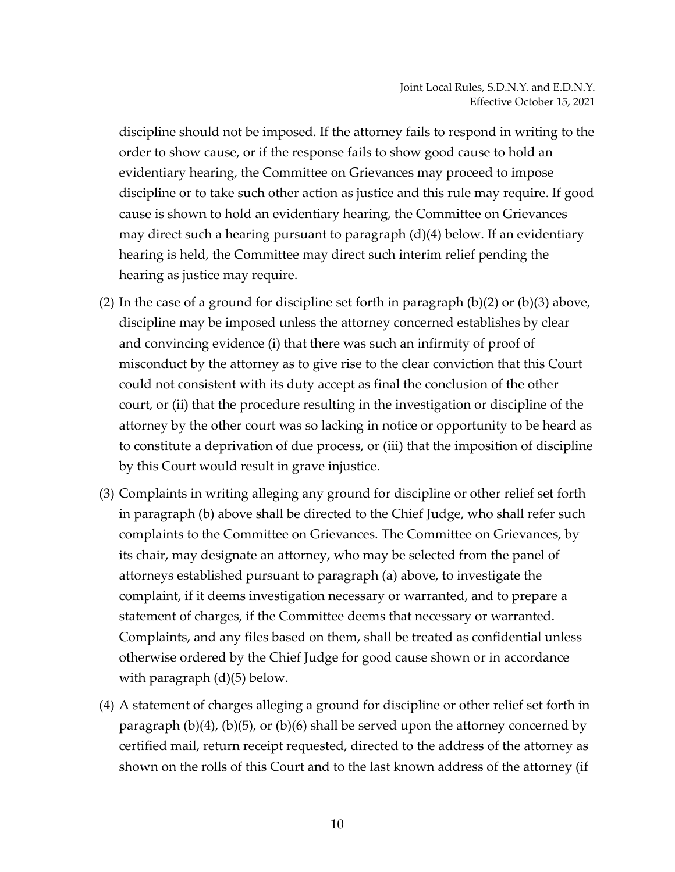discipline should not be imposed. If the attorney fails to respond in writing to the order to show cause, or if the response fails to show good cause to hold an evidentiary hearing, the Committee on Grievances may proceed to impose discipline or to take such other action as justice and this rule may require. If good cause is shown to hold an evidentiary hearing, the Committee on Grievances may direct such a hearing pursuant to paragraph (d)(4) below. If an evidentiary hearing is held, the Committee may direct such interim relief pending the hearing as justice may require.

- (2) In the case of a ground for discipline set forth in paragraph  $(b)(2)$  or  $(b)(3)$  above, discipline may be imposed unless the attorney concerned establishes by clear and convincing evidence (i) that there was such an infirmity of proof of misconduct by the attorney as to give rise to the clear conviction that this Court could not consistent with its duty accept as final the conclusion of the other court, or (ii) that the procedure resulting in the investigation or discipline of the attorney by the other court was so lacking in notice or opportunity to be heard as to constitute a deprivation of due process, or (iii) that the imposition of discipline by this Court would result in grave injustice.
- (3) Complaints in writing alleging any ground for discipline or other relief set forth in paragraph (b) above shall be directed to the Chief Judge, who shall refer such complaints to the Committee on Grievances. The Committee on Grievances, by its chair, may designate an attorney, who may be selected from the panel of attorneys established pursuant to paragraph (a) above, to investigate the complaint, if it deems investigation necessary or warranted, and to prepare a statement of charges, if the Committee deems that necessary or warranted. Complaints, and any files based on them, shall be treated as confidential unless otherwise ordered by the Chief Judge for good cause shown or in accordance with paragraph (d)(5) below.
- (4) A statement of charges alleging a ground for discipline or other relief set forth in paragraph  $(b)(4)$ ,  $(b)(5)$ , or  $(b)(6)$  shall be served upon the attorney concerned by certified mail, return receipt requested, directed to the address of the attorney as shown on the rolls of this Court and to the last known address of the attorney (if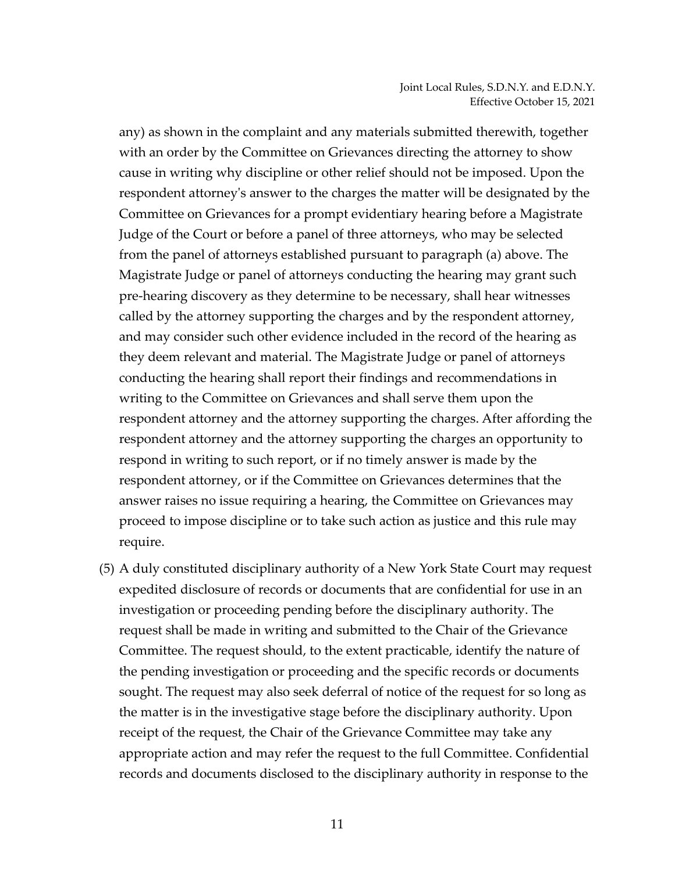any) as shown in the complaint and any materials submitted therewith, together with an order by the Committee on Grievances directing the attorney to show cause in writing why discipline or other relief should not be imposed. Upon the respondent attorney's answer to the charges the matter will be designated by the Committee on Grievances for a prompt evidentiary hearing before a Magistrate Judge of the Court or before a panel of three attorneys, who may be selected from the panel of attorneys established pursuant to paragraph (a) above. The Magistrate Judge or panel of attorneys conducting the hearing may grant such pre-hearing discovery as they determine to be necessary, shall hear witnesses called by the attorney supporting the charges and by the respondent attorney, and may consider such other evidence included in the record of the hearing as they deem relevant and material. The Magistrate Judge or panel of attorneys conducting the hearing shall report their findings and recommendations in writing to the Committee on Grievances and shall serve them upon the respondent attorney and the attorney supporting the charges. After affording the respondent attorney and the attorney supporting the charges an opportunity to respond in writing to such report, or if no timely answer is made by the respondent attorney, or if the Committee on Grievances determines that the answer raises no issue requiring a hearing, the Committee on Grievances may proceed to impose discipline or to take such action as justice and this rule may require.

(5) A duly constituted disciplinary authority of a New York State Court may request expedited disclosure of records or documents that are confidential for use in an investigation or proceeding pending before the disciplinary authority. The request shall be made in writing and submitted to the Chair of the Grievance Committee. The request should, to the extent practicable, identify the nature of the pending investigation or proceeding and the specific records or documents sought. The request may also seek deferral of notice of the request for so long as the matter is in the investigative stage before the disciplinary authority. Upon receipt of the request, the Chair of the Grievance Committee may take any appropriate action and may refer the request to the full Committee. Confidential records and documents disclosed to the disciplinary authority in response to the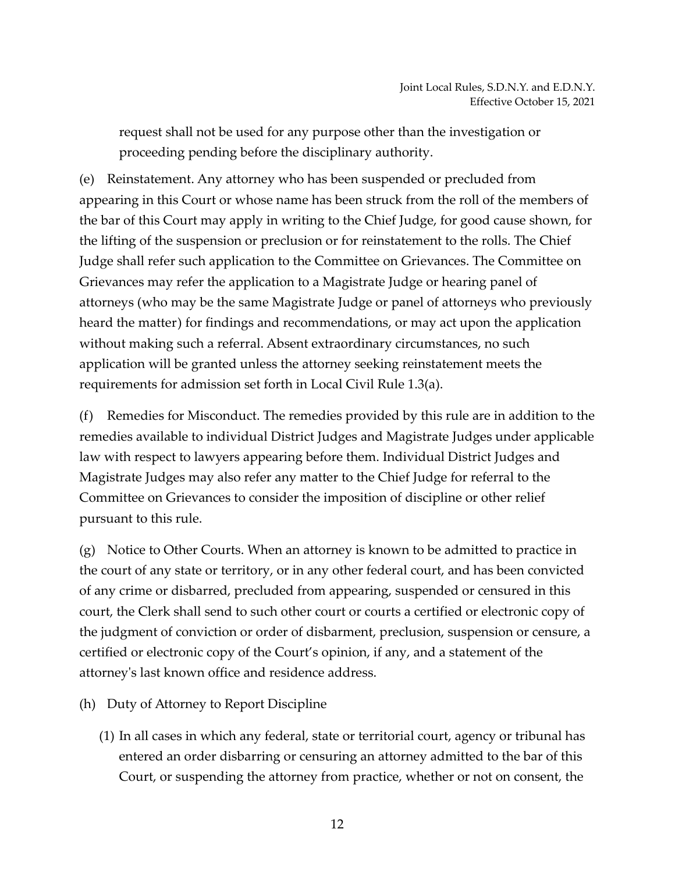request shall not be used for any purpose other than the investigation or proceeding pending before the disciplinary authority.

(e) Reinstatement. Any attorney who has been suspended or precluded from appearing in this Court or whose name has been struck from the roll of the members of the bar of this Court may apply in writing to the Chief Judge, for good cause shown, for the lifting of the suspension or preclusion or for reinstatement to the rolls. The Chief Judge shall refer such application to the Committee on Grievances. The Committee on Grievances may refer the application to a Magistrate Judge or hearing panel of attorneys (who may be the same Magistrate Judge or panel of attorneys who previously heard the matter) for findings and recommendations, or may act upon the application without making such a referral. Absent extraordinary circumstances, no such application will be granted unless the attorney seeking reinstatement meets the requirements for admission set forth in Local Civil Rule 1.3(a).

(f) Remedies for Misconduct. The remedies provided by this rule are in addition to the remedies available to individual District Judges and Magistrate Judges under applicable law with respect to lawyers appearing before them. Individual District Judges and Magistrate Judges may also refer any matter to the Chief Judge for referral to the Committee on Grievances to consider the imposition of discipline or other relief pursuant to this rule.

(g) Notice to Other Courts. When an attorney is known to be admitted to practice in the court of any state or territory, or in any other federal court, and has been convicted of any crime or disbarred, precluded from appearing, suspended or censured in this court, the Clerk shall send to such other court or courts a certified or electronic copy of the judgment of conviction or order of disbarment, preclusion, suspension or censure, a certified or electronic copy of the Court's opinion, if any, and a statement of the attorney's last known office and residence address.

(h) Duty of Attorney to Report Discipline

(1) In all cases in which any federal, state or territorial court, agency or tribunal has entered an order disbarring or censuring an attorney admitted to the bar of this Court, or suspending the attorney from practice, whether or not on consent, the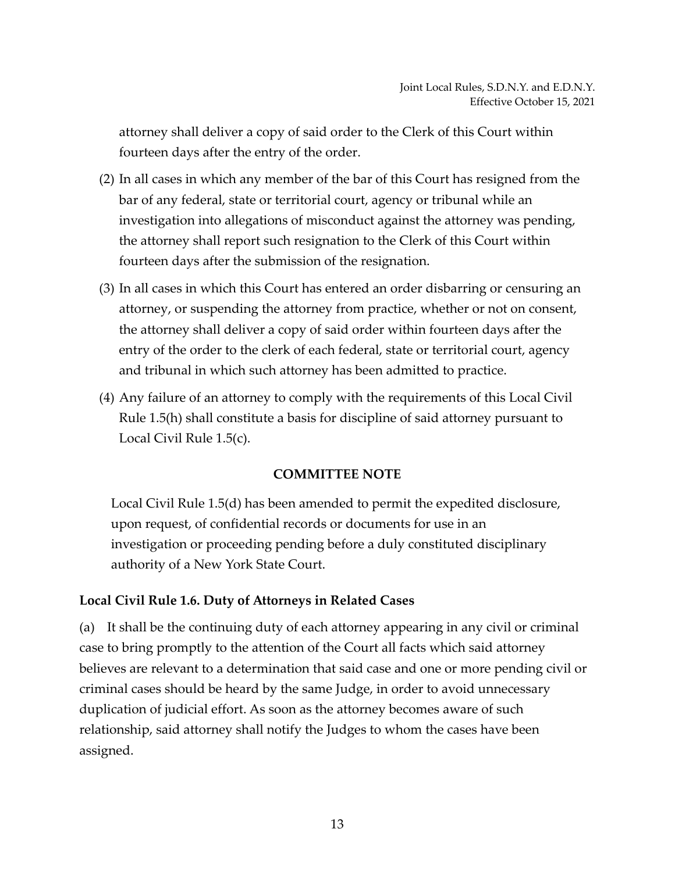attorney shall deliver a copy of said order to the Clerk of this Court within fourteen days after the entry of the order.

- (2) In all cases in which any member of the bar of this Court has resigned from the bar of any federal, state or territorial court, agency or tribunal while an investigation into allegations of misconduct against the attorney was pending, the attorney shall report such resignation to the Clerk of this Court within fourteen days after the submission of the resignation.
- (3) In all cases in which this Court has entered an order disbarring or censuring an attorney, or suspending the attorney from practice, whether or not on consent, the attorney shall deliver a copy of said order within fourteen days after the entry of the order to the clerk of each federal, state or territorial court, agency and tribunal in which such attorney has been admitted to practice.
- (4) Any failure of an attorney to comply with the requirements of this Local Civil Rule 1.5(h) shall constitute a basis for discipline of said attorney pursuant to Local Civil Rule 1.5(c).

#### **COMMITTEE NOTE**

Local Civil Rule 1.5(d) has been amended to permit the expedited disclosure, upon request, of confidential records or documents for use in an investigation or proceeding pending before a duly constituted disciplinary authority of a New York State Court.

#### <span id="page-18-0"></span>**Local Civil Rule 1.6. Duty of Attorneys in Related Cases**

(a) It shall be the continuing duty of each attorney appearing in any civil or criminal case to bring promptly to the attention of the Court all facts which said attorney believes are relevant to a determination that said case and one or more pending civil or criminal cases should be heard by the same Judge, in order to avoid unnecessary duplication of judicial effort. As soon as the attorney becomes aware of such relationship, said attorney shall notify the Judges to whom the cases have been assigned.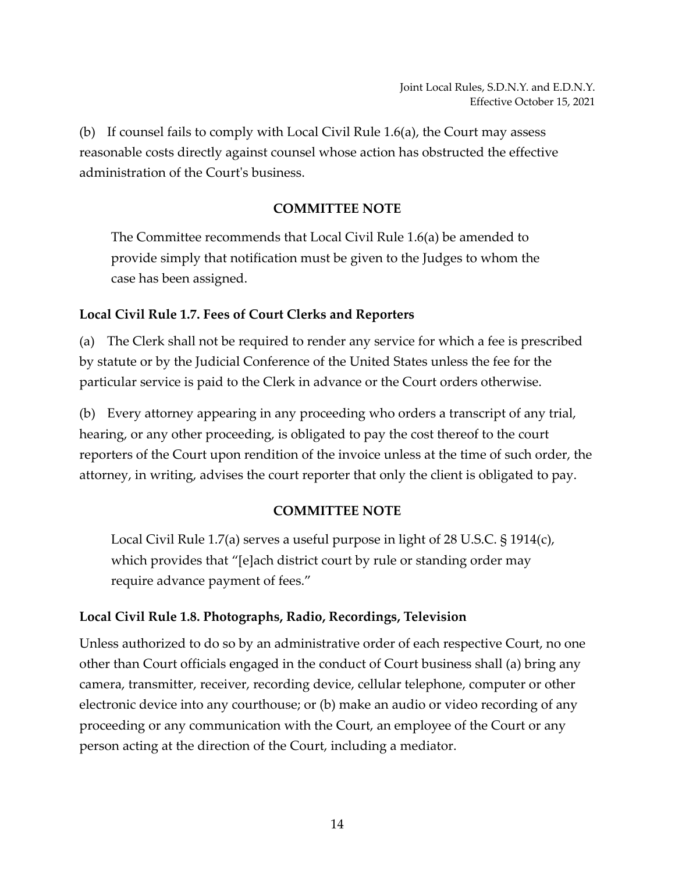(b) If counsel fails to comply with Local Civil Rule 1.6(a), the Court may assess reasonable costs directly against counsel whose action has obstructed the effective administration of the Court's business.

## **COMMITTEE NOTE**

The Committee recommends that Local Civil Rule 1.6(a) be amended to provide simply that notification must be given to the Judges to whom the case has been assigned.

## <span id="page-19-0"></span>**Local Civil Rule 1.7. Fees of Court Clerks and Reporters**

(a) The Clerk shall not be required to render any service for which a fee is prescribed by statute or by the Judicial Conference of the United States unless the fee for the particular service is paid to the Clerk in advance or the Court orders otherwise.

(b) Every attorney appearing in any proceeding who orders a transcript of any trial, hearing, or any other proceeding, is obligated to pay the cost thereof to the court reporters of the Court upon rendition of the invoice unless at the time of such order, the attorney, in writing, advises the court reporter that only the client is obligated to pay.

## **COMMITTEE NOTE**

Local Civil Rule 1.7(a) serves a useful purpose in light of 28 U.S.C. § 1914(c), which provides that "[e]ach district court by rule or standing order may require advance payment of fees."

## <span id="page-19-1"></span>**Local Civil Rule 1.8. Photographs, Radio, Recordings, Television**

Unless authorized to do so by an administrative order of each respective Court, no one other than Court officials engaged in the conduct of Court business shall (a) bring any camera, transmitter, receiver, recording device, cellular telephone, computer or other electronic device into any courthouse; or (b) make an audio or video recording of any proceeding or any communication with the Court, an employee of the Court or any person acting at the direction of the Court, including a mediator.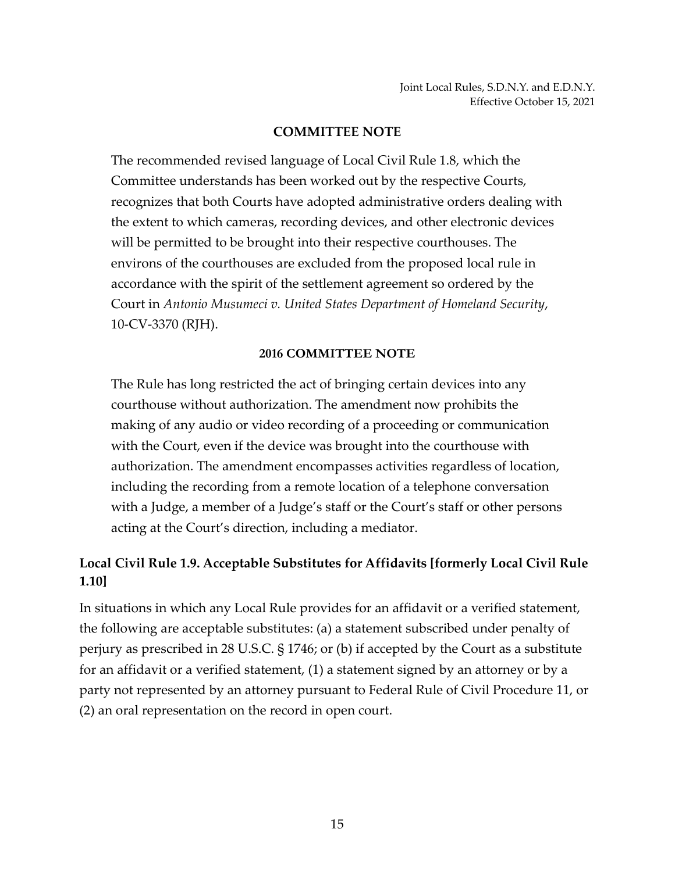The recommended revised language of Local Civil Rule 1.8, which the Committee understands has been worked out by the respective Courts, recognizes that both Courts have adopted administrative orders dealing with the extent to which cameras, recording devices, and other electronic devices will be permitted to be brought into their respective courthouses. The environs of the courthouses are excluded from the proposed local rule in accordance with the spirit of the settlement agreement so ordered by the Court in *Antonio Musumeci v. United States Department of Homeland Security*, 10-CV-3370 (RJH).

#### **2016 COMMITTEE NOTE**

The Rule has long restricted the act of bringing certain devices into any courthouse without authorization. The amendment now prohibits the making of any audio or video recording of a proceeding or communication with the Court, even if the device was brought into the courthouse with authorization. The amendment encompasses activities regardless of location, including the recording from a remote location of a telephone conversation with a Judge, a member of a Judge's staff or the Court's staff or other persons acting at the Court's direction, including a mediator.

## <span id="page-20-0"></span>**Local Civil Rule 1.9. Acceptable Substitutes for Affidavits [formerly Local Civil Rule 1.10]**

In situations in which any Local Rule provides for an affidavit or a verified statement, the following are acceptable substitutes: (a) a statement subscribed under penalty of perjury as prescribed in 28 U.S.C. § 1746; or (b) if accepted by the Court as a substitute for an affidavit or a verified statement, (1) a statement signed by an attorney or by a party not represented by an attorney pursuant to Federal Rule of Civil Procedure 11, or (2) an oral representation on the record in open court.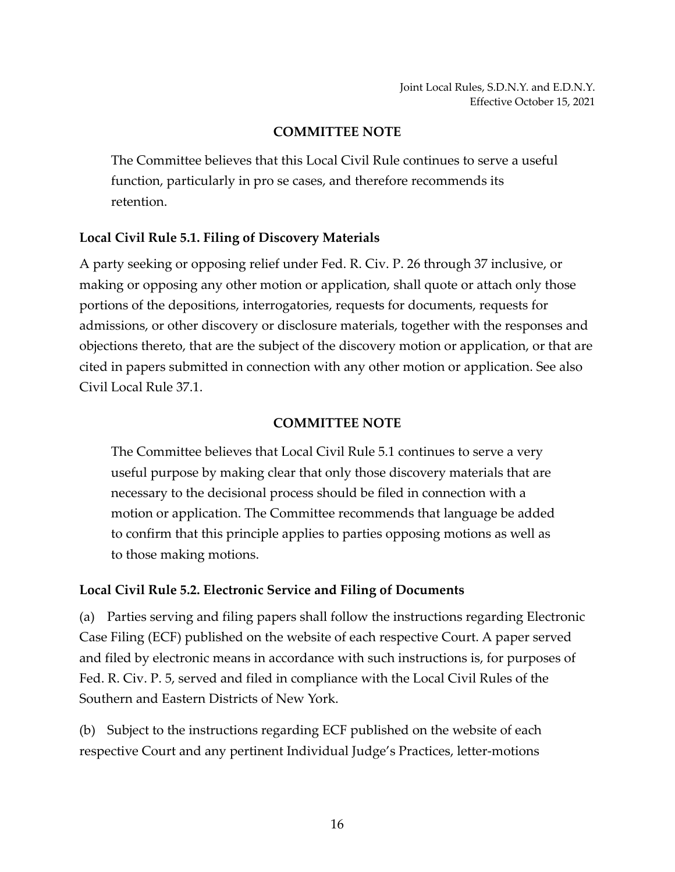The Committee believes that this Local Civil Rule continues to serve a useful function, particularly in pro se cases, and therefore recommends its retention.

## <span id="page-21-0"></span>**Local Civil Rule 5.1. Filing of Discovery Materials**

A party seeking or opposing relief under Fed. R. Civ. P. 26 through 37 inclusive, or making or opposing any other motion or application, shall quote or attach only those portions of the depositions, interrogatories, requests for documents, requests for admissions, or other discovery or disclosure materials, together with the responses and objections thereto, that are the subject of the discovery motion or application, or that are cited in papers submitted in connection with any other motion or application. See also Civil Local Rule 37.1.

## **COMMITTEE NOTE**

The Committee believes that Local Civil Rule 5.1 continues to serve a very useful purpose by making clear that only those discovery materials that are necessary to the decisional process should be filed in connection with a motion or application. The Committee recommends that language be added to confirm that this principle applies to parties opposing motions as well as to those making motions.

## <span id="page-21-1"></span>**Local Civil Rule 5.2. Electronic Service and Filing of Documents**

(a) Parties serving and filing papers shall follow the instructions regarding Electronic Case Filing (ECF) published on the website of each respective Court. A paper served and filed by electronic means in accordance with such instructions is, for purposes of Fed. R. Civ. P. 5, served and filed in compliance with the Local Civil Rules of the Southern and Eastern Districts of New York.

(b) Subject to the instructions regarding ECF published on the website of each respective Court and any pertinent Individual Judge's Practices, letter-motions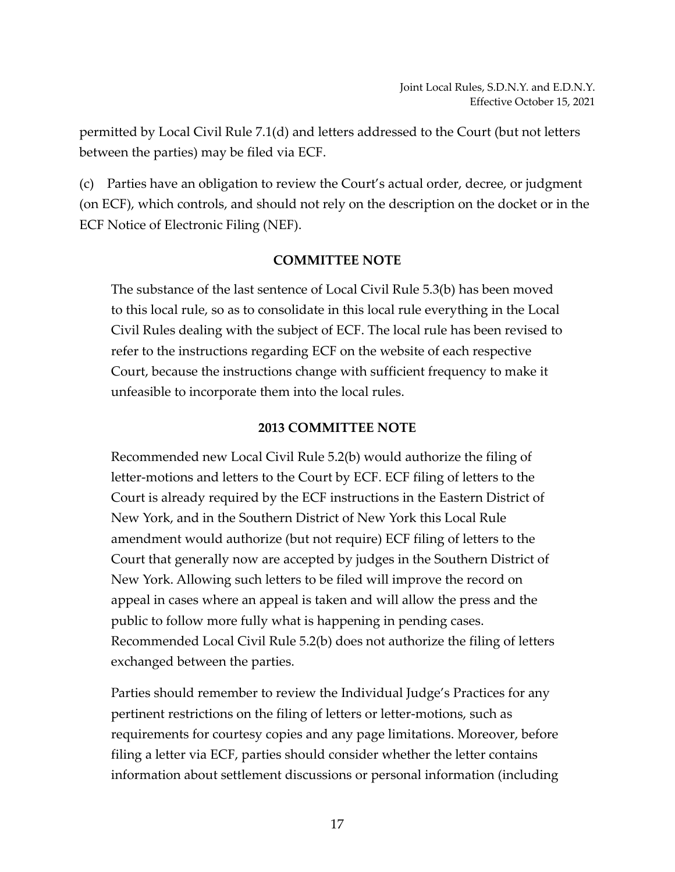permitted by Local Civil Rule 7.1(d) and letters addressed to the Court (but not letters between the parties) may be filed via ECF.

(c) Parties have an obligation to review the Court's actual order, decree, or judgment (on ECF), which controls, and should not rely on the description on the docket or in the ECF Notice of Electronic Filing (NEF).

#### **COMMITTEE NOTE**

The substance of the last sentence of Local Civil Rule 5.3(b) has been moved to this local rule, so as to consolidate in this local rule everything in the Local Civil Rules dealing with the subject of ECF. The local rule has been revised to refer to the instructions regarding ECF on the website of each respective Court, because the instructions change with sufficient frequency to make it unfeasible to incorporate them into the local rules.

#### **2013 COMMITTEE NOTE**

Recommended new Local Civil Rule 5.2(b) would authorize the filing of letter-motions and letters to the Court by ECF. ECF filing of letters to the Court is already required by the ECF instructions in the Eastern District of New York, and in the Southern District of New York this Local Rule amendment would authorize (but not require) ECF filing of letters to the Court that generally now are accepted by judges in the Southern District of New York. Allowing such letters to be filed will improve the record on appeal in cases where an appeal is taken and will allow the press and the public to follow more fully what is happening in pending cases. Recommended Local Civil Rule 5.2(b) does not authorize the filing of letters exchanged between the parties.

Parties should remember to review the Individual Judge's Practices for any pertinent restrictions on the filing of letters or letter-motions, such as requirements for courtesy copies and any page limitations. Moreover, before filing a letter via ECF, parties should consider whether the letter contains information about settlement discussions or personal information (including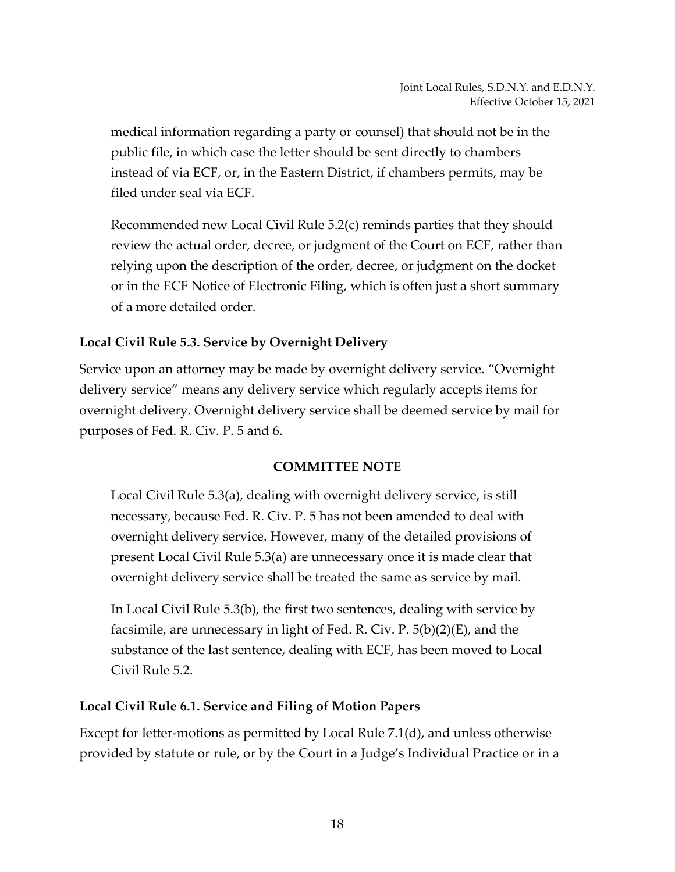medical information regarding a party or counsel) that should not be in the public file, in which case the letter should be sent directly to chambers instead of via ECF, or, in the Eastern District, if chambers permits, may be filed under seal via ECF.

Recommended new Local Civil Rule 5.2(c) reminds parties that they should review the actual order, decree, or judgment of the Court on ECF, rather than relying upon the description of the order, decree, or judgment on the docket or in the ECF Notice of Electronic Filing, which is often just a short summary of a more detailed order.

## <span id="page-23-0"></span>**Local Civil Rule 5.3. Service by Overnight Delivery**

Service upon an attorney may be made by overnight delivery service. "Overnight delivery service" means any delivery service which regularly accepts items for overnight delivery. Overnight delivery service shall be deemed service by mail for purposes of Fed. R. Civ. P. 5 and 6.

## **COMMITTEE NOTE**

Local Civil Rule 5.3(a), dealing with overnight delivery service, is still necessary, because Fed. R. Civ. P. 5 has not been amended to deal with overnight delivery service. However, many of the detailed provisions of present Local Civil Rule 5.3(a) are unnecessary once it is made clear that overnight delivery service shall be treated the same as service by mail.

In Local Civil Rule 5.3(b), the first two sentences, dealing with service by facsimile, are unnecessary in light of Fed. R. Civ. P. 5(b)(2)(E), and the substance of the last sentence, dealing with ECF, has been moved to Local Civil Rule 5.2.

## <span id="page-23-1"></span>**Local Civil Rule 6.1. Service and Filing of Motion Papers**

Except for letter-motions as permitted by Local Rule 7.1(d), and unless otherwise provided by statute or rule, or by the Court in a Judge's Individual Practice or in a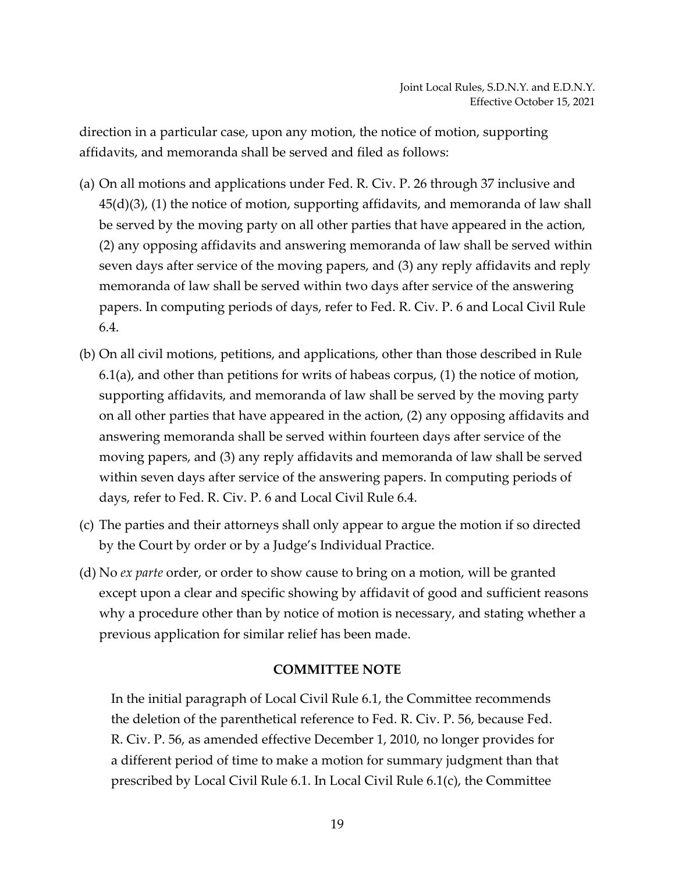direction in a particular case, upon any motion, the notice of motion, supporting affidavits, and memoranda shall be served and filed as follows:

- (a) On all motions and applications under Fed. R. Civ. P. 26 through 37 inclusive and  $45(d)(3)$ , (1) the notice of motion, supporting affidavits, and memoranda of law shall be served by the moving party on all other parties that have appeared in the action, (2) any opposing affidavits and answering memoranda of law shall be served within seven days after service of the moving papers, and (3) any reply affidavits and reply memoranda of law shall be served within two days after service of the answering papers. In computing periods of days, refer to Fed. R. Civ. P. 6 and Local Civil Rule 6.4.
- (b) On all civil motions, petitions, and applications, other than those described in Rule 6.1(a), and other than petitions for writs of habeas corpus, (1) the notice of motion, supporting affidavits, and memoranda of law shall be served by the moving party on all other parties that have appeared in the action, (2) any opposing affidavits and answering memoranda shall be served within fourteen days after service of the moving papers, and (3) any reply affidavits and memoranda of law shall be served within seven days after service of the answering papers. In computing periods of days, refer to Fed. R. Civ. P. 6 and Local Civil Rule 6.4.
- (c) The parties and their attorneys shall only appear to argue the motion if so directed by the Court by order or by a Judge's Individual Practice.
- (d) No *ex parte* order, or order to show cause to bring on a motion, will be granted except upon a clear and specific showing by affidavit of good and sufficient reasons why a procedure other than by notice of motion is necessary, and stating whether a previous application for similar relief has been made.

#### **COMMITTEE NOTE**

In the initial paragraph of Local Civil Rule 6.1, the Committee recommends the deletion of the parenthetical reference to Fed. R. Civ. P. 56, because Fed. R. Civ. P. 56, as amended effective December 1, 2010, no longer provides for a different period of time to make a motion for summary judgment than that prescribed by Local Civil Rule 6.1. In Local Civil Rule 6.1(c), the Committee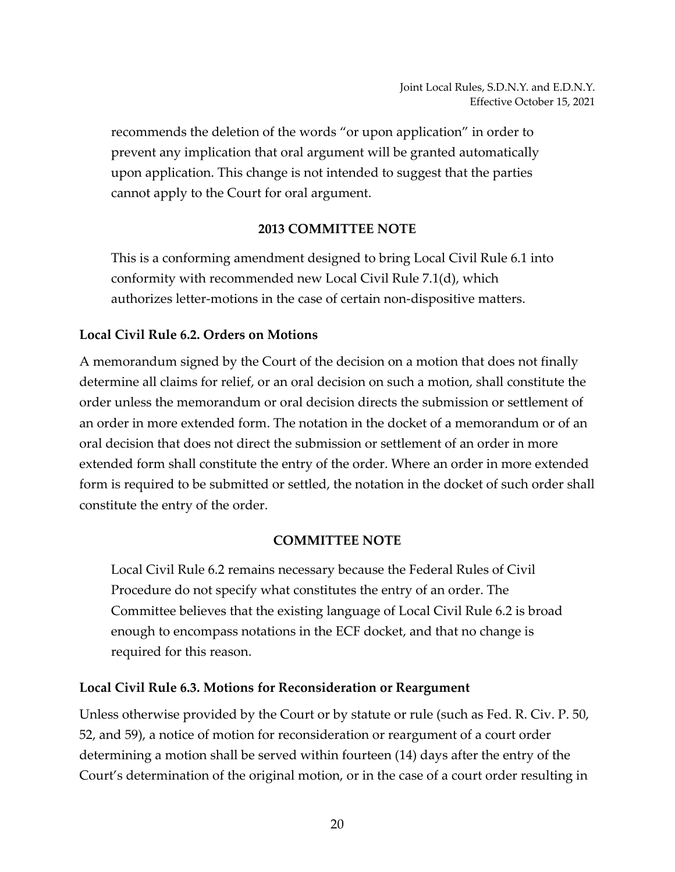recommends the deletion of the words "or upon application" in order to prevent any implication that oral argument will be granted automatically upon application. This change is not intended to suggest that the parties cannot apply to the Court for oral argument.

## **2013 COMMITTEE NOTE**

This is a conforming amendment designed to bring Local Civil Rule 6.1 into conformity with recommended new Local Civil Rule 7.1(d), which authorizes letter-motions in the case of certain non-dispositive matters.

## <span id="page-25-0"></span>**Local Civil Rule 6.2. Orders on Motions**

A memorandum signed by the Court of the decision on a motion that does not finally determine all claims for relief, or an oral decision on such a motion, shall constitute the order unless the memorandum or oral decision directs the submission or settlement of an order in more extended form. The notation in the docket of a memorandum or of an oral decision that does not direct the submission or settlement of an order in more extended form shall constitute the entry of the order. Where an order in more extended form is required to be submitted or settled, the notation in the docket of such order shall constitute the entry of the order.

#### **COMMITTEE NOTE**

Local Civil Rule 6.2 remains necessary because the Federal Rules of Civil Procedure do not specify what constitutes the entry of an order. The Committee believes that the existing language of Local Civil Rule 6.2 is broad enough to encompass notations in the ECF docket, and that no change is required for this reason.

#### <span id="page-25-1"></span>**Local Civil Rule 6.3. Motions for Reconsideration or Reargument**

Unless otherwise provided by the Court or by statute or rule (such as Fed. R. Civ. P. 50, 52, and 59), a notice of motion for reconsideration or reargument of a court order determining a motion shall be served within fourteen (14) days after the entry of the Court's determination of the original motion, or in the case of a court order resulting in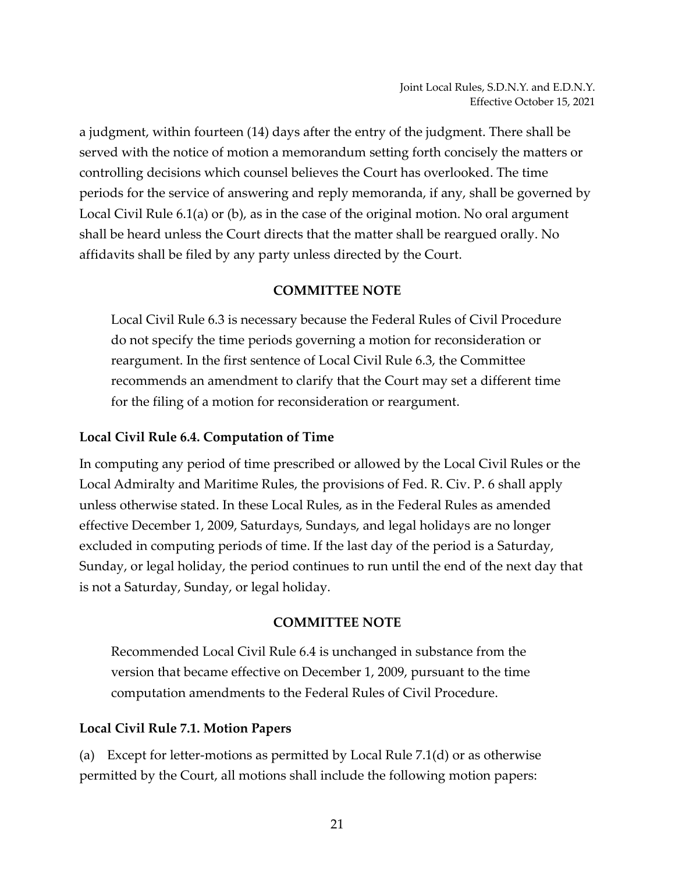a judgment, within fourteen (14) days after the entry of the judgment. There shall be served with the notice of motion a memorandum setting forth concisely the matters or controlling decisions which counsel believes the Court has overlooked. The time periods for the service of answering and reply memoranda, if any, shall be governed by Local Civil Rule 6.1(a) or (b), as in the case of the original motion. No oral argument shall be heard unless the Court directs that the matter shall be reargued orally. No affidavits shall be filed by any party unless directed by the Court.

## **COMMITTEE NOTE**

Local Civil Rule 6.3 is necessary because the Federal Rules of Civil Procedure do not specify the time periods governing a motion for reconsideration or reargument. In the first sentence of Local Civil Rule 6.3, the Committee recommends an amendment to clarify that the Court may set a different time for the filing of a motion for reconsideration or reargument.

### <span id="page-26-0"></span>**Local Civil Rule 6.4. Computation of Time**

In computing any period of time prescribed or allowed by the Local Civil Rules or the Local Admiralty and Maritime Rules, the provisions of Fed. R. Civ. P. 6 shall apply unless otherwise stated. In these Local Rules, as in the Federal Rules as amended effective December 1, 2009, Saturdays, Sundays, and legal holidays are no longer excluded in computing periods of time. If the last day of the period is a Saturday, Sunday, or legal holiday, the period continues to run until the end of the next day that is not a Saturday, Sunday, or legal holiday.

#### **COMMITTEE NOTE**

Recommended Local Civil Rule 6.4 is unchanged in substance from the version that became effective on December 1, 2009, pursuant to the time computation amendments to the Federal Rules of Civil Procedure.

#### <span id="page-26-1"></span>**Local Civil Rule 7.1. Motion Papers**

(a) Except for letter-motions as permitted by Local Rule 7.1(d) or as otherwise permitted by the Court, all motions shall include the following motion papers: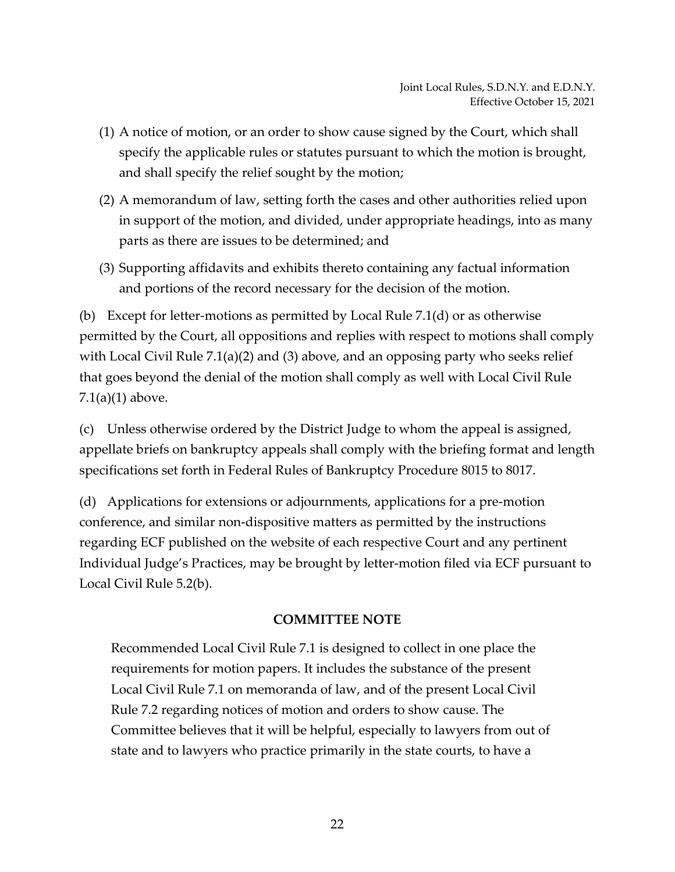- (1) A notice of motion, or an order to show cause signed by the Court, which shall specify the applicable rules or statutes pursuant to which the motion is brought, and shall specify the relief sought by the motion;
- (2) A memorandum of law, setting forth the cases and other authorities relied upon in support of the motion, and divided, under appropriate headings, into as many parts as there are issues to be determined; and
- (3) Supporting affidavits and exhibits thereto containing any factual information and portions of the record necessary for the decision of the motion.

(b) Except for letter-motions as permitted by Local Rule 7.1(d) or as otherwise permitted by the Court, all oppositions and replies with respect to motions shall comply with Local Civil Rule 7.1(a)(2) and (3) above, and an opposing party who seeks relief that goes beyond the denial of the motion shall comply as well with Local Civil Rule  $7.1(a)(1)$  above.

(c) Unless otherwise ordered by the District Judge to whom the appeal is assigned, appellate briefs on bankruptcy appeals shall comply with the briefing format and length specifications set forth in Federal Rules of Bankruptcy Procedure 8015 to 8017.

(d) Applications for extensions or adjournments, applications for a pre-motion conference, and similar non-dispositive matters as permitted by the instructions regarding ECF published on the website of each respective Court and any pertinent Individual Judge's Practices, may be brought by letter-motion filed via ECF pursuant to Local Civil Rule 5.2(b).

## **COMMITTEE NOTE**

Recommended Local Civil Rule 7.1 is designed to collect in one place the requirements for motion papers. It includes the substance of the present Local Civil Rule 7.1 on memoranda of law, and of the present Local Civil Rule 7.2 regarding notices of motion and orders to show cause. The Committee believes that it will be helpful, especially to lawyers from out of state and to lawyers who practice primarily in the state courts, to have a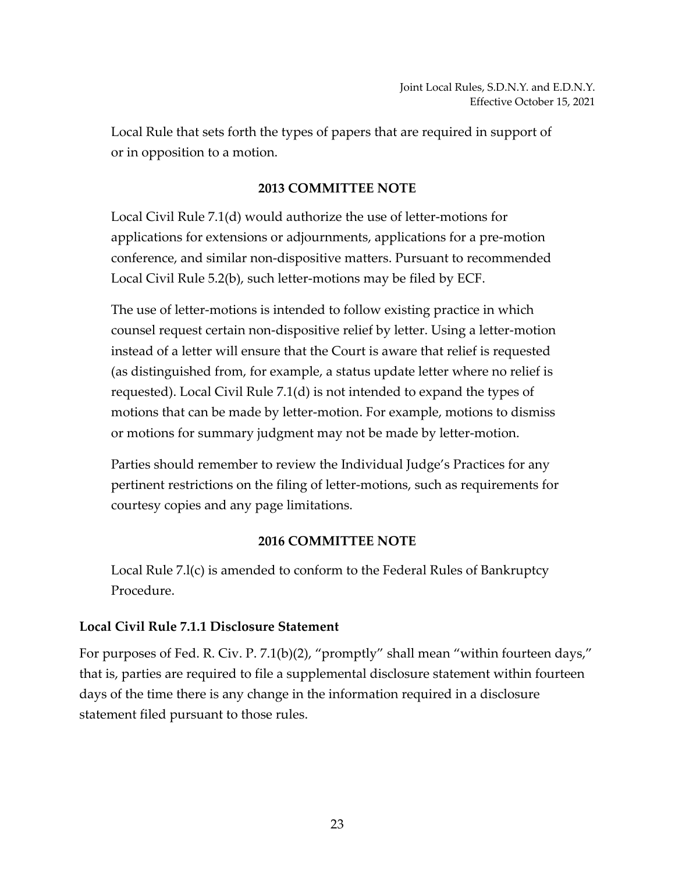Local Rule that sets forth the types of papers that are required in support of or in opposition to a motion.

### **2013 COMMITTEE NOTE**

Local Civil Rule 7.1(d) would authorize the use of letter-motions for applications for extensions or adjournments, applications for a pre-motion conference, and similar non-dispositive matters. Pursuant to recommended Local Civil Rule 5.2(b), such letter-motions may be filed by ECF.

The use of letter-motions is intended to follow existing practice in which counsel request certain non-dispositive relief by letter. Using a letter-motion instead of a letter will ensure that the Court is aware that relief is requested (as distinguished from, for example, a status update letter where no relief is requested). Local Civil Rule 7.1(d) is not intended to expand the types of motions that can be made by letter-motion. For example, motions to dismiss or motions for summary judgment may not be made by letter-motion.

Parties should remember to review the Individual Judge's Practices for any pertinent restrictions on the filing of letter-motions, such as requirements for courtesy copies and any page limitations.

#### **2016 COMMITTEE NOTE**

Local Rule 7.l(c) is amended to conform to the Federal Rules of Bankruptcy Procedure.

#### <span id="page-28-0"></span>**Local Civil Rule 7.1.1 Disclosure Statement**

For purposes of Fed. R. Civ. P. 7.1(b)(2), "promptly" shall mean "within fourteen days," that is, parties are required to file a supplemental disclosure statement within fourteen days of the time there is any change in the information required in a disclosure statement filed pursuant to those rules.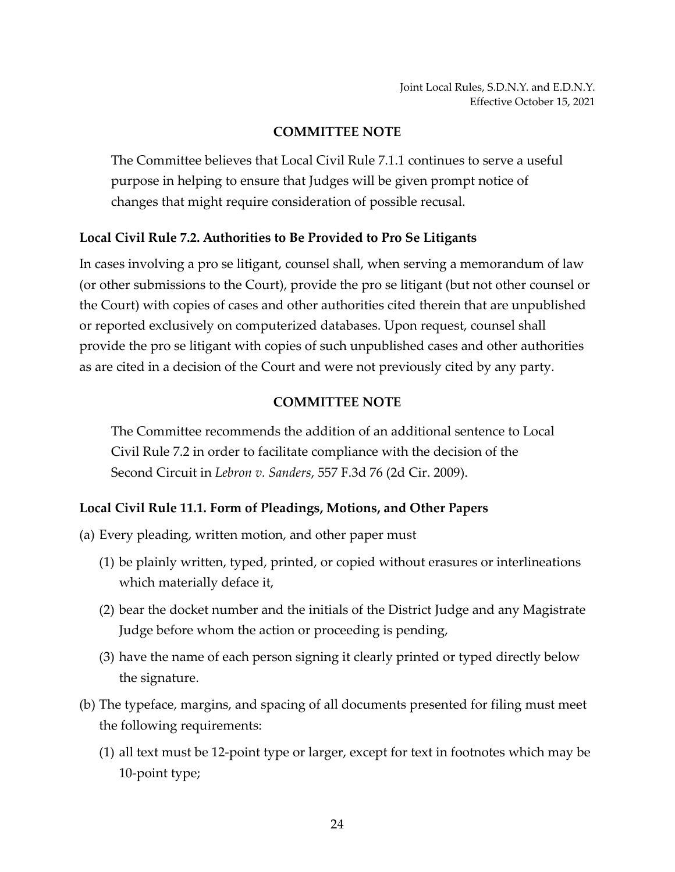The Committee believes that Local Civil Rule 7.1.1 continues to serve a useful purpose in helping to ensure that Judges will be given prompt notice of changes that might require consideration of possible recusal.

## <span id="page-29-0"></span>**Local Civil Rule 7.2. Authorities to Be Provided to Pro Se Litigants**

In cases involving a pro se litigant, counsel shall, when serving a memorandum of law (or other submissions to the Court), provide the pro se litigant (but not other counsel or the Court) with copies of cases and other authorities cited therein that are unpublished or reported exclusively on computerized databases. Upon request, counsel shall provide the pro se litigant with copies of such unpublished cases and other authorities as are cited in a decision of the Court and were not previously cited by any party.

## **COMMITTEE NOTE**

The Committee recommends the addition of an additional sentence to Local Civil Rule 7.2 in order to facilitate compliance with the decision of the Second Circuit in *Lebron v. Sanders*, 557 F.3d 76 (2d Cir. 2009).

## <span id="page-29-1"></span>**Local Civil Rule 11.1. Form of Pleadings, Motions, and Other Papers**

- (a) Every pleading, written motion, and other paper must
	- (1) be plainly written, typed, printed, or copied without erasures or interlineations which materially deface it,
	- (2) bear the docket number and the initials of the District Judge and any Magistrate Judge before whom the action or proceeding is pending,
	- (3) have the name of each person signing it clearly printed or typed directly below the signature.
- (b) The typeface, margins, and spacing of all documents presented for filing must meet the following requirements:
	- (1) all text must be 12-point type or larger, except for text in footnotes which may be 10-point type;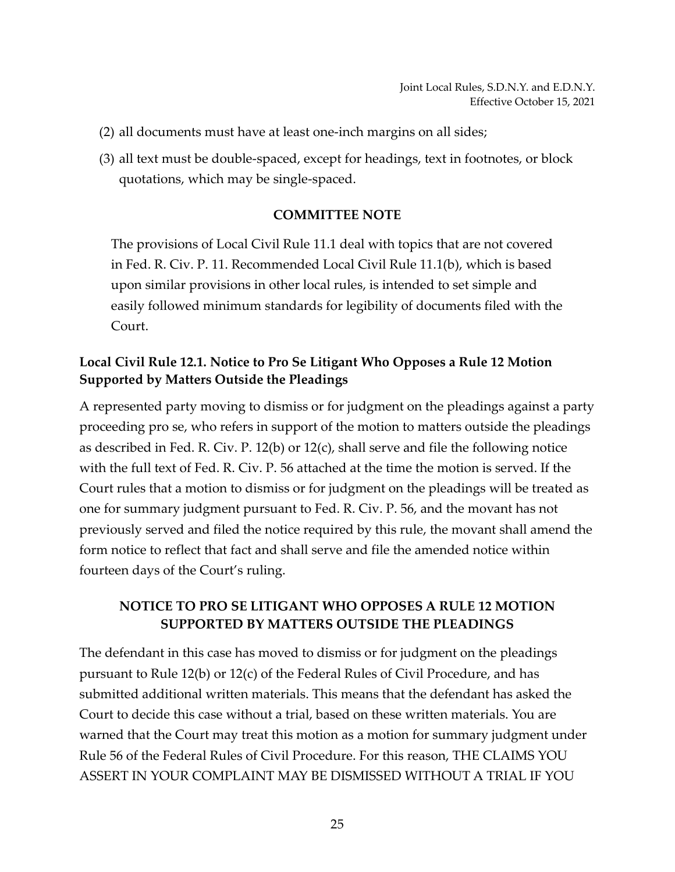- (2) all documents must have at least one-inch margins on all sides;
- (3) all text must be double-spaced, except for headings, text in footnotes, or block quotations, which may be single-spaced.

The provisions of Local Civil Rule 11.1 deal with topics that are not covered in Fed. R. Civ. P. 11. Recommended Local Civil Rule 11.1(b), which is based upon similar provisions in other local rules, is intended to set simple and easily followed minimum standards for legibility of documents filed with the Court.

## <span id="page-30-0"></span>**Local Civil Rule 12.1. Notice to Pro Se Litigant Who Opposes a Rule 12 Motion Supported by Matters Outside the Pleadings**

A represented party moving to dismiss or for judgment on the pleadings against a party proceeding pro se, who refers in support of the motion to matters outside the pleadings as described in Fed. R. Civ. P. 12(b) or 12(c), shall serve and file the following notice with the full text of Fed. R. Civ. P. 56 attached at the time the motion is served. If the Court rules that a motion to dismiss or for judgment on the pleadings will be treated as one for summary judgment pursuant to Fed. R. Civ. P. 56, and the movant has not previously served and filed the notice required by this rule, the movant shall amend the form notice to reflect that fact and shall serve and file the amended notice within fourteen days of the Court's ruling.

## **NOTICE TO PRO SE LITIGANT WHO OPPOSES A RULE 12 MOTION SUPPORTED BY MATTERS OUTSIDE THE PLEADINGS**

The defendant in this case has moved to dismiss or for judgment on the pleadings pursuant to Rule 12(b) or 12(c) of the Federal Rules of Civil Procedure, and has submitted additional written materials. This means that the defendant has asked the Court to decide this case without a trial, based on these written materials. You are warned that the Court may treat this motion as a motion for summary judgment under Rule 56 of the Federal Rules of Civil Procedure. For this reason, THE CLAIMS YOU ASSERT IN YOUR COMPLAINT MAY BE DISMISSED WITHOUT A TRIAL IF YOU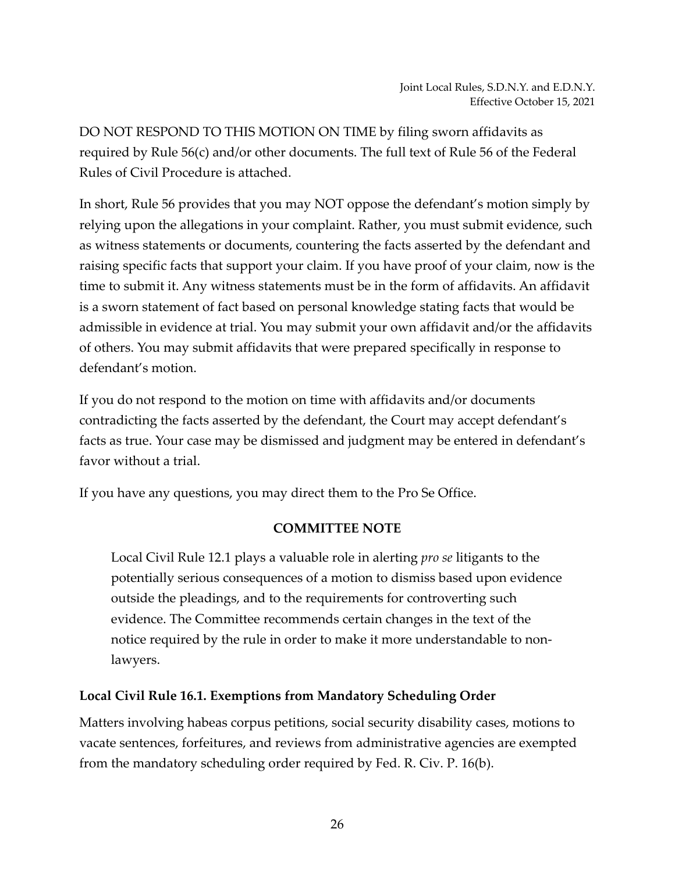DO NOT RESPOND TO THIS MOTION ON TIME by filing sworn affidavits as required by Rule 56(c) and/or other documents. The full text of Rule 56 of the Federal Rules of Civil Procedure is attached.

In short, Rule 56 provides that you may NOT oppose the defendant's motion simply by relying upon the allegations in your complaint. Rather, you must submit evidence, such as witness statements or documents, countering the facts asserted by the defendant and raising specific facts that support your claim. If you have proof of your claim, now is the time to submit it. Any witness statements must be in the form of affidavits. An affidavit is a sworn statement of fact based on personal knowledge stating facts that would be admissible in evidence at trial. You may submit your own affidavit and/or the affidavits of others. You may submit affidavits that were prepared specifically in response to defendant's motion.

If you do not respond to the motion on time with affidavits and/or documents contradicting the facts asserted by the defendant, the Court may accept defendant's facts as true. Your case may be dismissed and judgment may be entered in defendant's favor without a trial.

If you have any questions, you may direct them to the Pro Se Office.

## **COMMITTEE NOTE**

Local Civil Rule 12.1 plays a valuable role in alerting *pro se* litigants to the potentially serious consequences of a motion to dismiss based upon evidence outside the pleadings, and to the requirements for controverting such evidence. The Committee recommends certain changes in the text of the notice required by the rule in order to make it more understandable to nonlawyers.

## <span id="page-31-0"></span>**Local Civil Rule 16.1. Exemptions from Mandatory Scheduling Order**

Matters involving habeas corpus petitions, social security disability cases, motions to vacate sentences, forfeitures, and reviews from administrative agencies are exempted from the mandatory scheduling order required by Fed. R. Civ. P. 16(b).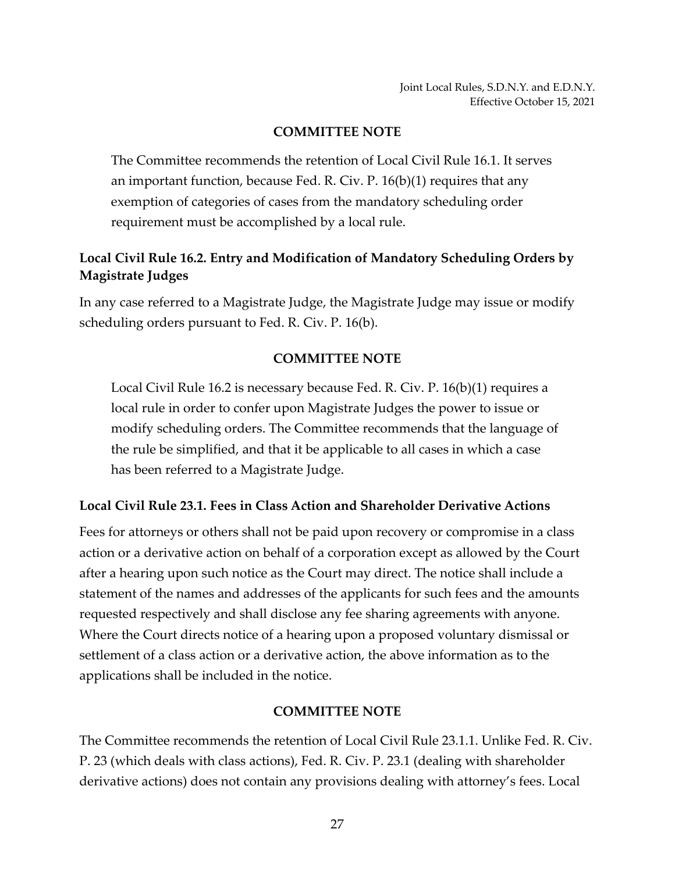The Committee recommends the retention of Local Civil Rule 16.1. It serves an important function, because Fed. R. Civ. P. 16(b)(1) requires that any exemption of categories of cases from the mandatory scheduling order requirement must be accomplished by a local rule.

## <span id="page-32-0"></span>**Local Civil Rule 16.2. Entry and Modification of Mandatory Scheduling Orders by Magistrate Judges**

In any case referred to a Magistrate Judge, the Magistrate Judge may issue or modify scheduling orders pursuant to Fed. R. Civ. P. 16(b).

## **COMMITTEE NOTE**

Local Civil Rule 16.2 is necessary because Fed. R. Civ. P. 16(b)(1) requires a local rule in order to confer upon Magistrate Judges the power to issue or modify scheduling orders. The Committee recommends that the language of the rule be simplified, and that it be applicable to all cases in which a case has been referred to a Magistrate Judge.

## <span id="page-32-1"></span>**Local Civil Rule 23.1. Fees in Class Action and Shareholder Derivative Actions**

Fees for attorneys or others shall not be paid upon recovery or compromise in a class action or a derivative action on behalf of a corporation except as allowed by the Court after a hearing upon such notice as the Court may direct. The notice shall include a statement of the names and addresses of the applicants for such fees and the amounts requested respectively and shall disclose any fee sharing agreements with anyone. Where the Court directs notice of a hearing upon a proposed voluntary dismissal or settlement of a class action or a derivative action, the above information as to the applications shall be included in the notice.

## **COMMITTEE NOTE**

The Committee recommends the retention of Local Civil Rule 23.1.1. Unlike Fed. R. Civ. P. 23 (which deals with class actions), Fed. R. Civ. P. 23.1 (dealing with shareholder derivative actions) does not contain any provisions dealing with attorney's fees. Local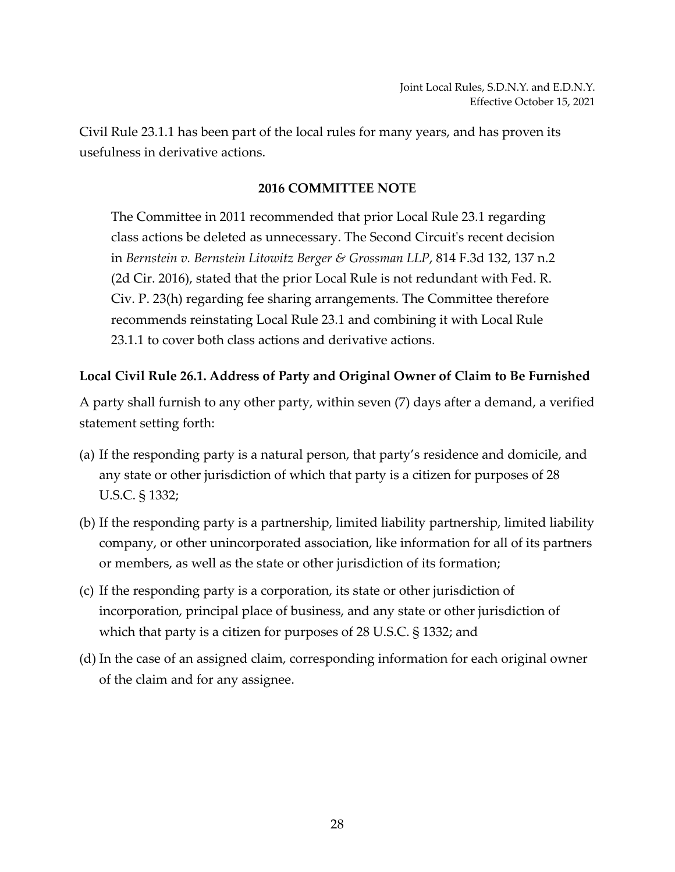Civil Rule 23.1.1 has been part of the local rules for many years, and has proven its usefulness in derivative actions.

## **2016 COMMITTEE NOTE**

The Committee in 2011 recommended that prior Local Rule 23.1 regarding class actions be deleted as unnecessary. The Second Circuit's recent decision in *Bernstein v. Bernstein Litowitz Berger & Grossman LLP*, 814 F.3d 132, 137 n.2 (2d Cir. 2016), stated that the prior Local Rule is not redundant with Fed. R. Civ. P. 23(h) regarding fee sharing arrangements. The Committee therefore recommends reinstating Local Rule 23.1 and combining it with Local Rule 23.1.1 to cover both class actions and derivative actions.

## <span id="page-33-0"></span>**Local Civil Rule 26.1. Address of Party and Original Owner of Claim to Be Furnished**

A party shall furnish to any other party, within seven (7) days after a demand, a verified statement setting forth:

- (a) If the responding party is a natural person, that party's residence and domicile, and any state or other jurisdiction of which that party is a citizen for purposes of 28 U.S.C. § 1332;
- (b) If the responding party is a partnership, limited liability partnership, limited liability company, or other unincorporated association, like information for all of its partners or members, as well as the state or other jurisdiction of its formation;
- (c) If the responding party is a corporation, its state or other jurisdiction of incorporation, principal place of business, and any state or other jurisdiction of which that party is a citizen for purposes of 28 U.S.C. § 1332; and
- (d) In the case of an assigned claim, corresponding information for each original owner of the claim and for any assignee.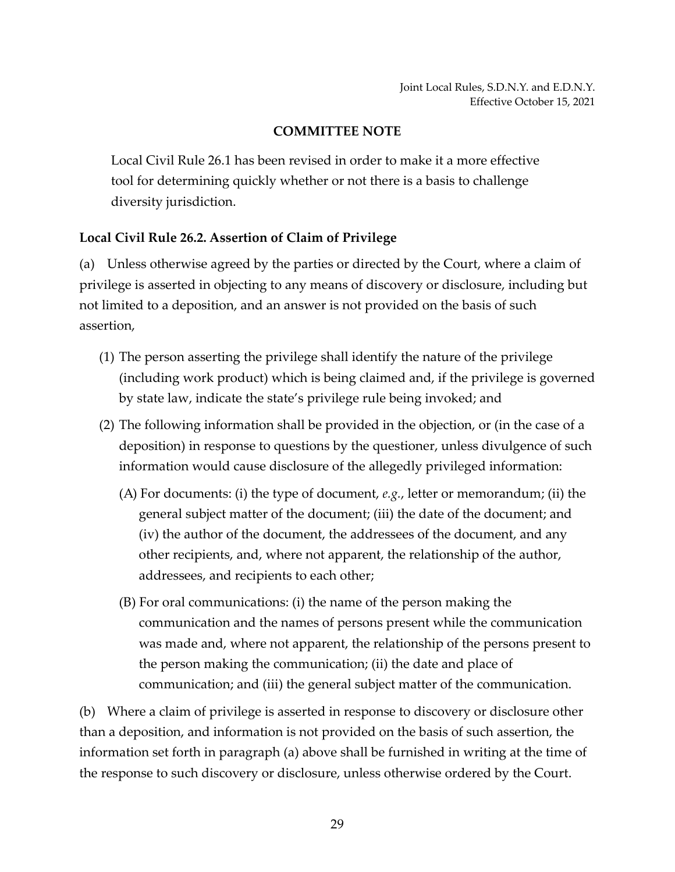Local Civil Rule 26.1 has been revised in order to make it a more effective tool for determining quickly whether or not there is a basis to challenge diversity jurisdiction.

## <span id="page-34-0"></span>**Local Civil Rule 26.2. Assertion of Claim of Privilege**

(a) Unless otherwise agreed by the parties or directed by the Court, where a claim of privilege is asserted in objecting to any means of discovery or disclosure, including but not limited to a deposition, and an answer is not provided on the basis of such assertion,

- (1) The person asserting the privilege shall identify the nature of the privilege (including work product) which is being claimed and, if the privilege is governed by state law, indicate the state's privilege rule being invoked; and
- (2) The following information shall be provided in the objection, or (in the case of a deposition) in response to questions by the questioner, unless divulgence of such information would cause disclosure of the allegedly privileged information:
	- (A) For documents: (i) the type of document, *e.g.*, letter or memorandum; (ii) the general subject matter of the document; (iii) the date of the document; and (iv) the author of the document, the addressees of the document, and any other recipients, and, where not apparent, the relationship of the author, addressees, and recipients to each other;
	- (B) For oral communications: (i) the name of the person making the communication and the names of persons present while the communication was made and, where not apparent, the relationship of the persons present to the person making the communication; (ii) the date and place of communication; and (iii) the general subject matter of the communication.

(b) Where a claim of privilege is asserted in response to discovery or disclosure other than a deposition, and information is not provided on the basis of such assertion, the information set forth in paragraph (a) above shall be furnished in writing at the time of the response to such discovery or disclosure, unless otherwise ordered by the Court.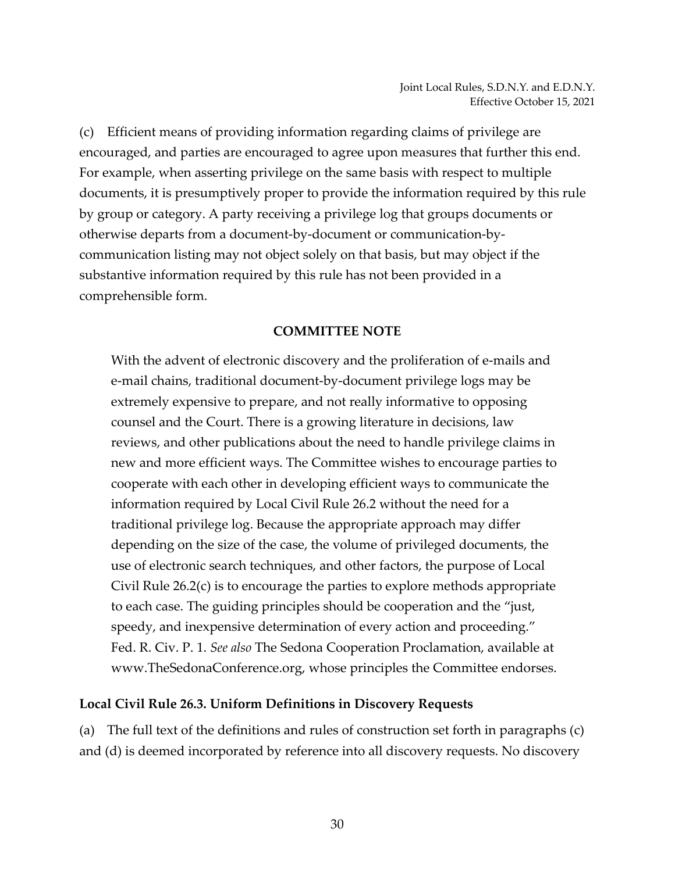(c) Efficient means of providing information regarding claims of privilege are encouraged, and parties are encouraged to agree upon measures that further this end. For example, when asserting privilege on the same basis with respect to multiple documents, it is presumptively proper to provide the information required by this rule by group or category. A party receiving a privilege log that groups documents or otherwise departs from a document-by-document or communication-bycommunication listing may not object solely on that basis, but may object if the substantive information required by this rule has not been provided in a comprehensible form.

#### **COMMITTEE NOTE**

With the advent of electronic discovery and the proliferation of e-mails and e-mail chains, traditional document-by-document privilege logs may be extremely expensive to prepare, and not really informative to opposing counsel and the Court. There is a growing literature in decisions, law reviews, and other publications about the need to handle privilege claims in new and more efficient ways. The Committee wishes to encourage parties to cooperate with each other in developing efficient ways to communicate the information required by Local Civil Rule 26.2 without the need for a traditional privilege log. Because the appropriate approach may differ depending on the size of the case, the volume of privileged documents, the use of electronic search techniques, and other factors, the purpose of Local Civil Rule 26.2(c) is to encourage the parties to explore methods appropriate to each case. The guiding principles should be cooperation and the "just, speedy, and inexpensive determination of every action and proceeding." Fed. R. Civ. P. 1. *See also* The Sedona Cooperation Proclamation, available at www.TheSedonaConference.org, whose principles the Committee endorses.

#### <span id="page-35-0"></span>**Local Civil Rule 26.3. Uniform Definitions in Discovery Requests**

(a) The full text of the definitions and rules of construction set forth in paragraphs (c) and (d) is deemed incorporated by reference into all discovery requests. No discovery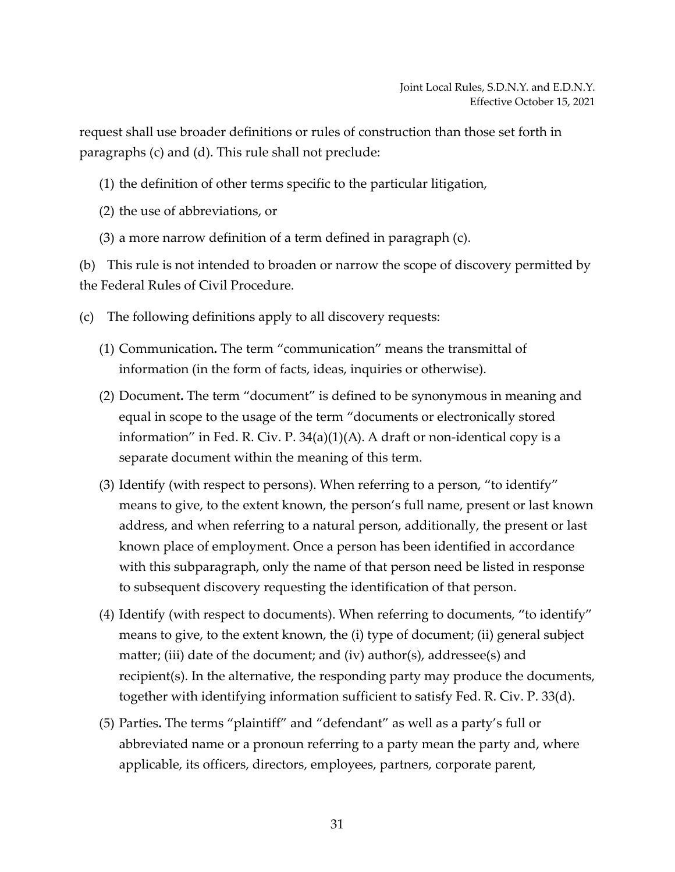request shall use broader definitions or rules of construction than those set forth in paragraphs (c) and (d). This rule shall not preclude:

- (1) the definition of other terms specific to the particular litigation,
- (2) the use of abbreviations, or
- (3) a more narrow definition of a term defined in paragraph (c).

(b) This rule is not intended to broaden or narrow the scope of discovery permitted by the Federal Rules of Civil Procedure.

- (c) The following definitions apply to all discovery requests:
	- (1) Communication**.** The term "communication" means the transmittal of information (in the form of facts, ideas, inquiries or otherwise).
	- (2) Document**.** The term "document" is defined to be synonymous in meaning and equal in scope to the usage of the term "documents or electronically stored information" in Fed. R. Civ. P. 34(a)(1)(A). A draft or non-identical copy is a separate document within the meaning of this term.
	- (3) Identify (with respect to persons). When referring to a person, "to identify" means to give, to the extent known, the person's full name, present or last known address, and when referring to a natural person, additionally, the present or last known place of employment. Once a person has been identified in accordance with this subparagraph, only the name of that person need be listed in response to subsequent discovery requesting the identification of that person.
	- (4) Identify (with respect to documents). When referring to documents, "to identify" means to give, to the extent known, the (i) type of document; (ii) general subject matter; (iii) date of the document; and (iv) author(s), addressee(s) and recipient(s). In the alternative, the responding party may produce the documents, together with identifying information sufficient to satisfy Fed. R. Civ. P. 33(d).
	- (5) Parties**.** The terms "plaintiff" and "defendant" as well as a party's full or abbreviated name or a pronoun referring to a party mean the party and, where applicable, its officers, directors, employees, partners, corporate parent,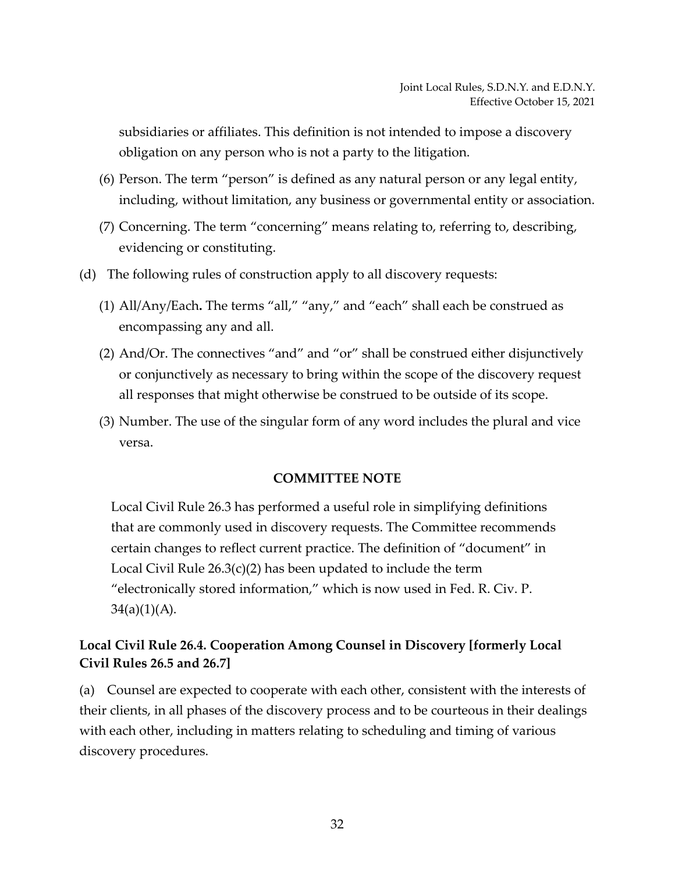subsidiaries or affiliates. This definition is not intended to impose a discovery obligation on any person who is not a party to the litigation.

- (6) Person. The term "person" is defined as any natural person or any legal entity, including, without limitation, any business or governmental entity or association.
- (7) Concerning. The term "concerning" means relating to, referring to, describing, evidencing or constituting.
- (d) The following rules of construction apply to all discovery requests:
	- (1) All/Any/Each**.** The terms "all," "any," and "each" shall each be construed as encompassing any and all.
	- (2) And/Or. The connectives "and" and "or" shall be construed either disjunctively or conjunctively as necessary to bring within the scope of the discovery request all responses that might otherwise be construed to be outside of its scope.
	- (3) Number. The use of the singular form of any word includes the plural and vice versa.

## **COMMITTEE NOTE**

Local Civil Rule 26.3 has performed a useful role in simplifying definitions that are commonly used in discovery requests. The Committee recommends certain changes to reflect current practice. The definition of "document" in Local Civil Rule 26.3(c)(2) has been updated to include the term "electronically stored information," which is now used in Fed. R. Civ. P.  $34(a)(1)(A)$ .

# **Local Civil Rule 26.4. Cooperation Among Counsel in Discovery [formerly Local Civil Rules 26.5 and 26.7]**

(a) Counsel are expected to cooperate with each other, consistent with the interests of their clients, in all phases of the discovery process and to be courteous in their dealings with each other, including in matters relating to scheduling and timing of various discovery procedures.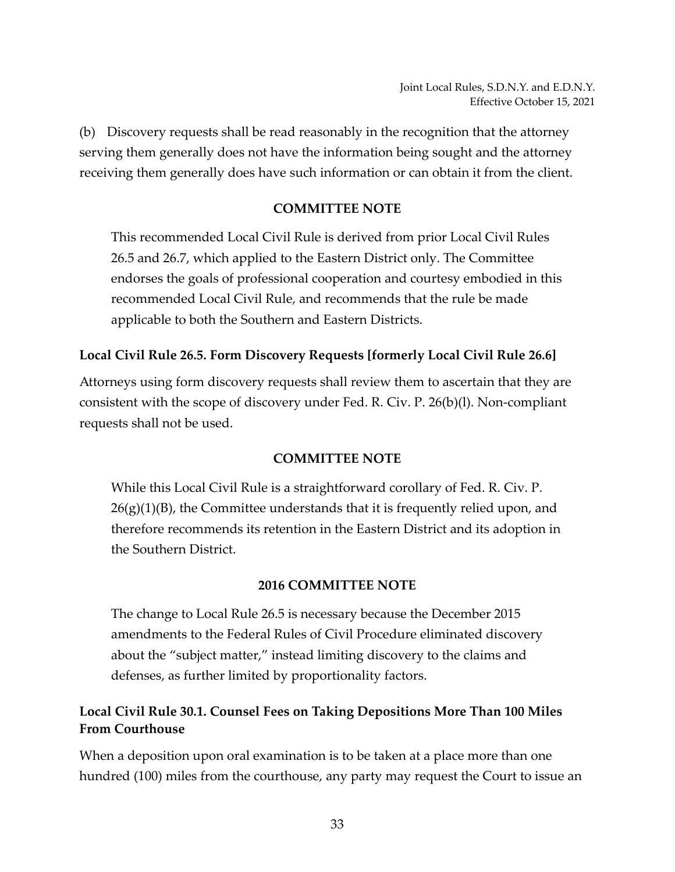(b) Discovery requests shall be read reasonably in the recognition that the attorney serving them generally does not have the information being sought and the attorney receiving them generally does have such information or can obtain it from the client.

# **COMMITTEE NOTE**

This recommended Local Civil Rule is derived from prior Local Civil Rules 26.5 and 26.7, which applied to the Eastern District only. The Committee endorses the goals of professional cooperation and courtesy embodied in this recommended Local Civil Rule, and recommends that the rule be made applicable to both the Southern and Eastern Districts.

# **Local Civil Rule 26.5. Form Discovery Requests [formerly Local Civil Rule 26.6]**

Attorneys using form discovery requests shall review them to ascertain that they are consistent with the scope of discovery under Fed. R. Civ. P. 26(b)(l). Non-compliant requests shall not be used.

# **COMMITTEE NOTE**

While this Local Civil Rule is a straightforward corollary of Fed. R. Civ. P.  $26(g)(1)(B)$ , the Committee understands that it is frequently relied upon, and therefore recommends its retention in the Eastern District and its adoption in the Southern District.

## **2016 COMMITTEE NOTE**

The change to Local Rule 26.5 is necessary because the December 2015 amendments to the Federal Rules of Civil Procedure eliminated discovery about the "subject matter," instead limiting discovery to the claims and defenses, as further limited by proportionality factors.

# **Local Civil Rule 30.1. Counsel Fees on Taking Depositions More Than 100 Miles From Courthouse**

When a deposition upon oral examination is to be taken at a place more than one hundred (100) miles from the courthouse, any party may request the Court to issue an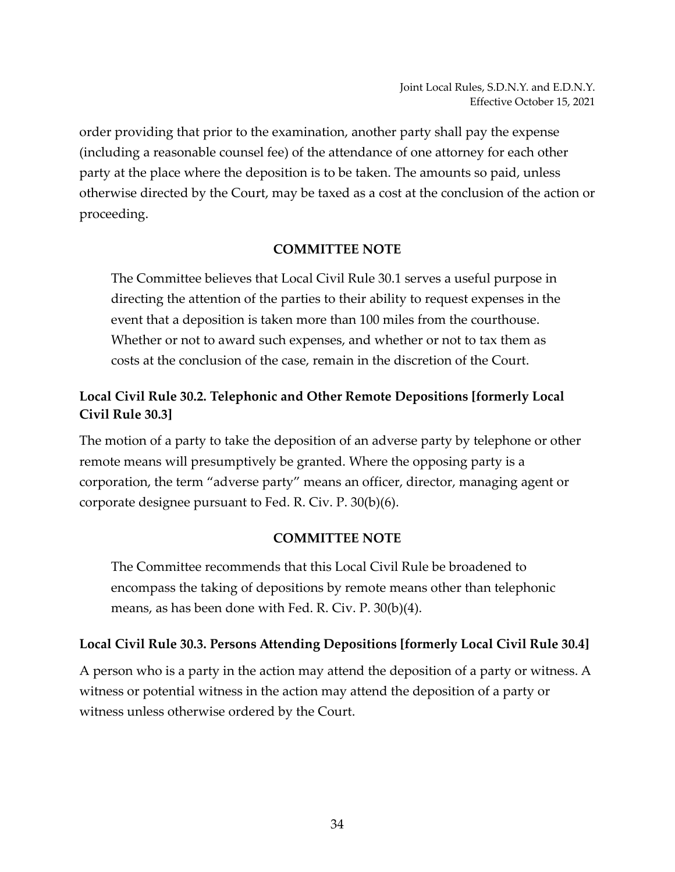order providing that prior to the examination, another party shall pay the expense (including a reasonable counsel fee) of the attendance of one attorney for each other party at the place where the deposition is to be taken. The amounts so paid, unless otherwise directed by the Court, may be taxed as a cost at the conclusion of the action or proceeding.

# **COMMITTEE NOTE**

The Committee believes that Local Civil Rule 30.1 serves a useful purpose in directing the attention of the parties to their ability to request expenses in the event that a deposition is taken more than 100 miles from the courthouse. Whether or not to award such expenses, and whether or not to tax them as costs at the conclusion of the case, remain in the discretion of the Court.

# **Local Civil Rule 30.2. Telephonic and Other Remote Depositions [formerly Local Civil Rule 30.3]**

The motion of a party to take the deposition of an adverse party by telephone or other remote means will presumptively be granted. Where the opposing party is a corporation, the term "adverse party" means an officer, director, managing agent or corporate designee pursuant to Fed. R. Civ. P. 30(b)(6).

# **COMMITTEE NOTE**

The Committee recommends that this Local Civil Rule be broadened to encompass the taking of depositions by remote means other than telephonic means, as has been done with Fed. R. Civ. P. 30(b)(4).

# **Local Civil Rule 30.3. Persons Attending Depositions [formerly Local Civil Rule 30.4]**

A person who is a party in the action may attend the deposition of a party or witness. A witness or potential witness in the action may attend the deposition of a party or witness unless otherwise ordered by the Court.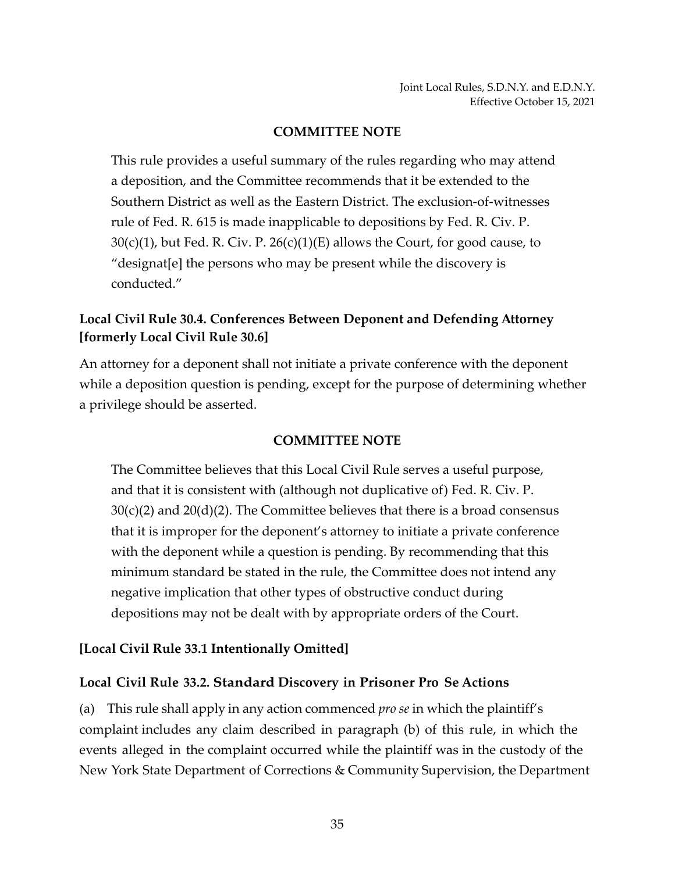This rule provides a useful summary of the rules regarding who may attend a deposition, and the Committee recommends that it be extended to the Southern District as well as the Eastern District. The exclusion-of-witnesses rule of Fed. R. 615 is made inapplicable to depositions by Fed. R. Civ. P.  $30(c)(1)$ , but Fed. R. Civ. P.  $26(c)(1)(E)$  allows the Court, for good cause, to "designat[e] the persons who may be present while the discovery is conducted."

# **Local Civil Rule 30.4. Conferences Between Deponent and Defending Attorney [formerly Local Civil Rule 30.6]**

An attorney for a deponent shall not initiate a private conference with the deponent while a deposition question is pending, except for the purpose of determining whether a privilege should be asserted.

#### **COMMITTEE NOTE**

The Committee believes that this Local Civil Rule serves a useful purpose, and that it is consistent with (although not duplicative of) Fed. R. Civ. P.  $30(c)(2)$  and  $20(d)(2)$ . The Committee believes that there is a broad consensus that it is improper for the deponent's attorney to initiate a private conference with the deponent while a question is pending. By recommending that this minimum standard be stated in the rule, the Committee does not intend any negative implication that other types of obstructive conduct during depositions may not be dealt with by appropriate orders of the Court.

## **[Local Civil Rule 33.1 Intentionally Omitted]**

#### **Local Civil Rule 33.2. Standard Discovery in Prisoner Pro Se Actions**

(a) This rule shall apply in any action commenced *pro se* in which the plaintiff's complaint includes any claim described in paragraph (b) of this rule, in which the events alleged in the complaint occurred while the plaintiff was in the custody of the New York State Department of Corrections & Community Supervision, the Department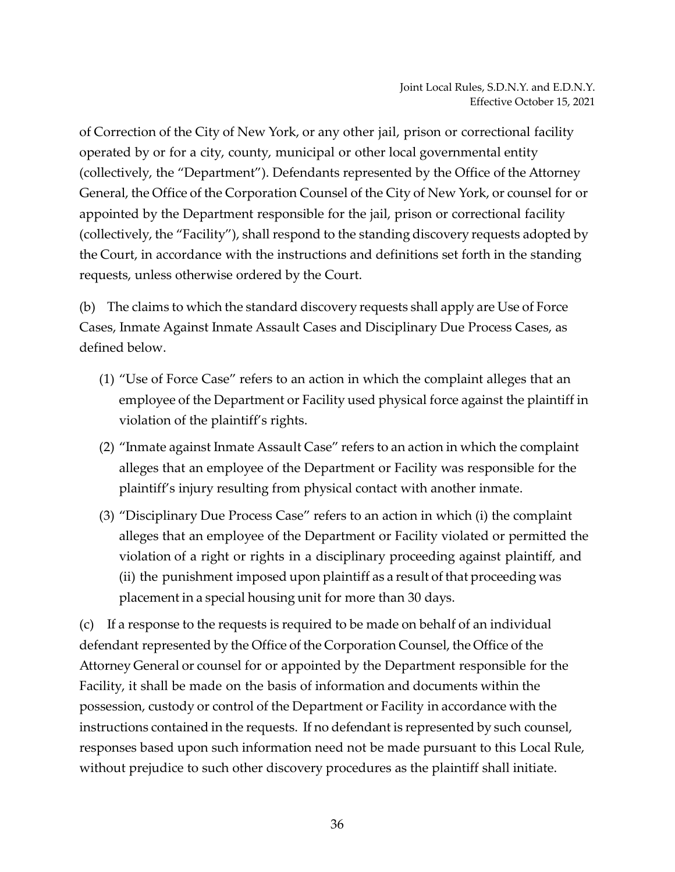of Correction of the City of New York, or any other jail, prison or correctional facility operated by or for a city, county, municipal or other local governmental entity (collectively, the "Department"). Defendants represented by the Office of the Attorney General, the Office of the Corporation Counsel of the City of New York, or counsel for or appointed by the Department responsible for the jail, prison or correctional facility (collectively, the "Facility"), shall respond to the standing discovery requests adopted by the Court, in accordance with the instructions and definitions set forth in the standing requests, unless otherwise ordered by the Court.

(b) The claims to which the standard discovery requests shall apply are Use of Force Cases, Inmate Against Inmate Assault Cases and Disciplinary Due Process Cases, as defined below.

- (1) "Use of Force Case" refers to an action in which the complaint alleges that an employee of the Department or Facility used physical force against the plaintiff in violation of the plaintiff's rights.
- (2) "Inmate against Inmate Assault Case" refers to an action in which the complaint alleges that an employee of the Department or Facility was responsible for the plaintiff's injury resulting from physical contact with another inmate.
- (3) "Disciplinary Due Process Case" refers to an action in which (i) the complaint alleges that an employee of the Department or Facility violated or permitted the violation of a right or rights in a disciplinary proceeding against plaintiff, and (ii) the punishment imposed upon plaintiff as a result of that proceeding was placement in a special housing unit for more than 30 days.

(c) If a response to the requests is required to be made on behalf of an individual defendant represented by the Office of the Corporation Counsel, the Office of the Attorney General or counsel for or appointed by the Department responsible for the Facility, it shall be made on the basis of information and documents within the possession, custody or control of the Department or Facility in accordance with the instructions contained in the requests. If no defendant is represented by such counsel, responses based upon such information need not be made pursuant to this Local Rule, without prejudice to such other discovery procedures as the plaintiff shall initiate.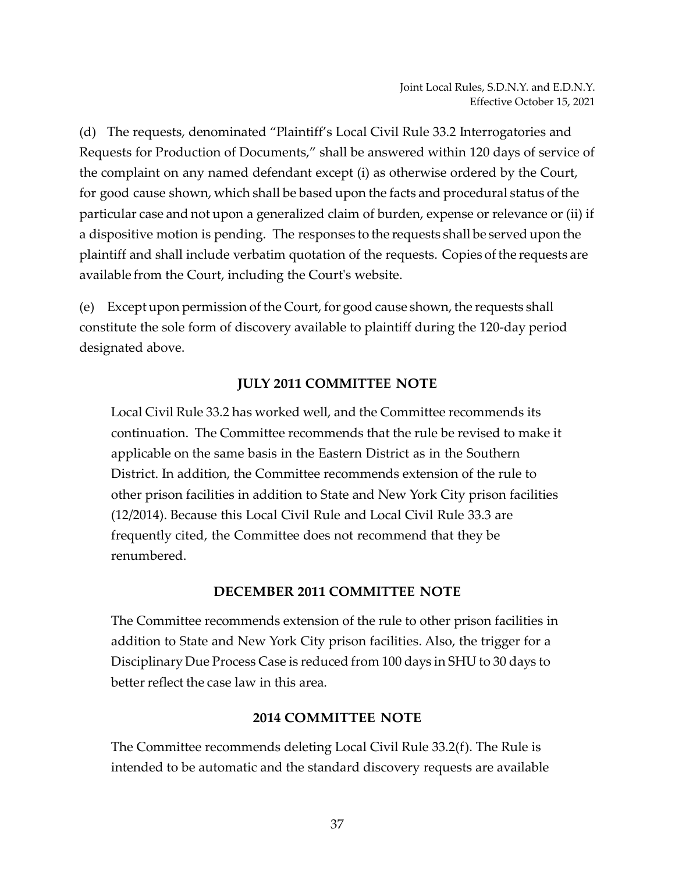(d) The requests, denominated "Plaintiff's Local Civil Rule 33.2 Interrogatories and Requests for Production of Documents," shall be answered within 120 days of service of the complaint on any named defendant except (i) as otherwise ordered by the Court, for good cause shown, which shall be based upon the facts and procedural status of the particular case and not upon a generalized claim of burden, expense or relevance or (ii) if a dispositive motion is pending. The responses to the requests shall be served upon the plaintiff and shall include verbatim quotation of the requests. Copies of the requests are available from the Court, including the Court's website.

(e) Except upon permission of the Court, for good cause shown, the requests shall constitute the sole form of discovery available to plaintiff during the 120-day period designated above.

# **JULY 2011 COMMITTEE NOTE**

Local Civil Rule 33.2 has worked well, and the Committee recommends its continuation. The Committee recommends that the rule be revised to make it applicable on the same basis in the Eastern District as in the Southern District. In addition, the Committee recommends extension of the rule to other prison facilities in addition to State and New York City prison facilities (12/2014). Because this Local Civil Rule and Local Civil Rule 33.3 are frequently cited, the Committee does not recommend that they be renumbered.

# **DECEMBER 2011 COMMITTEE NOTE**

The Committee recommends extension of the rule to other prison facilities in addition to State and New York City prison facilities. Also, the trigger for a DisciplinaryDue Process Case is reduced from 100 days in SHU to 30 days to better reflect the case law in this area.

# **2014 COMMITTEE NOTE**

The Committee recommends deleting Local Civil Rule 33.2(f). The Rule is intended to be automatic and the standard discovery requests are available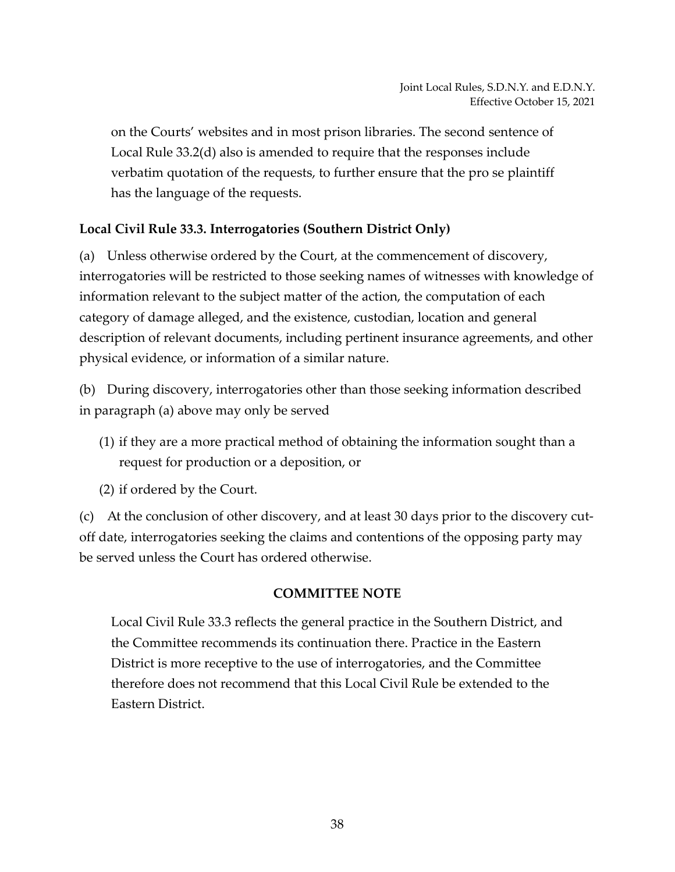on the Courts' websites and in most prison libraries. The second sentence of Local Rule 33.2(d) also is amended to require that the responses include verbatim quotation of the requests, to further ensure that the pro se plaintiff has the language of the requests.

# **Local Civil Rule 33.3. Interrogatories (Southern District Only)**

(a) Unless otherwise ordered by the Court, at the commencement of discovery, interrogatories will be restricted to those seeking names of witnesses with knowledge of information relevant to the subject matter of the action, the computation of each category of damage alleged, and the existence, custodian, location and general description of relevant documents, including pertinent insurance agreements, and other physical evidence, or information of a similar nature.

(b) During discovery, interrogatories other than those seeking information described in paragraph (a) above may only be served

- (1) if they are a more practical method of obtaining the information sought than a request for production or a deposition, or
- (2) if ordered by the Court.

(c) At the conclusion of other discovery, and at least 30 days prior to the discovery cutoff date, interrogatories seeking the claims and contentions of the opposing party may be served unless the Court has ordered otherwise.

# **COMMITTEE NOTE**

Local Civil Rule 33.3 reflects the general practice in the Southern District, and the Committee recommends its continuation there. Practice in the Eastern District is more receptive to the use of interrogatories, and the Committee therefore does not recommend that this Local Civil Rule be extended to the Eastern District.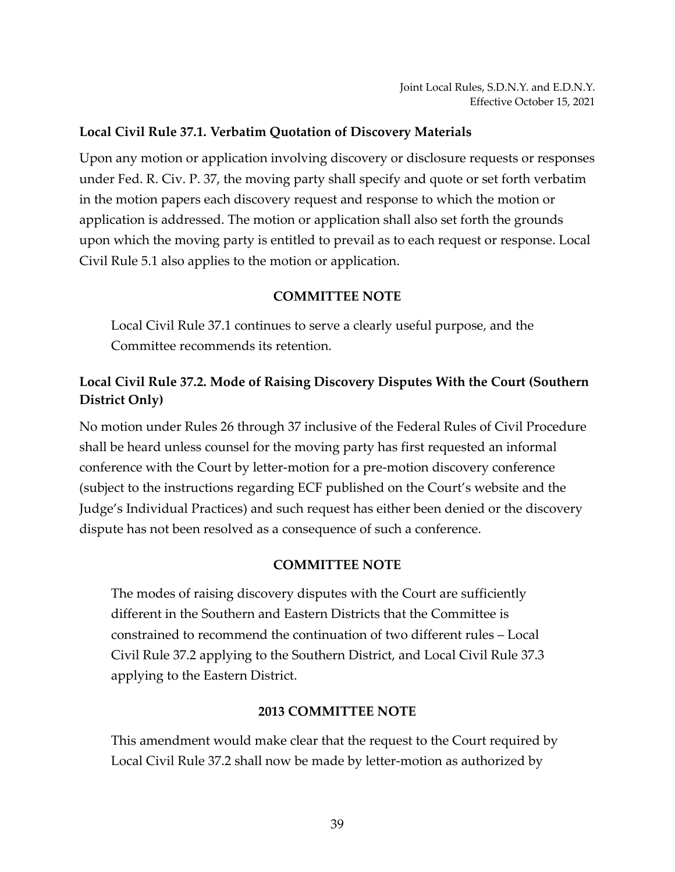# **Local Civil Rule 37.1. Verbatim Quotation of Discovery Materials**

Upon any motion or application involving discovery or disclosure requests or responses under Fed. R. Civ. P. 37, the moving party shall specify and quote or set forth verbatim in the motion papers each discovery request and response to which the motion or application is addressed. The motion or application shall also set forth the grounds upon which the moving party is entitled to prevail as to each request or response. Local Civil Rule 5.1 also applies to the motion or application.

## **COMMITTEE NOTE**

Local Civil Rule 37.1 continues to serve a clearly useful purpose, and the Committee recommends its retention.

# **Local Civil Rule 37.2. Mode of Raising Discovery Disputes With the Court (Southern District Only)**

No motion under Rules 26 through 37 inclusive of the Federal Rules of Civil Procedure shall be heard unless counsel for the moving party has first requested an informal conference with the Court by letter-motion for a pre-motion discovery conference (subject to the instructions regarding ECF published on the Court's website and the Judge's Individual Practices) and such request has either been denied or the discovery dispute has not been resolved as a consequence of such a conference.

# **COMMITTEE NOTE**

The modes of raising discovery disputes with the Court are sufficiently different in the Southern and Eastern Districts that the Committee is constrained to recommend the continuation of two different rules – Local Civil Rule 37.2 applying to the Southern District, and Local Civil Rule 37.3 applying to the Eastern District.

## **2013 COMMITTEE NOTE**

This amendment would make clear that the request to the Court required by Local Civil Rule 37.2 shall now be made by letter-motion as authorized by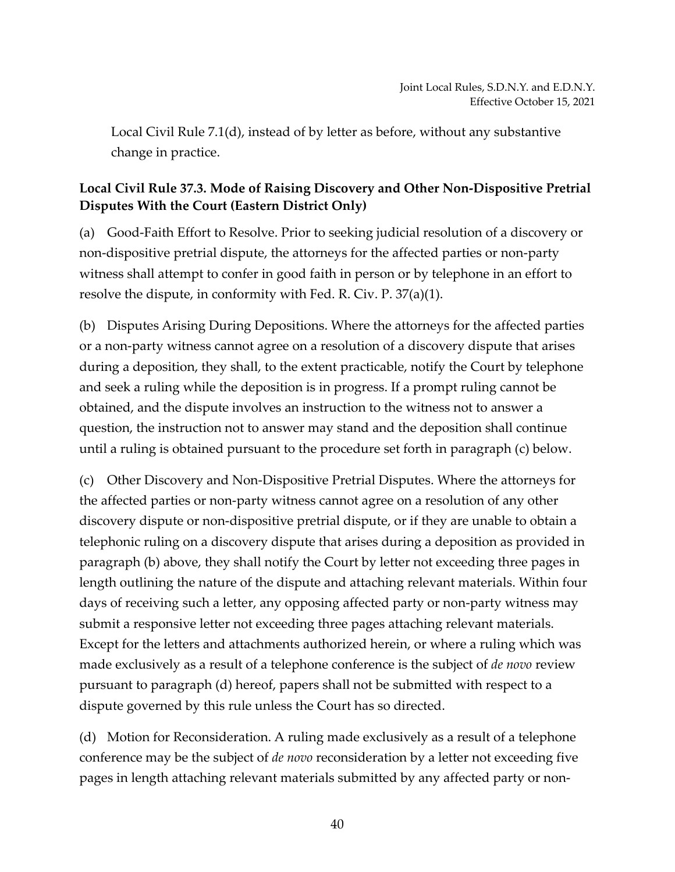Local Civil Rule 7.1(d), instead of by letter as before, without any substantive change in practice.

# **Local Civil Rule 37.3. Mode of Raising Discovery and Other Non-Dispositive Pretrial Disputes With the Court (Eastern District Only)**

(a) Good-Faith Effort to Resolve. Prior to seeking judicial resolution of a discovery or non-dispositive pretrial dispute, the attorneys for the affected parties or non-party witness shall attempt to confer in good faith in person or by telephone in an effort to resolve the dispute, in conformity with Fed. R. Civ. P. 37(a)(1).

(b) Disputes Arising During Depositions. Where the attorneys for the affected parties or a non-party witness cannot agree on a resolution of a discovery dispute that arises during a deposition, they shall, to the extent practicable, notify the Court by telephone and seek a ruling while the deposition is in progress. If a prompt ruling cannot be obtained, and the dispute involves an instruction to the witness not to answer a question, the instruction not to answer may stand and the deposition shall continue until a ruling is obtained pursuant to the procedure set forth in paragraph (c) below.

(c) Other Discovery and Non-Dispositive Pretrial Disputes. Where the attorneys for the affected parties or non-party witness cannot agree on a resolution of any other discovery dispute or non-dispositive pretrial dispute, or if they are unable to obtain a telephonic ruling on a discovery dispute that arises during a deposition as provided in paragraph (b) above, they shall notify the Court by letter not exceeding three pages in length outlining the nature of the dispute and attaching relevant materials. Within four days of receiving such a letter, any opposing affected party or non-party witness may submit a responsive letter not exceeding three pages attaching relevant materials. Except for the letters and attachments authorized herein, or where a ruling which was made exclusively as a result of a telephone conference is the subject of *de novo* review pursuant to paragraph (d) hereof, papers shall not be submitted with respect to a dispute governed by this rule unless the Court has so directed.

(d) Motion for Reconsideration. A ruling made exclusively as a result of a telephone conference may be the subject of *de novo* reconsideration by a letter not exceeding five pages in length attaching relevant materials submitted by any affected party or non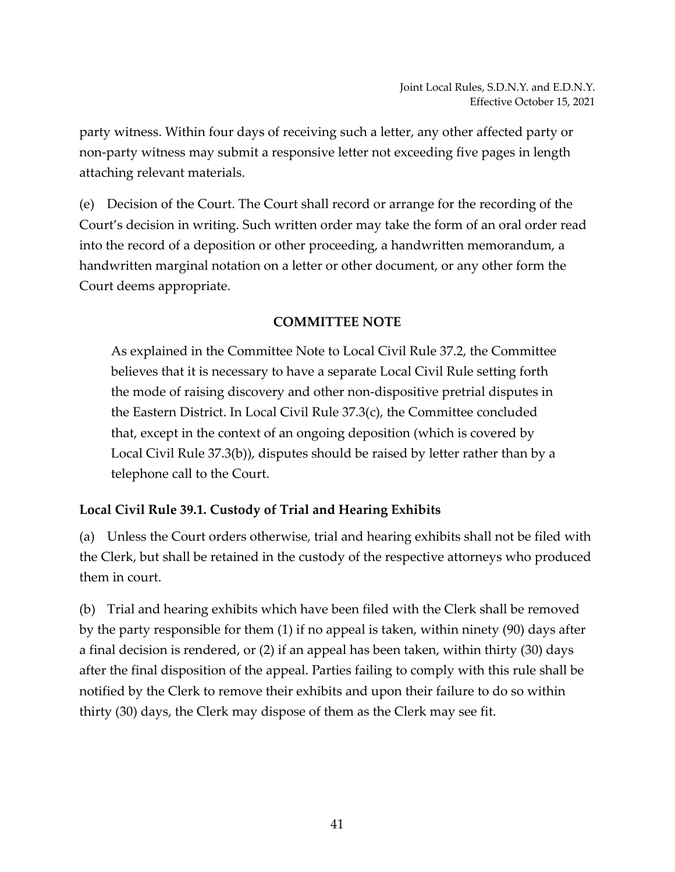party witness. Within four days of receiving such a letter, any other affected party or non-party witness may submit a responsive letter not exceeding five pages in length attaching relevant materials.

(e) Decision of the Court. The Court shall record or arrange for the recording of the Court's decision in writing. Such written order may take the form of an oral order read into the record of a deposition or other proceeding, a handwritten memorandum, a handwritten marginal notation on a letter or other document, or any other form the Court deems appropriate.

# **COMMITTEE NOTE**

As explained in the Committee Note to Local Civil Rule 37.2, the Committee believes that it is necessary to have a separate Local Civil Rule setting forth the mode of raising discovery and other non-dispositive pretrial disputes in the Eastern District. In Local Civil Rule 37.3(c), the Committee concluded that, except in the context of an ongoing deposition (which is covered by Local Civil Rule 37.3(b)), disputes should be raised by letter rather than by a telephone call to the Court.

# **Local Civil Rule 39.1. Custody of Trial and Hearing Exhibits**

(a) Unless the Court orders otherwise, trial and hearing exhibits shall not be filed with the Clerk, but shall be retained in the custody of the respective attorneys who produced them in court.

(b) Trial and hearing exhibits which have been filed with the Clerk shall be removed by the party responsible for them (1) if no appeal is taken, within ninety (90) days after a final decision is rendered, or (2) if an appeal has been taken, within thirty (30) days after the final disposition of the appeal. Parties failing to comply with this rule shall be notified by the Clerk to remove their exhibits and upon their failure to do so within thirty (30) days, the Clerk may dispose of them as the Clerk may see fit.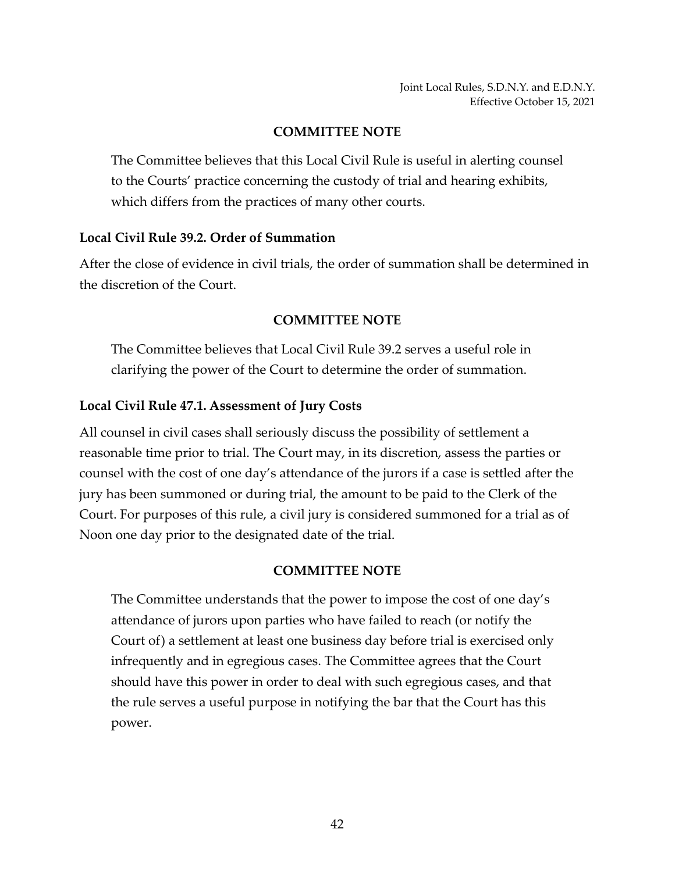The Committee believes that this Local Civil Rule is useful in alerting counsel to the Courts' practice concerning the custody of trial and hearing exhibits, which differs from the practices of many other courts.

## **Local Civil Rule 39.2. Order of Summation**

After the close of evidence in civil trials, the order of summation shall be determined in the discretion of the Court.

## **COMMITTEE NOTE**

The Committee believes that Local Civil Rule 39.2 serves a useful role in clarifying the power of the Court to determine the order of summation.

## **Local Civil Rule 47.1. Assessment of Jury Costs**

All counsel in civil cases shall seriously discuss the possibility of settlement a reasonable time prior to trial. The Court may, in its discretion, assess the parties or counsel with the cost of one day's attendance of the jurors if a case is settled after the jury has been summoned or during trial, the amount to be paid to the Clerk of the Court. For purposes of this rule, a civil jury is considered summoned for a trial as of Noon one day prior to the designated date of the trial.

## **COMMITTEE NOTE**

The Committee understands that the power to impose the cost of one day's attendance of jurors upon parties who have failed to reach (or notify the Court of) a settlement at least one business day before trial is exercised only infrequently and in egregious cases. The Committee agrees that the Court should have this power in order to deal with such egregious cases, and that the rule serves a useful purpose in notifying the bar that the Court has this power.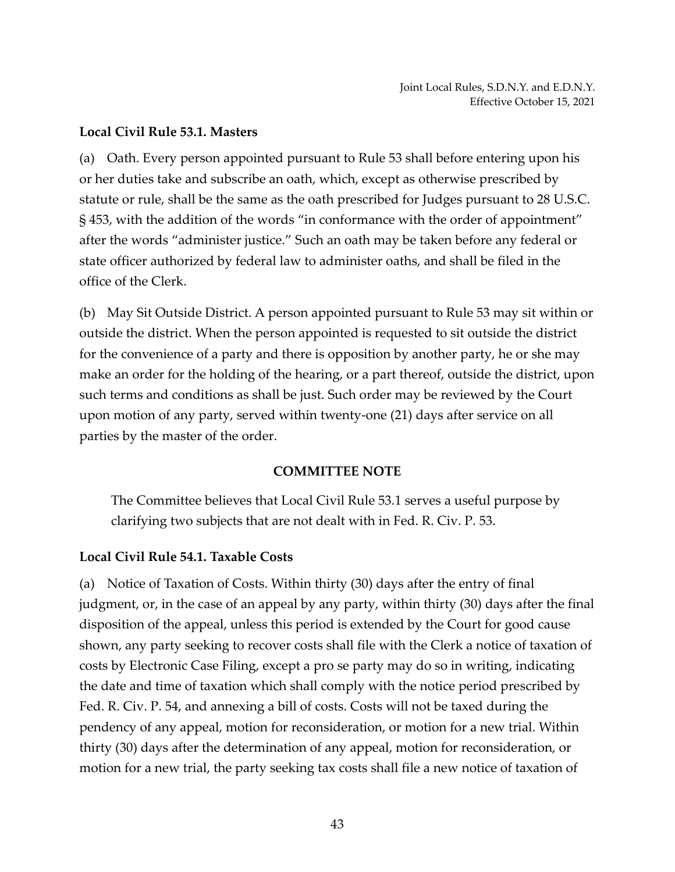## **Local Civil Rule 53.1. Masters**

(a) Oath. Every person appointed pursuant to Rule 53 shall before entering upon his or her duties take and subscribe an oath, which, except as otherwise prescribed by statute or rule, shall be the same as the oath prescribed for Judges pursuant to 28 U.S.C. § 453, with the addition of the words "in conformance with the order of appointment" after the words "administer justice." Such an oath may be taken before any federal or state officer authorized by federal law to administer oaths, and shall be filed in the office of the Clerk.

(b) May Sit Outside District. A person appointed pursuant to Rule 53 may sit within or outside the district. When the person appointed is requested to sit outside the district for the convenience of a party and there is opposition by another party, he or she may make an order for the holding of the hearing, or a part thereof, outside the district, upon such terms and conditions as shall be just. Such order may be reviewed by the Court upon motion of any party, served within twenty-one (21) days after service on all parties by the master of the order.

# **COMMITTEE NOTE**

The Committee believes that Local Civil Rule 53.1 serves a useful purpose by clarifying two subjects that are not dealt with in Fed. R. Civ. P. 53.

## **Local Civil Rule 54.1. Taxable Costs**

(a) Notice of Taxation of Costs. Within thirty (30) days after the entry of final judgment, or, in the case of an appeal by any party, within thirty (30) days after the final disposition of the appeal, unless this period is extended by the Court for good cause shown, any party seeking to recover costs shall file with the Clerk a notice of taxation of costs by Electronic Case Filing, except a pro se party may do so in writing, indicating the date and time of taxation which shall comply with the notice period prescribed by Fed. R. Civ. P. 54, and annexing a bill of costs. Costs will not be taxed during the pendency of any appeal, motion for reconsideration, or motion for a new trial. Within thirty (30) days after the determination of any appeal, motion for reconsideration, or motion for a new trial, the party seeking tax costs shall file a new notice of taxation of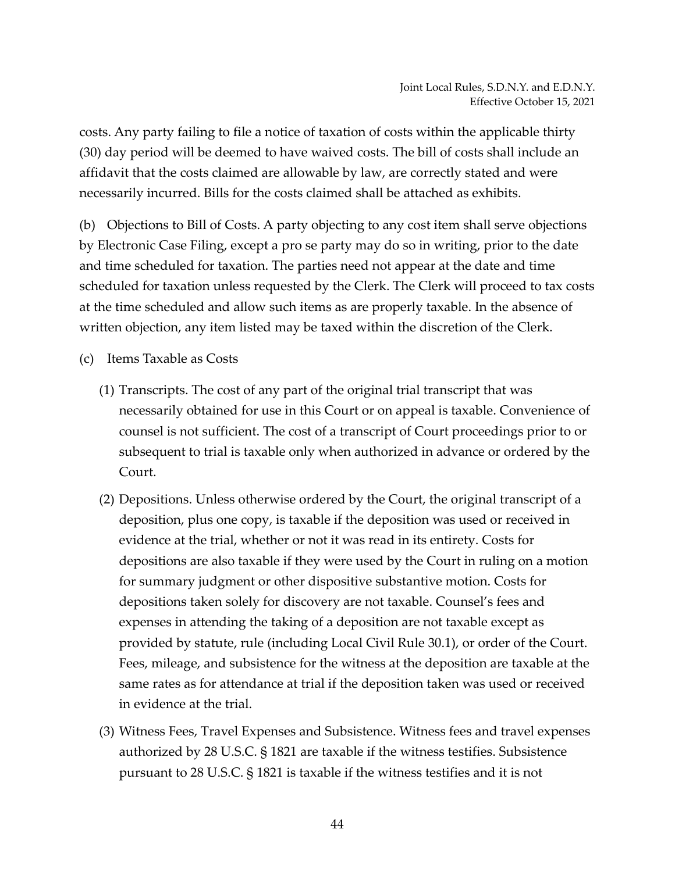costs. Any party failing to file a notice of taxation of costs within the applicable thirty (30) day period will be deemed to have waived costs. The bill of costs shall include an affidavit that the costs claimed are allowable by law, are correctly stated and were necessarily incurred. Bills for the costs claimed shall be attached as exhibits.

(b) Objections to Bill of Costs. A party objecting to any cost item shall serve objections by Electronic Case Filing, except a pro se party may do so in writing, prior to the date and time scheduled for taxation. The parties need not appear at the date and time scheduled for taxation unless requested by the Clerk. The Clerk will proceed to tax costs at the time scheduled and allow such items as are properly taxable. In the absence of written objection, any item listed may be taxed within the discretion of the Clerk.

- (c) Items Taxable as Costs
	- (1) Transcripts. The cost of any part of the original trial transcript that was necessarily obtained for use in this Court or on appeal is taxable. Convenience of counsel is not sufficient. The cost of a transcript of Court proceedings prior to or subsequent to trial is taxable only when authorized in advance or ordered by the Court.
	- (2) Depositions. Unless otherwise ordered by the Court, the original transcript of a deposition, plus one copy, is taxable if the deposition was used or received in evidence at the trial, whether or not it was read in its entirety. Costs for depositions are also taxable if they were used by the Court in ruling on a motion for summary judgment or other dispositive substantive motion. Costs for depositions taken solely for discovery are not taxable. Counsel's fees and expenses in attending the taking of a deposition are not taxable except as provided by statute, rule (including Local Civil Rule 30.1), or order of the Court. Fees, mileage, and subsistence for the witness at the deposition are taxable at the same rates as for attendance at trial if the deposition taken was used or received in evidence at the trial.
	- (3) Witness Fees, Travel Expenses and Subsistence. Witness fees and travel expenses authorized by 28 U.S.C. § 1821 are taxable if the witness testifies. Subsistence pursuant to 28 U.S.C. § 1821 is taxable if the witness testifies and it is not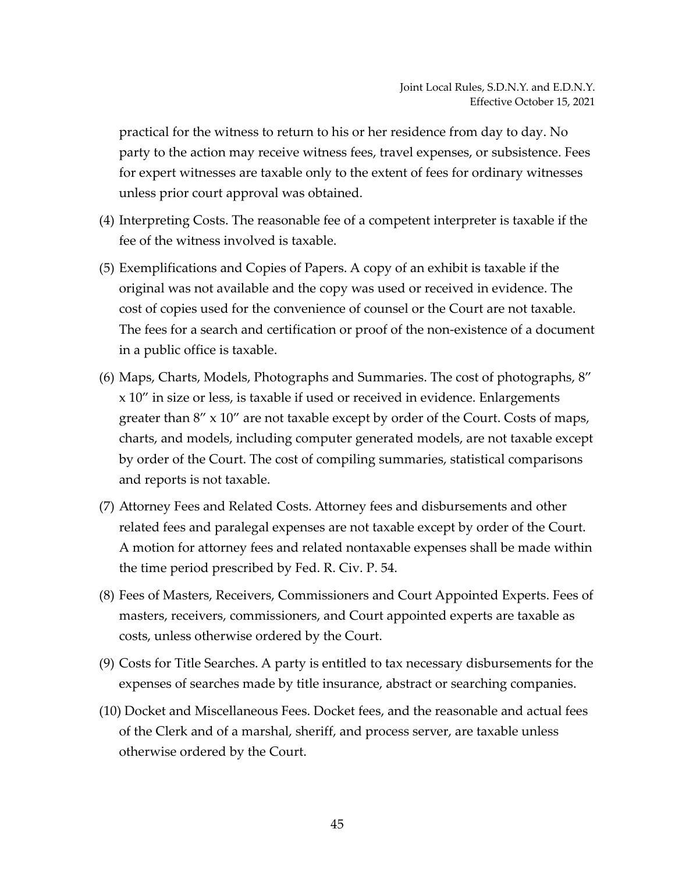practical for the witness to return to his or her residence from day to day. No party to the action may receive witness fees, travel expenses, or subsistence. Fees for expert witnesses are taxable only to the extent of fees for ordinary witnesses unless prior court approval was obtained.

- (4) Interpreting Costs. The reasonable fee of a competent interpreter is taxable if the fee of the witness involved is taxable.
- (5) Exemplifications and Copies of Papers. A copy of an exhibit is taxable if the original was not available and the copy was used or received in evidence. The cost of copies used for the convenience of counsel or the Court are not taxable. The fees for a search and certification or proof of the non-existence of a document in a public office is taxable.
- (6) Maps, Charts, Models, Photographs and Summaries. The cost of photographs, 8" x 10" in size or less, is taxable if used or received in evidence. Enlargements greater than 8" x 10" are not taxable except by order of the Court. Costs of maps, charts, and models, including computer generated models, are not taxable except by order of the Court. The cost of compiling summaries, statistical comparisons and reports is not taxable.
- (7) Attorney Fees and Related Costs. Attorney fees and disbursements and other related fees and paralegal expenses are not taxable except by order of the Court. A motion for attorney fees and related nontaxable expenses shall be made within the time period prescribed by Fed. R. Civ. P. 54.
- (8) Fees of Masters, Receivers, Commissioners and Court Appointed Experts. Fees of masters, receivers, commissioners, and Court appointed experts are taxable as costs, unless otherwise ordered by the Court.
- (9) Costs for Title Searches. A party is entitled to tax necessary disbursements for the expenses of searches made by title insurance, abstract or searching companies.
- (10) Docket and Miscellaneous Fees. Docket fees, and the reasonable and actual fees of the Clerk and of a marshal, sheriff, and process server, are taxable unless otherwise ordered by the Court.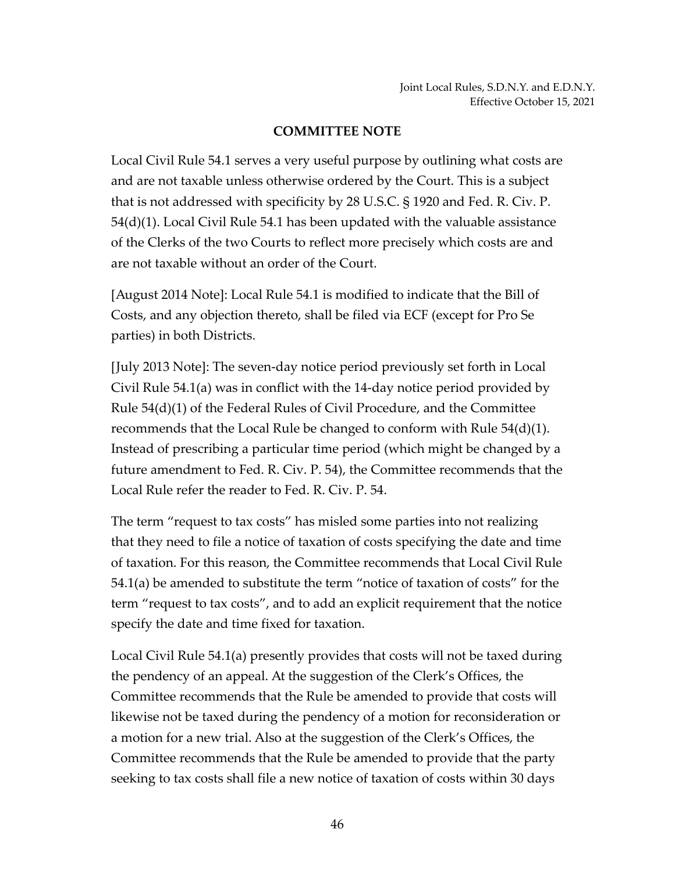Local Civil Rule 54.1 serves a very useful purpose by outlining what costs are and are not taxable unless otherwise ordered by the Court. This is a subject that is not addressed with specificity by 28 U.S.C. § 1920 and Fed. R. Civ. P. 54(d)(1). Local Civil Rule 54.1 has been updated with the valuable assistance of the Clerks of the two Courts to reflect more precisely which costs are and are not taxable without an order of the Court.

[August 2014 Note]: Local Rule 54.1 is modified to indicate that the Bill of Costs, and any objection thereto, shall be filed via ECF (except for Pro Se parties) in both Districts.

[July 2013 Note]: The seven-day notice period previously set forth in Local Civil Rule 54.1(a) was in conflict with the 14-day notice period provided by Rule 54(d)(1) of the Federal Rules of Civil Procedure, and the Committee recommends that the Local Rule be changed to conform with Rule 54(d)(1). Instead of prescribing a particular time period (which might be changed by a future amendment to Fed. R. Civ. P. 54), the Committee recommends that the Local Rule refer the reader to Fed. R. Civ. P. 54.

The term "request to tax costs" has misled some parties into not realizing that they need to file a notice of taxation of costs specifying the date and time of taxation. For this reason, the Committee recommends that Local Civil Rule 54.1(a) be amended to substitute the term "notice of taxation of costs" for the term "request to tax costs", and to add an explicit requirement that the notice specify the date and time fixed for taxation.

Local Civil Rule 54.1(a) presently provides that costs will not be taxed during the pendency of an appeal. At the suggestion of the Clerk's Offices, the Committee recommends that the Rule be amended to provide that costs will likewise not be taxed during the pendency of a motion for reconsideration or a motion for a new trial. Also at the suggestion of the Clerk's Offices, the Committee recommends that the Rule be amended to provide that the party seeking to tax costs shall file a new notice of taxation of costs within 30 days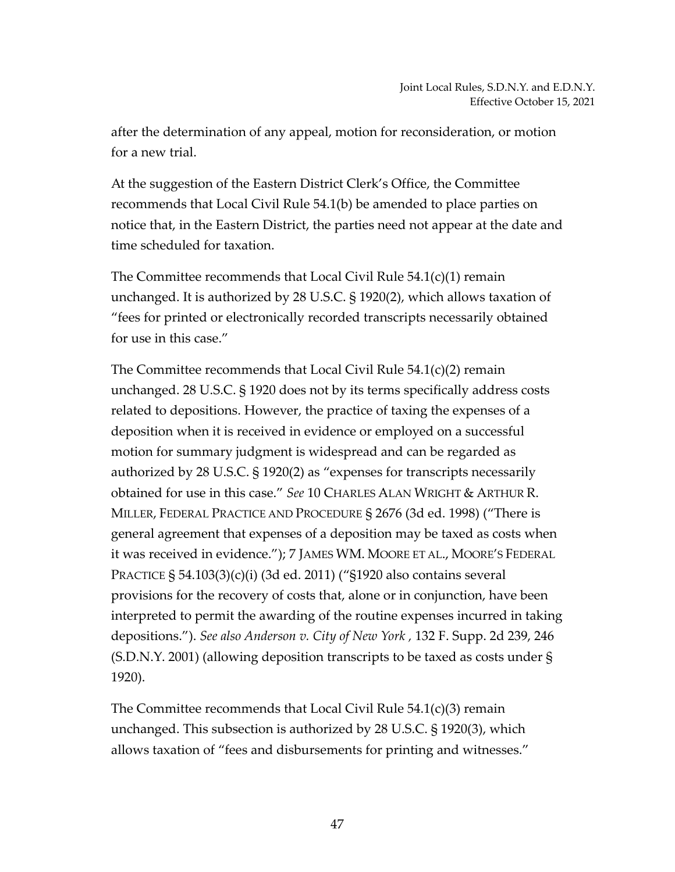after the determination of any appeal, motion for reconsideration, or motion for a new trial.

At the suggestion of the Eastern District Clerk's Office, the Committee recommends that Local Civil Rule 54.1(b) be amended to place parties on notice that, in the Eastern District, the parties need not appear at the date and time scheduled for taxation.

The Committee recommends that Local Civil Rule 54.1(c)(1) remain unchanged. It is authorized by 28 U.S.C. § 1920(2), which allows taxation of "fees for printed or electronically recorded transcripts necessarily obtained for use in this case."

The Committee recommends that Local Civil Rule 54.1(c)(2) remain unchanged. 28 U.S.C. § 1920 does not by its terms specifically address costs related to depositions. However, the practice of taxing the expenses of a deposition when it is received in evidence or employed on a successful motion for summary judgment is widespread and can be regarded as authorized by 28 U.S.C. § 1920(2) as "expenses for transcripts necessarily obtained for use in this case." *See* 10 CHARLES ALAN WRIGHT & ARTHUR R. MILLER, FEDERAL PRACTICE AND PROCEDURE § 2676 (3d ed. 1998) ("There is general agreement that expenses of a deposition may be taxed as costs when it was received in evidence."); 7 JAMES WM. MOORE ET AL., MOORE'S FEDERAL PRACTICE § 54.103(3)(c)(i) (3d ed. 2011) ("§1920 also contains several provisions for the recovery of costs that, alone or in conjunction, have been interpreted to permit the awarding of the routine expenses incurred in taking depositions."). *See also Anderson v. City of New York ,* 132 F. Supp. 2d 239, 246 (S.D.N.Y. 2001) (allowing deposition transcripts to be taxed as costs under § 1920).

The Committee recommends that Local Civil Rule 54.1(c)(3) remain unchanged. This subsection is authorized by 28 U.S.C. § 1920(3), which allows taxation of "fees and disbursements for printing and witnesses."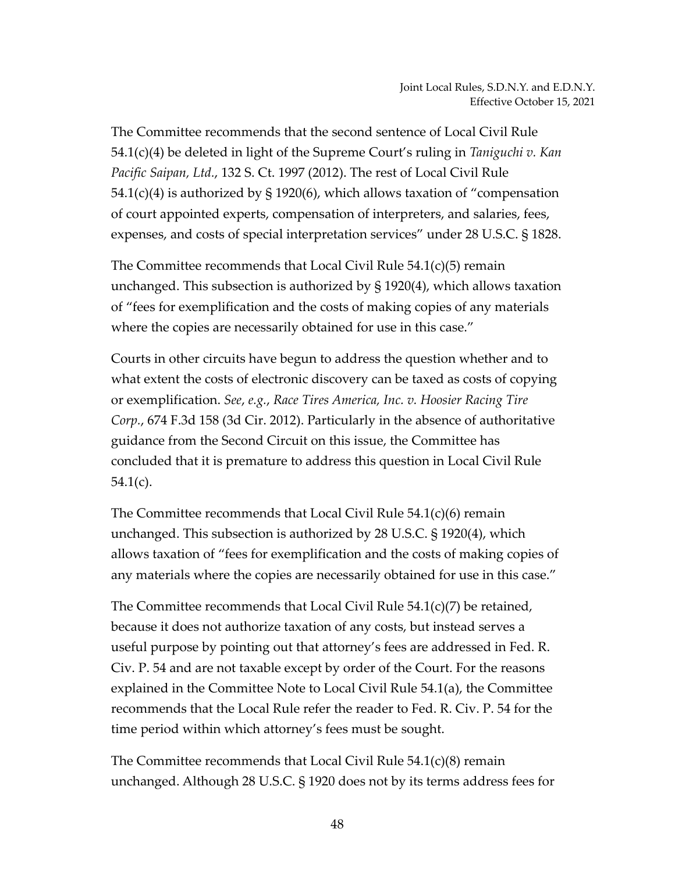The Committee recommends that the second sentence of Local Civil Rule 54.1(c)(4) be deleted in light of the Supreme Court's ruling in *Taniguchi v. Kan Pacific Saipan, Ltd.*, 132 S. Ct. 1997 (2012). The rest of Local Civil Rule 54.1(c)(4) is authorized by § 1920(6), which allows taxation of "compensation of court appointed experts, compensation of interpreters, and salaries, fees, expenses, and costs of special interpretation services" under 28 U.S.C. § 1828.

The Committee recommends that Local Civil Rule 54.1(c)(5) remain unchanged. This subsection is authorized by § 1920(4), which allows taxation of "fees for exemplification and the costs of making copies of any materials where the copies are necessarily obtained for use in this case."

Courts in other circuits have begun to address the question whether and to what extent the costs of electronic discovery can be taxed as costs of copying or exemplification. *See*, *e.g.*, *Race Tires America, Inc. v. Hoosier Racing Tire Corp.*, 674 F.3d 158 (3d Cir. 2012). Particularly in the absence of authoritative guidance from the Second Circuit on this issue, the Committee has concluded that it is premature to address this question in Local Civil Rule  $54.1(c)$ .

The Committee recommends that Local Civil Rule 54.1(c)(6) remain unchanged. This subsection is authorized by 28 U.S.C. § 1920(4), which allows taxation of "fees for exemplification and the costs of making copies of any materials where the copies are necessarily obtained for use in this case."

The Committee recommends that Local Civil Rule  $54.1(c)(7)$  be retained, because it does not authorize taxation of any costs, but instead serves a useful purpose by pointing out that attorney's fees are addressed in Fed. R. Civ. P. 54 and are not taxable except by order of the Court. For the reasons explained in the Committee Note to Local Civil Rule 54.1(a), the Committee recommends that the Local Rule refer the reader to Fed. R. Civ. P. 54 for the time period within which attorney's fees must be sought.

The Committee recommends that Local Civil Rule 54.1(c)(8) remain unchanged. Although 28 U.S.C. § 1920 does not by its terms address fees for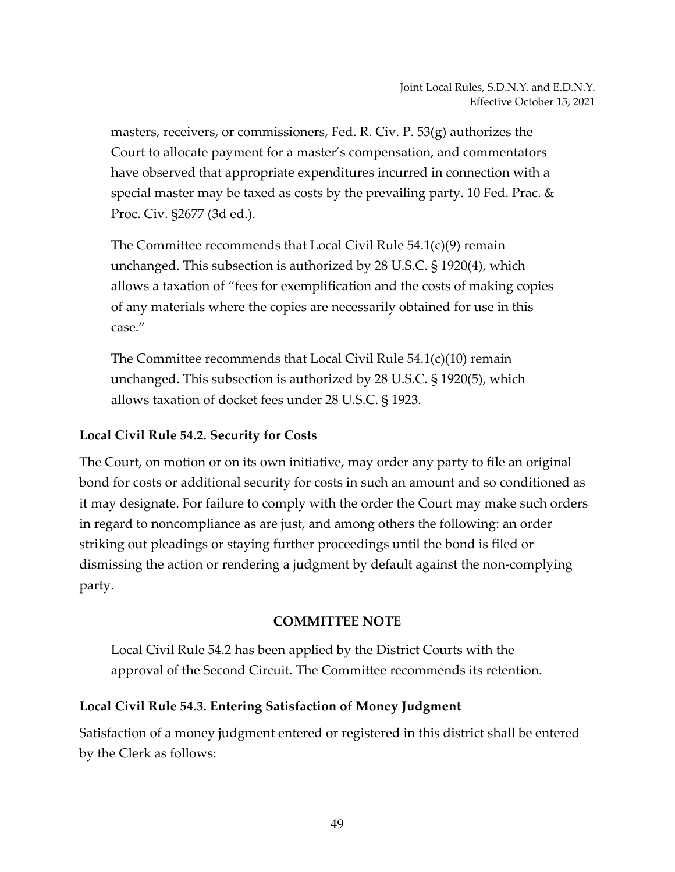masters, receivers, or commissioners, Fed. R. Civ. P. 53(g) authorizes the Court to allocate payment for a master's compensation, and commentators have observed that appropriate expenditures incurred in connection with a special master may be taxed as costs by the prevailing party. 10 Fed. Prac. & Proc. Civ. §2677 (3d ed.).

The Committee recommends that Local Civil Rule 54.1(c)(9) remain unchanged. This subsection is authorized by 28 U.S.C. § 1920(4), which allows a taxation of "fees for exemplification and the costs of making copies of any materials where the copies are necessarily obtained for use in this case."

The Committee recommends that Local Civil Rule 54.1(c)(10) remain unchanged. This subsection is authorized by 28 U.S.C. § 1920(5), which allows taxation of docket fees under 28 U.S.C. § 1923.

# **Local Civil Rule 54.2. Security for Costs**

The Court, on motion or on its own initiative, may order any party to file an original bond for costs or additional security for costs in such an amount and so conditioned as it may designate. For failure to comply with the order the Court may make such orders in regard to noncompliance as are just, and among others the following: an order striking out pleadings or staying further proceedings until the bond is filed or dismissing the action or rendering a judgment by default against the non-complying party.

# **COMMITTEE NOTE**

Local Civil Rule 54.2 has been applied by the District Courts with the approval of the Second Circuit. The Committee recommends its retention.

# **Local Civil Rule 54.3. Entering Satisfaction of Money Judgment**

Satisfaction of a money judgment entered or registered in this district shall be entered by the Clerk as follows: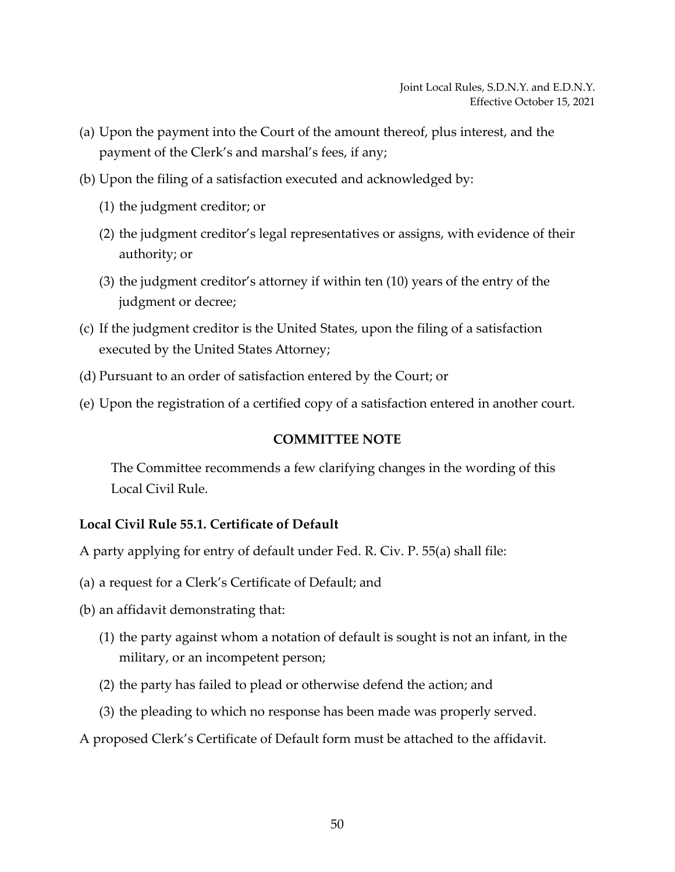- (a) Upon the payment into the Court of the amount thereof, plus interest, and the payment of the Clerk's and marshal's fees, if any;
- (b) Upon the filing of a satisfaction executed and acknowledged by:
	- (1) the judgment creditor; or
	- (2) the judgment creditor's legal representatives or assigns, with evidence of their authority; or
	- (3) the judgment creditor's attorney if within ten (10) years of the entry of the judgment or decree;
- (c) If the judgment creditor is the United States, upon the filing of a satisfaction executed by the United States Attorney;
- (d) Pursuant to an order of satisfaction entered by the Court; or
- (e) Upon the registration of a certified copy of a satisfaction entered in another court.

The Committee recommends a few clarifying changes in the wording of this Local Civil Rule.

## **Local Civil Rule 55.1. Certificate of Default**

A party applying for entry of default under Fed. R. Civ. P. 55(a) shall file:

- (a) a request for a Clerk's Certificate of Default; and
- (b) an affidavit demonstrating that:
	- (1) the party against whom a notation of default is sought is not an infant, in the military, or an incompetent person;
	- (2) the party has failed to plead or otherwise defend the action; and
	- (3) the pleading to which no response has been made was properly served.

#### A proposed Clerk's Certificate of Default form must be attached to the affidavit.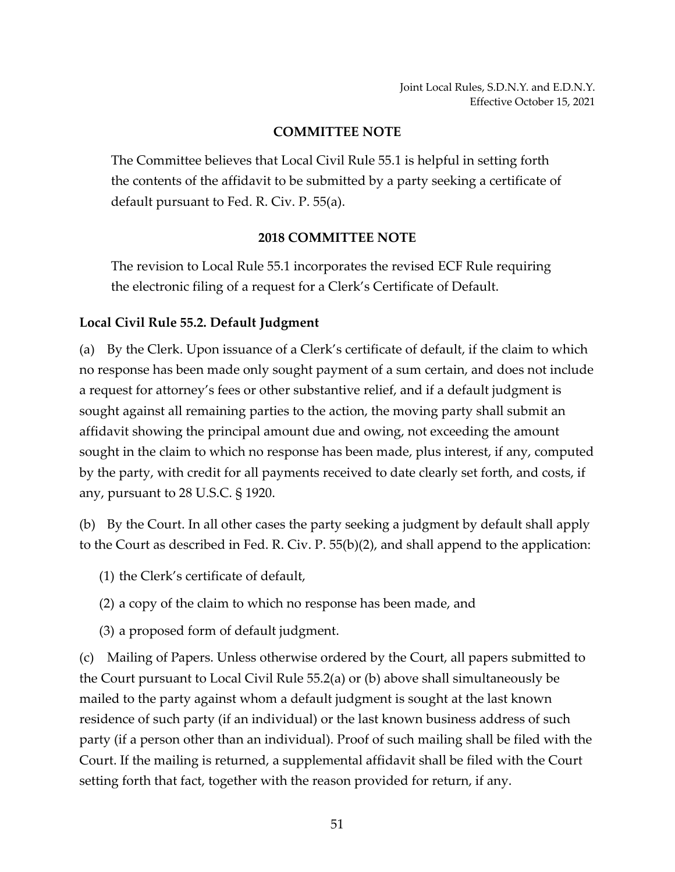The Committee believes that Local Civil Rule 55.1 is helpful in setting forth the contents of the affidavit to be submitted by a party seeking a certificate of default pursuant to Fed. R. Civ. P. 55(a).

## **2018 COMMITTEE NOTE**

The revision to Local Rule 55.1 incorporates the revised ECF Rule requiring the electronic filing of a request for a Clerk's Certificate of Default.

## **Local Civil Rule 55.2. Default Judgment**

(a) By the Clerk. Upon issuance of a Clerk's certificate of default, if the claim to which no response has been made only sought payment of a sum certain, and does not include a request for attorney's fees or other substantive relief, and if a default judgment is sought against all remaining parties to the action, the moving party shall submit an affidavit showing the principal amount due and owing, not exceeding the amount sought in the claim to which no response has been made, plus interest, if any, computed by the party, with credit for all payments received to date clearly set forth, and costs, if any, pursuant to 28 U.S.C. § 1920.

(b) By the Court. In all other cases the party seeking a judgment by default shall apply to the Court as described in Fed. R. Civ. P. 55(b)(2), and shall append to the application:

- (1) the Clerk's certificate of default,
- (2) a copy of the claim to which no response has been made, and
- (3) a proposed form of default judgment.

(c) Mailing of Papers. Unless otherwise ordered by the Court, all papers submitted to the Court pursuant to Local Civil Rule 55.2(a) or (b) above shall simultaneously be mailed to the party against whom a default judgment is sought at the last known residence of such party (if an individual) or the last known business address of such party (if a person other than an individual). Proof of such mailing shall be filed with the Court. If the mailing is returned, a supplemental affidavit shall be filed with the Court setting forth that fact, together with the reason provided for return, if any.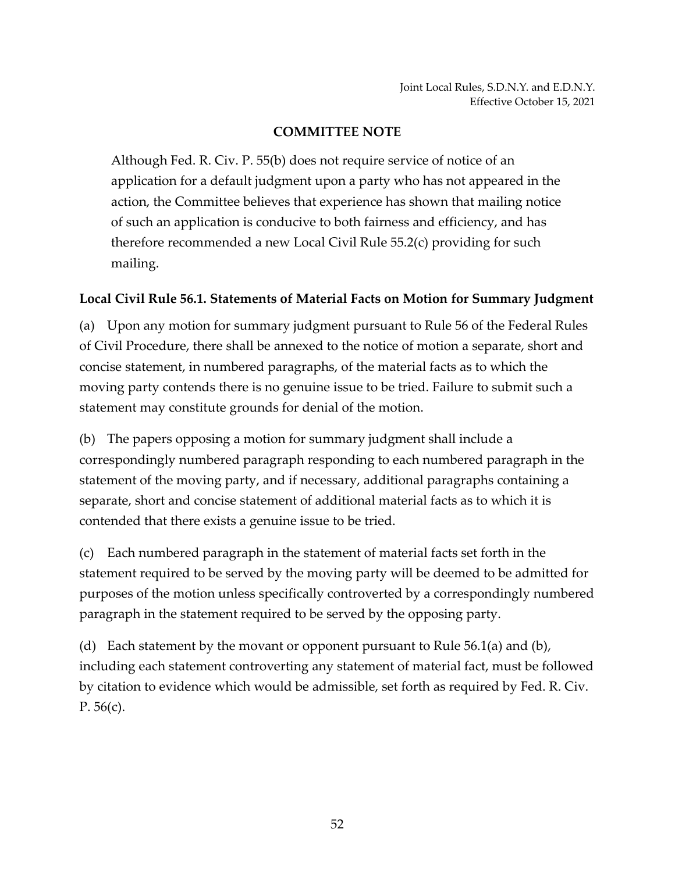Although Fed. R. Civ. P. 55(b) does not require service of notice of an application for a default judgment upon a party who has not appeared in the action, the Committee believes that experience has shown that mailing notice of such an application is conducive to both fairness and efficiency, and has therefore recommended a new Local Civil Rule 55.2(c) providing for such mailing.

# **Local Civil Rule 56.1. Statements of Material Facts on Motion for Summary Judgment**

(a) Upon any motion for summary judgment pursuant to Rule 56 of the Federal Rules of Civil Procedure, there shall be annexed to the notice of motion a separate, short and concise statement, in numbered paragraphs, of the material facts as to which the moving party contends there is no genuine issue to be tried. Failure to submit such a statement may constitute grounds for denial of the motion.

(b) The papers opposing a motion for summary judgment shall include a correspondingly numbered paragraph responding to each numbered paragraph in the statement of the moving party, and if necessary, additional paragraphs containing a separate, short and concise statement of additional material facts as to which it is contended that there exists a genuine issue to be tried.

(c) Each numbered paragraph in the statement of material facts set forth in the statement required to be served by the moving party will be deemed to be admitted for purposes of the motion unless specifically controverted by a correspondingly numbered paragraph in the statement required to be served by the opposing party.

(d) Each statement by the movant or opponent pursuant to Rule 56.1(a) and (b), including each statement controverting any statement of material fact, must be followed by citation to evidence which would be admissible, set forth as required by Fed. R. Civ. P. 56(c).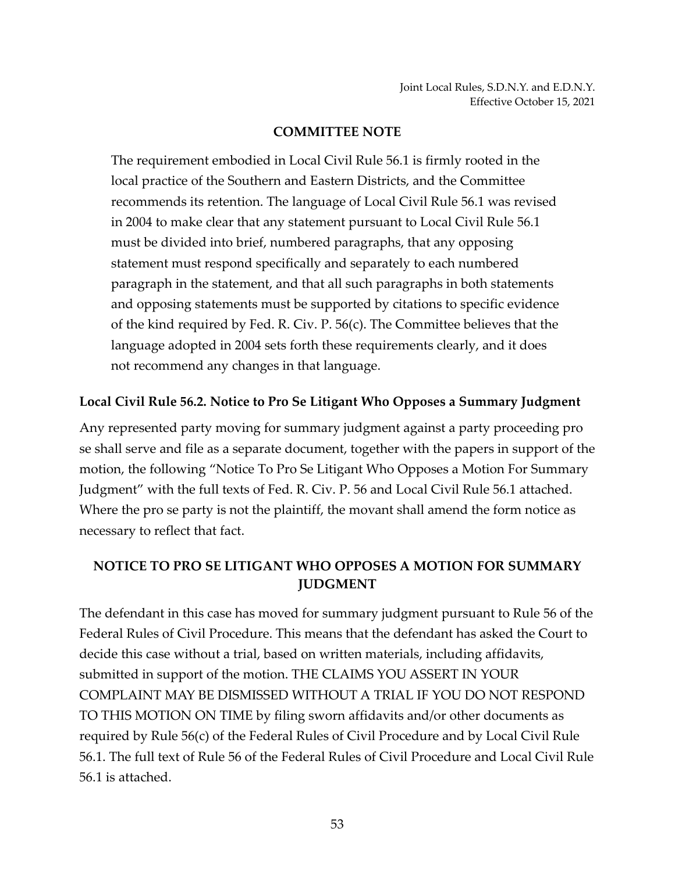The requirement embodied in Local Civil Rule 56.1 is firmly rooted in the local practice of the Southern and Eastern Districts, and the Committee recommends its retention. The language of Local Civil Rule 56.1 was revised in 2004 to make clear that any statement pursuant to Local Civil Rule 56.1 must be divided into brief, numbered paragraphs, that any opposing statement must respond specifically and separately to each numbered paragraph in the statement, and that all such paragraphs in both statements and opposing statements must be supported by citations to specific evidence of the kind required by Fed. R. Civ. P. 56(c). The Committee believes that the language adopted in 2004 sets forth these requirements clearly, and it does not recommend any changes in that language.

## **Local Civil Rule 56.2. Notice to Pro Se Litigant Who Opposes a Summary Judgment**

Any represented party moving for summary judgment against a party proceeding pro se shall serve and file as a separate document, together with the papers in support of the motion, the following "Notice To Pro Se Litigant Who Opposes a Motion For Summary Judgment" with the full texts of Fed. R. Civ. P. 56 and Local Civil Rule 56.1 attached. Where the pro se party is not the plaintiff, the movant shall amend the form notice as necessary to reflect that fact.

# **NOTICE TO PRO SE LITIGANT WHO OPPOSES A MOTION FOR SUMMARY JUDGMENT**

The defendant in this case has moved for summary judgment pursuant to Rule 56 of the Federal Rules of Civil Procedure. This means that the defendant has asked the Court to decide this case without a trial, based on written materials, including affidavits, submitted in support of the motion. THE CLAIMS YOU ASSERT IN YOUR COMPLAINT MAY BE DISMISSED WITHOUT A TRIAL IF YOU DO NOT RESPOND TO THIS MOTION ON TIME by filing sworn affidavits and/or other documents as required by Rule 56(c) of the Federal Rules of Civil Procedure and by Local Civil Rule 56.1. The full text of Rule 56 of the Federal Rules of Civil Procedure and Local Civil Rule 56.1 is attached.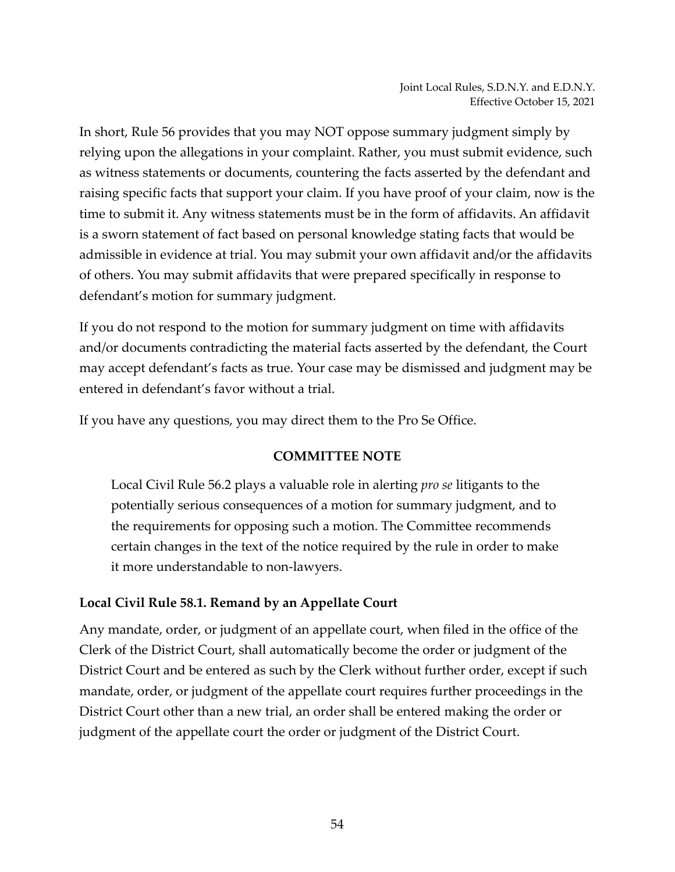In short, Rule 56 provides that you may NOT oppose summary judgment simply by relying upon the allegations in your complaint. Rather, you must submit evidence, such as witness statements or documents, countering the facts asserted by the defendant and raising specific facts that support your claim. If you have proof of your claim, now is the time to submit it. Any witness statements must be in the form of affidavits. An affidavit is a sworn statement of fact based on personal knowledge stating facts that would be admissible in evidence at trial. You may submit your own affidavit and/or the affidavits of others. You may submit affidavits that were prepared specifically in response to defendant's motion for summary judgment.

If you do not respond to the motion for summary judgment on time with affidavits and/or documents contradicting the material facts asserted by the defendant, the Court may accept defendant's facts as true. Your case may be dismissed and judgment may be entered in defendant's favor without a trial.

If you have any questions, you may direct them to the Pro Se Office.

# **COMMITTEE NOTE**

Local Civil Rule 56.2 plays a valuable role in alerting *pro se* litigants to the potentially serious consequences of a motion for summary judgment, and to the requirements for opposing such a motion. The Committee recommends certain changes in the text of the notice required by the rule in order to make it more understandable to non-lawyers.

# **Local Civil Rule 58.1. Remand by an Appellate Court**

Any mandate, order, or judgment of an appellate court, when filed in the office of the Clerk of the District Court, shall automatically become the order or judgment of the District Court and be entered as such by the Clerk without further order, except if such mandate, order, or judgment of the appellate court requires further proceedings in the District Court other than a new trial, an order shall be entered making the order or judgment of the appellate court the order or judgment of the District Court.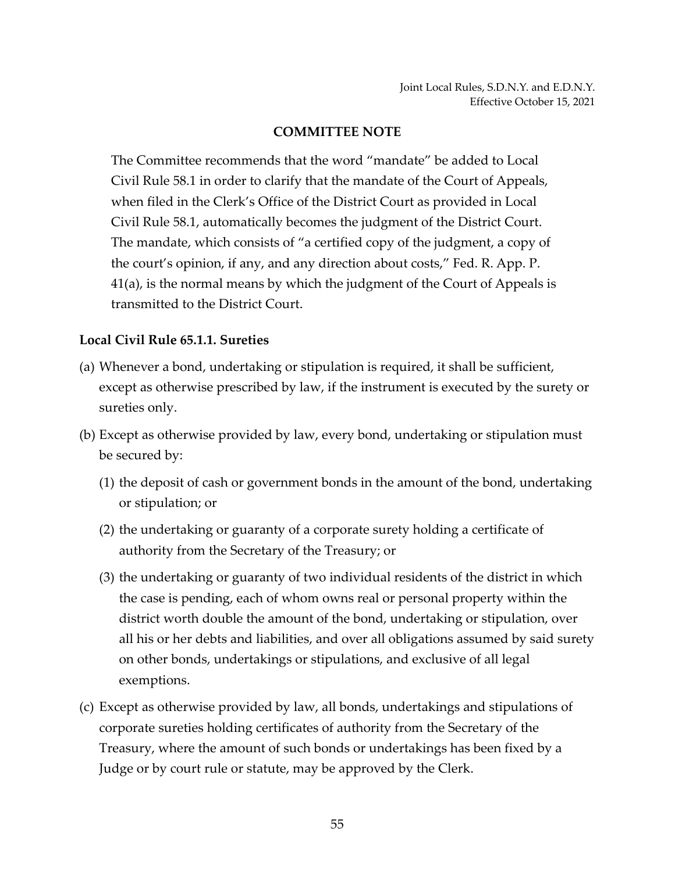The Committee recommends that the word "mandate" be added to Local Civil Rule 58.1 in order to clarify that the mandate of the Court of Appeals, when filed in the Clerk's Office of the District Court as provided in Local Civil Rule 58.1, automatically becomes the judgment of the District Court. The mandate, which consists of "a certified copy of the judgment, a copy of the court's opinion, if any, and any direction about costs," Fed. R. App. P. 41(a), is the normal means by which the judgment of the Court of Appeals is transmitted to the District Court.

## **Local Civil Rule 65.1.1. Sureties**

- (a) Whenever a bond, undertaking or stipulation is required, it shall be sufficient, except as otherwise prescribed by law, if the instrument is executed by the surety or sureties only.
- (b) Except as otherwise provided by law, every bond, undertaking or stipulation must be secured by:
	- (1) the deposit of cash or government bonds in the amount of the bond, undertaking or stipulation; or
	- (2) the undertaking or guaranty of a corporate surety holding a certificate of authority from the Secretary of the Treasury; or
	- (3) the undertaking or guaranty of two individual residents of the district in which the case is pending, each of whom owns real or personal property within the district worth double the amount of the bond, undertaking or stipulation, over all his or her debts and liabilities, and over all obligations assumed by said surety on other bonds, undertakings or stipulations, and exclusive of all legal exemptions.
- (c) Except as otherwise provided by law, all bonds, undertakings and stipulations of corporate sureties holding certificates of authority from the Secretary of the Treasury, where the amount of such bonds or undertakings has been fixed by a Judge or by court rule or statute, may be approved by the Clerk.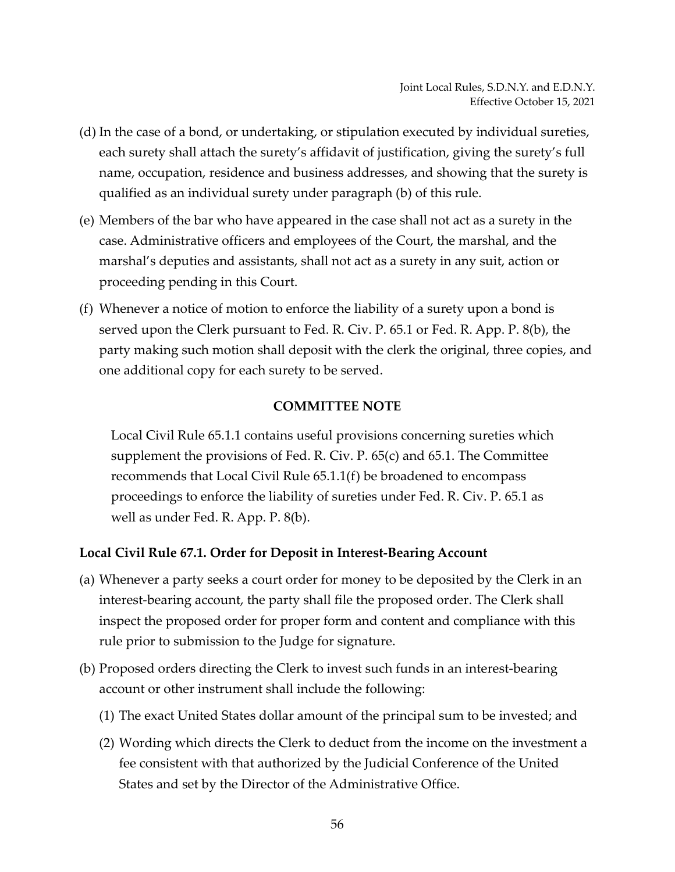- (d) In the case of a bond, or undertaking, or stipulation executed by individual sureties, each surety shall attach the surety's affidavit of justification, giving the surety's full name, occupation, residence and business addresses, and showing that the surety is qualified as an individual surety under paragraph (b) of this rule.
- (e) Members of the bar who have appeared in the case shall not act as a surety in the case. Administrative officers and employees of the Court, the marshal, and the marshal's deputies and assistants, shall not act as a surety in any suit, action or proceeding pending in this Court.
- (f) Whenever a notice of motion to enforce the liability of a surety upon a bond is served upon the Clerk pursuant to Fed. R. Civ. P. 65.1 or Fed. R. App. P. 8(b), the party making such motion shall deposit with the clerk the original, three copies, and one additional copy for each surety to be served.

Local Civil Rule 65.1.1 contains useful provisions concerning sureties which supplement the provisions of Fed. R. Civ. P. 65(c) and 65.1. The Committee recommends that Local Civil Rule 65.1.1(f) be broadened to encompass proceedings to enforce the liability of sureties under Fed. R. Civ. P. 65.1 as well as under Fed. R. App. P. 8(b).

## **Local Civil Rule 67.1. Order for Deposit in Interest-Bearing Account**

- (a) Whenever a party seeks a court order for money to be deposited by the Clerk in an interest-bearing account, the party shall file the proposed order. The Clerk shall inspect the proposed order for proper form and content and compliance with this rule prior to submission to the Judge for signature.
- (b) Proposed orders directing the Clerk to invest such funds in an interest-bearing account or other instrument shall include the following:
	- (1) The exact United States dollar amount of the principal sum to be invested; and
	- (2) Wording which directs the Clerk to deduct from the income on the investment a fee consistent with that authorized by the Judicial Conference of the United States and set by the Director of the Administrative Office.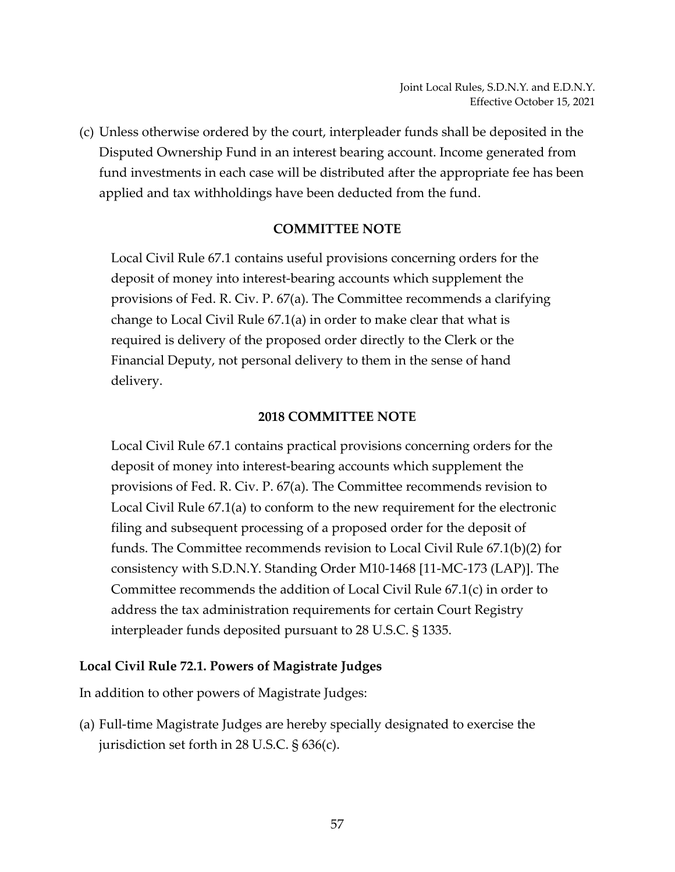(c) Unless otherwise ordered by the court, interpleader funds shall be deposited in the Disputed Ownership Fund in an interest bearing account. Income generated from fund investments in each case will be distributed after the appropriate fee has been applied and tax withholdings have been deducted from the fund.

## **COMMITTEE NOTE**

Local Civil Rule 67.1 contains useful provisions concerning orders for the deposit of money into interest-bearing accounts which supplement the provisions of Fed. R. Civ. P. 67(a). The Committee recommends a clarifying change to Local Civil Rule 67.1(a) in order to make clear that what is required is delivery of the proposed order directly to the Clerk or the Financial Deputy, not personal delivery to them in the sense of hand delivery.

#### **2018 COMMITTEE NOTE**

Local Civil Rule 67.1 contains practical provisions concerning orders for the deposit of money into interest-bearing accounts which supplement the provisions of Fed. R. Civ. P. 67(a). The Committee recommends revision to Local Civil Rule 67.1(a) to conform to the new requirement for the electronic filing and subsequent processing of a proposed order for the deposit of funds. The Committee recommends revision to Local Civil Rule 67.1(b)(2) for consistency with S.D.N.Y. Standing Order M10-1468 [11-MC-173 (LAP)]. The Committee recommends the addition of Local Civil Rule 67.1(c) in order to address the tax administration requirements for certain Court Registry interpleader funds deposited pursuant to 28 U.S.C. § 1335.

## **Local Civil Rule 72.1. Powers of Magistrate Judges**

In addition to other powers of Magistrate Judges:

(a) Full-time Magistrate Judges are hereby specially designated to exercise the jurisdiction set forth in 28 U.S.C. § 636(c).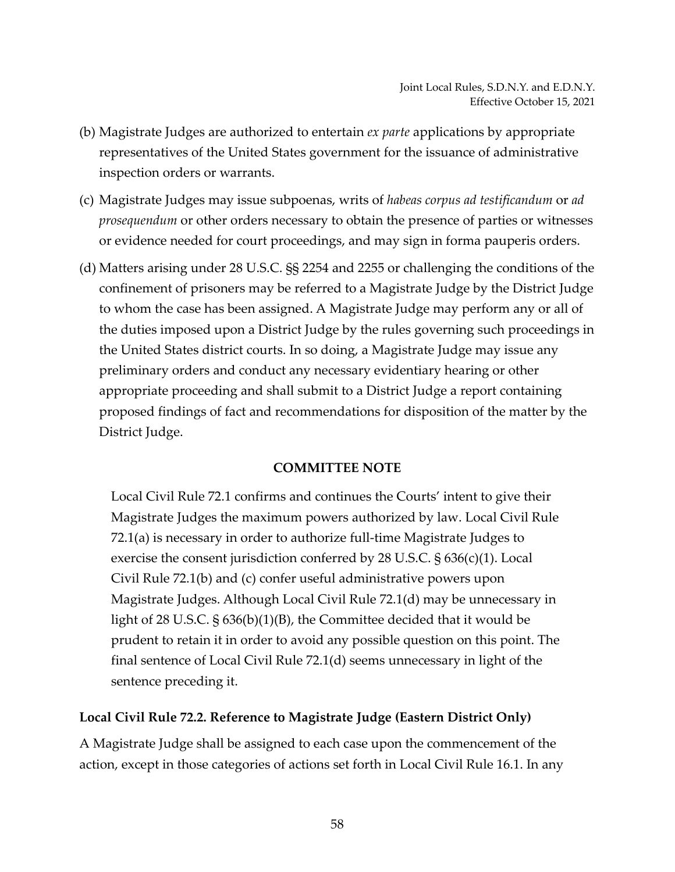- (b) Magistrate Judges are authorized to entertain *ex parte* applications by appropriate representatives of the United States government for the issuance of administrative inspection orders or warrants.
- (c) Magistrate Judges may issue subpoenas, writs of *habeas corpus ad testificandum* or *ad prosequendum* or other orders necessary to obtain the presence of parties or witnesses or evidence needed for court proceedings, and may sign in forma pauperis orders.
- (d) Matters arising under 28 U.S.C. §§ 2254 and 2255 or challenging the conditions of the confinement of prisoners may be referred to a Magistrate Judge by the District Judge to whom the case has been assigned. A Magistrate Judge may perform any or all of the duties imposed upon a District Judge by the rules governing such proceedings in the United States district courts. In so doing, a Magistrate Judge may issue any preliminary orders and conduct any necessary evidentiary hearing or other appropriate proceeding and shall submit to a District Judge a report containing proposed findings of fact and recommendations for disposition of the matter by the District Judge.

Local Civil Rule 72.1 confirms and continues the Courts' intent to give their Magistrate Judges the maximum powers authorized by law. Local Civil Rule 72.1(a) is necessary in order to authorize full-time Magistrate Judges to exercise the consent jurisdiction conferred by 28 U.S.C.  $\S$  636(c)(1). Local Civil Rule 72.1(b) and (c) confer useful administrative powers upon Magistrate Judges. Although Local Civil Rule 72.1(d) may be unnecessary in light of 28 U.S.C. § 636(b)(1)(B), the Committee decided that it would be prudent to retain it in order to avoid any possible question on this point. The final sentence of Local Civil Rule 72.1(d) seems unnecessary in light of the sentence preceding it.

## **Local Civil Rule 72.2. Reference to Magistrate Judge (Eastern District Only)**

A Magistrate Judge shall be assigned to each case upon the commencement of the action, except in those categories of actions set forth in Local Civil Rule 16.1. In any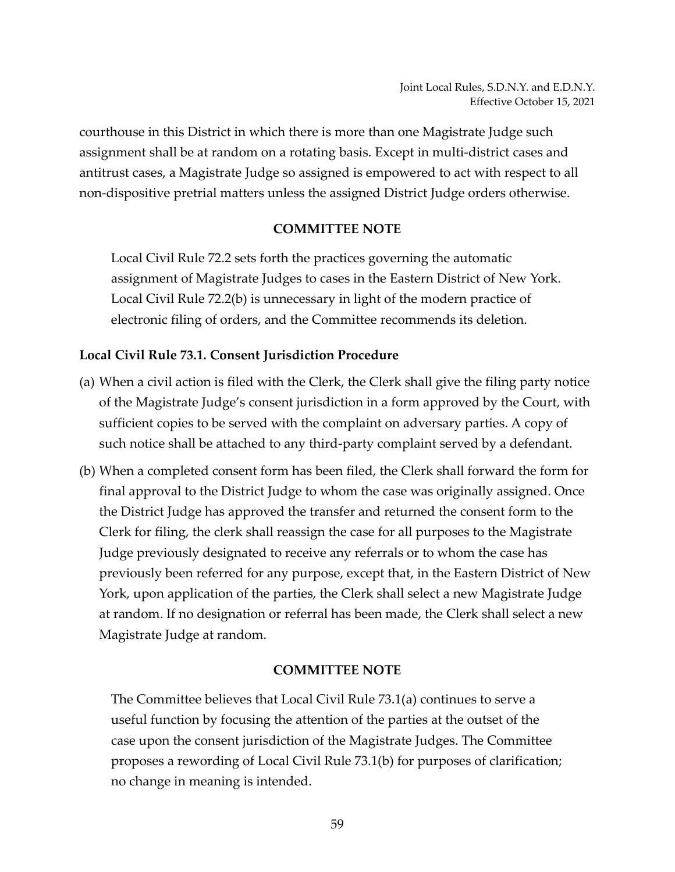courthouse in this District in which there is more than one Magistrate Judge such assignment shall be at random on a rotating basis. Except in multi-district cases and antitrust cases, a Magistrate Judge so assigned is empowered to act with respect to all non-dispositive pretrial matters unless the assigned District Judge orders otherwise.

## **COMMITTEE NOTE**

Local Civil Rule 72.2 sets forth the practices governing the automatic assignment of Magistrate Judges to cases in the Eastern District of New York. Local Civil Rule 72.2(b) is unnecessary in light of the modern practice of electronic filing of orders, and the Committee recommends its deletion.

## **Local Civil Rule 73.1. Consent Jurisdiction Procedure**

- (a) When a civil action is filed with the Clerk, the Clerk shall give the filing party notice of the Magistrate Judge's consent jurisdiction in a form approved by the Court, with sufficient copies to be served with the complaint on adversary parties. A copy of such notice shall be attached to any third-party complaint served by a defendant.
- (b) When a completed consent form has been filed, the Clerk shall forward the form for final approval to the District Judge to whom the case was originally assigned. Once the District Judge has approved the transfer and returned the consent form to the Clerk for filing, the clerk shall reassign the case for all purposes to the Magistrate Judge previously designated to receive any referrals or to whom the case has previously been referred for any purpose, except that, in the Eastern District of New York, upon application of the parties, the Clerk shall select a new Magistrate Judge at random. If no designation or referral has been made, the Clerk shall select a new Magistrate Judge at random.

## **COMMITTEE NOTE**

The Committee believes that Local Civil Rule 73.1(a) continues to serve a useful function by focusing the attention of the parties at the outset of the case upon the consent jurisdiction of the Magistrate Judges. The Committee proposes a rewording of Local Civil Rule 73.1(b) for purposes of clarification; no change in meaning is intended.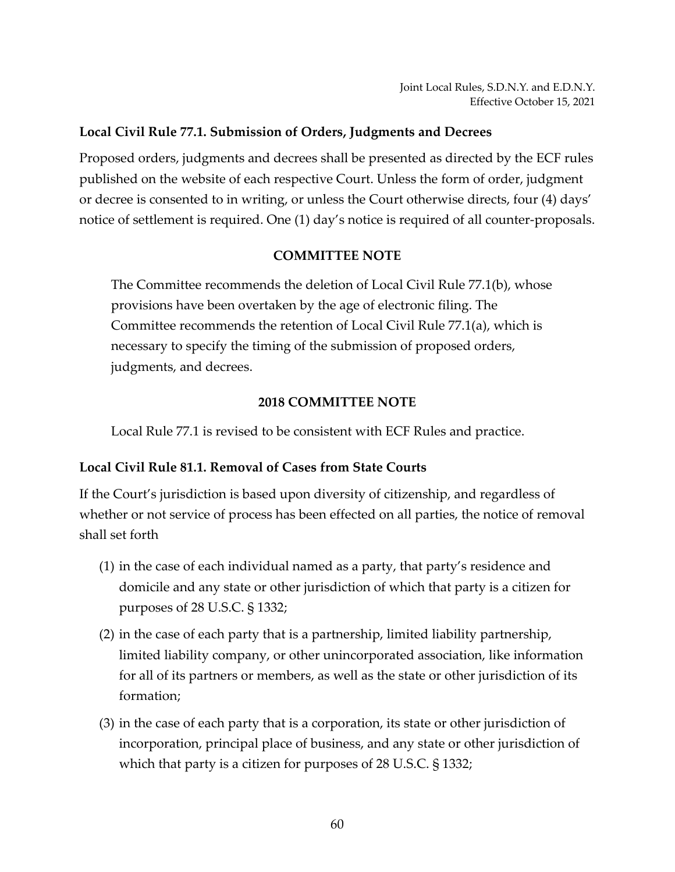## **Local Civil Rule 77.1. Submission of Orders, Judgments and Decrees**

Proposed orders, judgments and decrees shall be presented as directed by the ECF rules published on the website of each respective Court. Unless the form of order, judgment or decree is consented to in writing, or unless the Court otherwise directs, four (4) days' notice of settlement is required. One (1) day's notice is required of all counter-proposals.

## **COMMITTEE NOTE**

The Committee recommends the deletion of Local Civil Rule 77.1(b), whose provisions have been overtaken by the age of electronic filing. The Committee recommends the retention of Local Civil Rule 77.1(a), which is necessary to specify the timing of the submission of proposed orders, judgments, and decrees.

## **2018 COMMITTEE NOTE**

Local Rule 77.1 is revised to be consistent with ECF Rules and practice.

# **Local Civil Rule 81.1. Removal of Cases from State Courts**

If the Court's jurisdiction is based upon diversity of citizenship, and regardless of whether or not service of process has been effected on all parties, the notice of removal shall set forth

- (1) in the case of each individual named as a party, that party's residence and domicile and any state or other jurisdiction of which that party is a citizen for purposes of 28 U.S.C. § 1332;
- (2) in the case of each party that is a partnership, limited liability partnership, limited liability company, or other unincorporated association, like information for all of its partners or members, as well as the state or other jurisdiction of its formation;
- (3) in the case of each party that is a corporation, its state or other jurisdiction of incorporation, principal place of business, and any state or other jurisdiction of which that party is a citizen for purposes of 28 U.S.C. § 1332;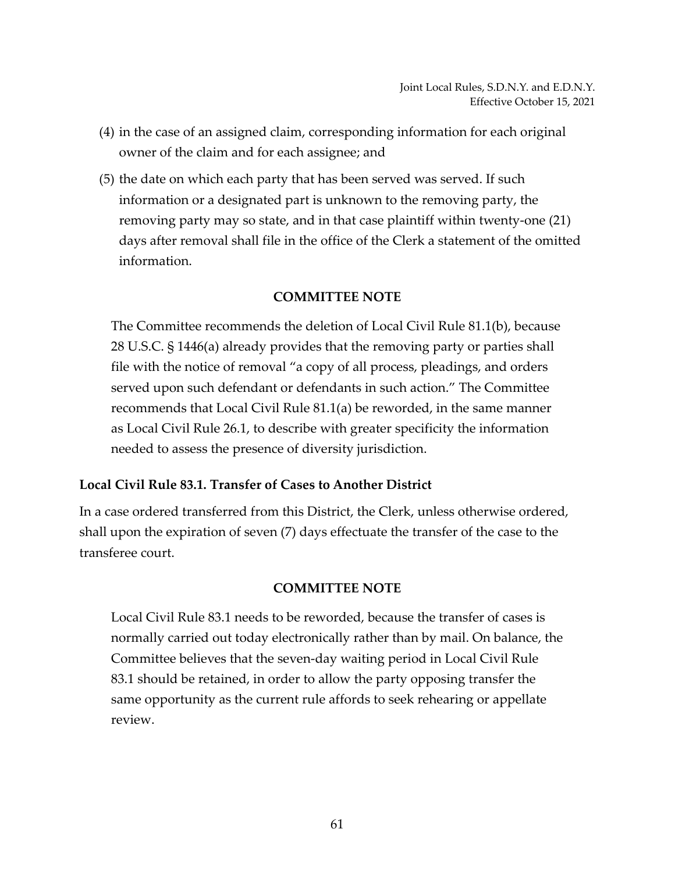- (4) in the case of an assigned claim, corresponding information for each original owner of the claim and for each assignee; and
- (5) the date on which each party that has been served was served. If such information or a designated part is unknown to the removing party, the removing party may so state, and in that case plaintiff within twenty-one (21) days after removal shall file in the office of the Clerk a statement of the omitted information.

The Committee recommends the deletion of Local Civil Rule 81.1(b), because 28 U.S.C. § 1446(a) already provides that the removing party or parties shall file with the notice of removal "a copy of all process, pleadings, and orders served upon such defendant or defendants in such action." The Committee recommends that Local Civil Rule 81.1(a) be reworded, in the same manner as Local Civil Rule 26.1, to describe with greater specificity the information needed to assess the presence of diversity jurisdiction.

## **Local Civil Rule 83.1. Transfer of Cases to Another District**

In a case ordered transferred from this District, the Clerk, unless otherwise ordered, shall upon the expiration of seven (7) days effectuate the transfer of the case to the transferee court.

#### **COMMITTEE NOTE**

Local Civil Rule 83.1 needs to be reworded, because the transfer of cases is normally carried out today electronically rather than by mail. On balance, the Committee believes that the seven-day waiting period in Local Civil Rule 83.1 should be retained, in order to allow the party opposing transfer the same opportunity as the current rule affords to seek rehearing or appellate review.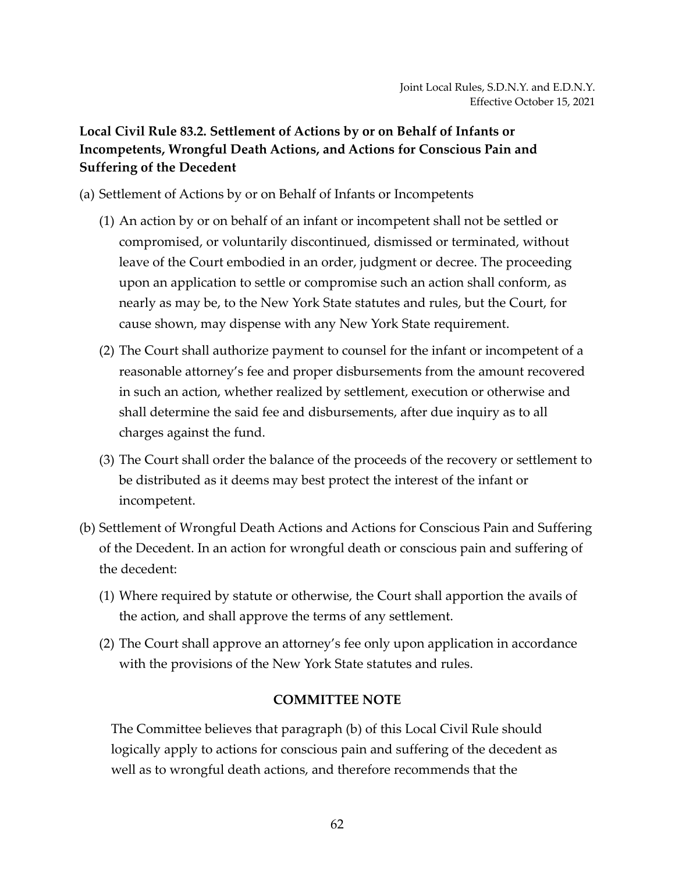# **Local Civil Rule 83.2. Settlement of Actions by or on Behalf of Infants or Incompetents, Wrongful Death Actions, and Actions for Conscious Pain and Suffering of the Decedent**

- (a) Settlement of Actions by or on Behalf of Infants or Incompetents
	- (1) An action by or on behalf of an infant or incompetent shall not be settled or compromised, or voluntarily discontinued, dismissed or terminated, without leave of the Court embodied in an order, judgment or decree. The proceeding upon an application to settle or compromise such an action shall conform, as nearly as may be, to the New York State statutes and rules, but the Court, for cause shown, may dispense with any New York State requirement.
	- (2) The Court shall authorize payment to counsel for the infant or incompetent of a reasonable attorney's fee and proper disbursements from the amount recovered in such an action, whether realized by settlement, execution or otherwise and shall determine the said fee and disbursements, after due inquiry as to all charges against the fund.
	- (3) The Court shall order the balance of the proceeds of the recovery or settlement to be distributed as it deems may best protect the interest of the infant or incompetent.
- (b) Settlement of Wrongful Death Actions and Actions for Conscious Pain and Suffering of the Decedent. In an action for wrongful death or conscious pain and suffering of the decedent:
	- (1) Where required by statute or otherwise, the Court shall apportion the avails of the action, and shall approve the terms of any settlement.
	- (2) The Court shall approve an attorney's fee only upon application in accordance with the provisions of the New York State statutes and rules.

# **COMMITTEE NOTE**

The Committee believes that paragraph (b) of this Local Civil Rule should logically apply to actions for conscious pain and suffering of the decedent as well as to wrongful death actions, and therefore recommends that the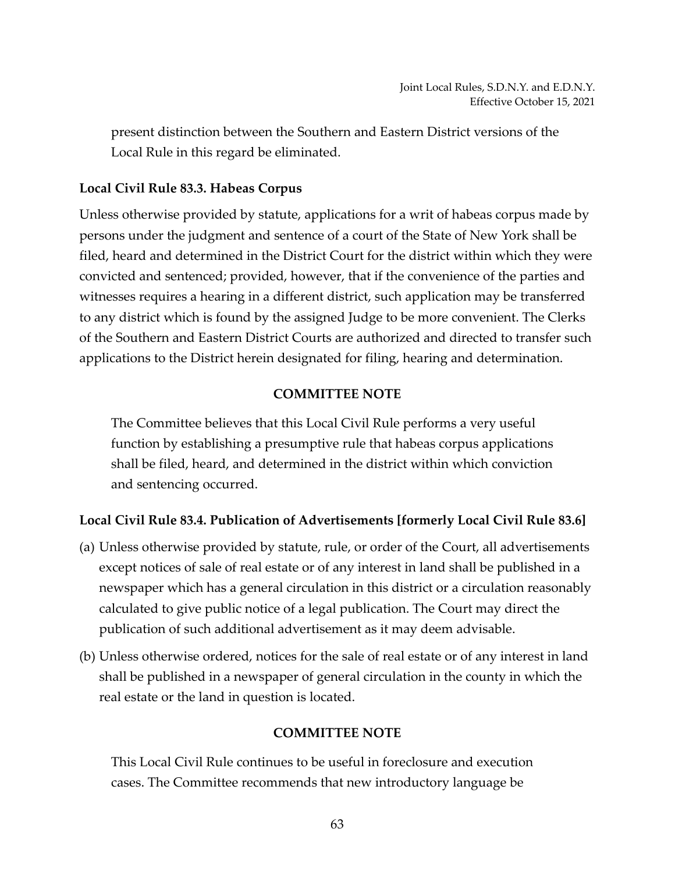present distinction between the Southern and Eastern District versions of the Local Rule in this regard be eliminated.

## **Local Civil Rule 83.3. Habeas Corpus**

Unless otherwise provided by statute, applications for a writ of habeas corpus made by persons under the judgment and sentence of a court of the State of New York shall be filed, heard and determined in the District Court for the district within which they were convicted and sentenced; provided, however, that if the convenience of the parties and witnesses requires a hearing in a different district, such application may be transferred to any district which is found by the assigned Judge to be more convenient. The Clerks of the Southern and Eastern District Courts are authorized and directed to transfer such applications to the District herein designated for filing, hearing and determination.

## **COMMITTEE NOTE**

The Committee believes that this Local Civil Rule performs a very useful function by establishing a presumptive rule that habeas corpus applications shall be filed, heard, and determined in the district within which conviction and sentencing occurred.

## **Local Civil Rule 83.4. Publication of Advertisements [formerly Local Civil Rule 83.6]**

- (a) Unless otherwise provided by statute, rule, or order of the Court, all advertisements except notices of sale of real estate or of any interest in land shall be published in a newspaper which has a general circulation in this district or a circulation reasonably calculated to give public notice of a legal publication. The Court may direct the publication of such additional advertisement as it may deem advisable.
- (b) Unless otherwise ordered, notices for the sale of real estate or of any interest in land shall be published in a newspaper of general circulation in the county in which the real estate or the land in question is located.

## **COMMITTEE NOTE**

This Local Civil Rule continues to be useful in foreclosure and execution cases. The Committee recommends that new introductory language be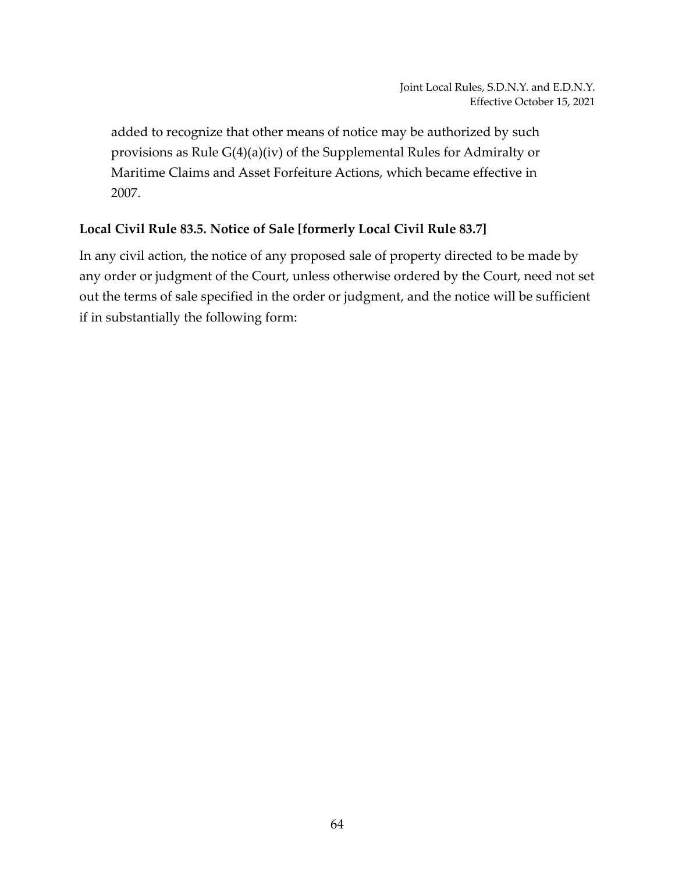added to recognize that other means of notice may be authorized by such provisions as Rule G(4)(a)(iv) of the Supplemental Rules for Admiralty or Maritime Claims and Asset Forfeiture Actions, which became effective in 2007.

# **Local Civil Rule 83.5. Notice of Sale [formerly Local Civil Rule 83.7]**

In any civil action, the notice of any proposed sale of property directed to be made by any order or judgment of the Court, unless otherwise ordered by the Court, need not set out the terms of sale specified in the order or judgment, and the notice will be sufficient if in substantially the following form: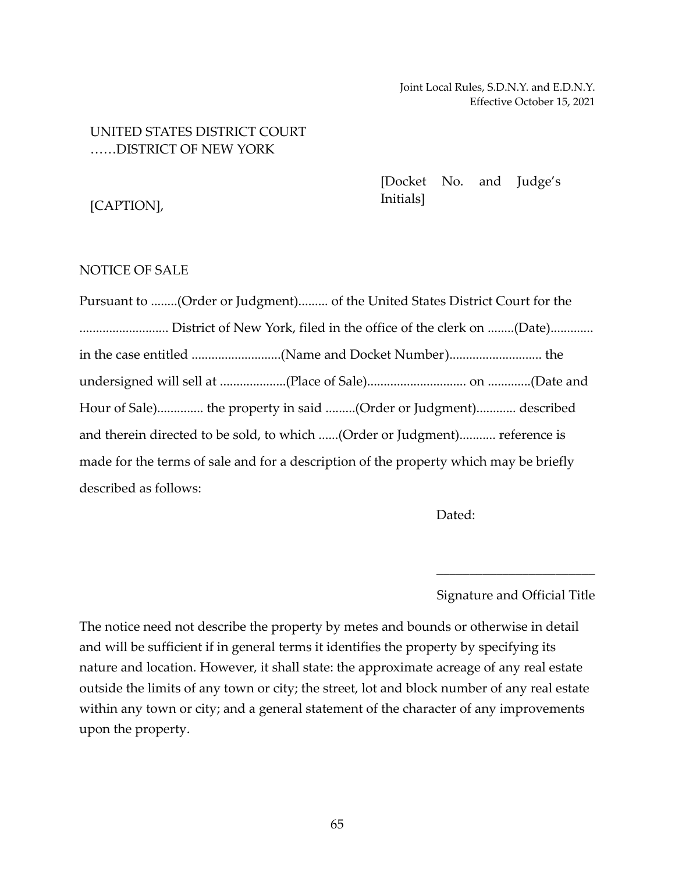Joint Local Rules, S.D.N.Y. and E.D.N.Y. Effective October 15, 2021

## UNITED STATES DISTRICT COURT ……DISTRICT OF NEW YORK

[CAPTION],

[Docket No. and Judge's Initials]

#### NOTICE OF SALE

| Pursuant to (Order or Judgment) of the United States District Court for the           |
|---------------------------------------------------------------------------------------|
|                                                                                       |
|                                                                                       |
|                                                                                       |
| Hour of Sale) the property in said (Order or Judgment) described                      |
| and therein directed to be sold, to which (Order or Judgment) reference is            |
| made for the terms of sale and for a description of the property which may be briefly |
| described as follows:                                                                 |

Dated:

Signature and Official Title

\_\_\_\_\_\_\_\_\_\_\_\_\_\_\_\_\_\_\_\_\_\_\_\_

The notice need not describe the property by metes and bounds or otherwise in detail and will be sufficient if in general terms it identifies the property by specifying its nature and location. However, it shall state: the approximate acreage of any real estate outside the limits of any town or city; the street, lot and block number of any real estate within any town or city; and a general statement of the character of any improvements upon the property.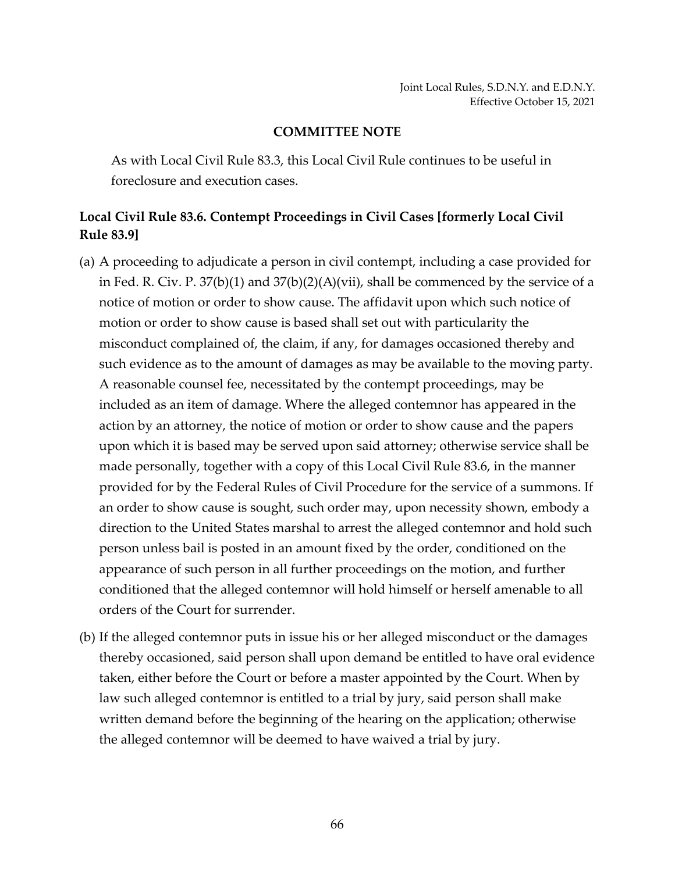As with Local Civil Rule 83.3, this Local Civil Rule continues to be useful in foreclosure and execution cases.

# **Local Civil Rule 83.6. Contempt Proceedings in Civil Cases [formerly Local Civil Rule 83.9]**

- (a) A proceeding to adjudicate a person in civil contempt, including a case provided for in Fed. R. Civ. P. 37(b)(1) and 37(b)(2)(A)(vii), shall be commenced by the service of a notice of motion or order to show cause. The affidavit upon which such notice of motion or order to show cause is based shall set out with particularity the misconduct complained of, the claim, if any, for damages occasioned thereby and such evidence as to the amount of damages as may be available to the moving party. A reasonable counsel fee, necessitated by the contempt proceedings, may be included as an item of damage. Where the alleged contemnor has appeared in the action by an attorney, the notice of motion or order to show cause and the papers upon which it is based may be served upon said attorney; otherwise service shall be made personally, together with a copy of this Local Civil Rule 83.6, in the manner provided for by the Federal Rules of Civil Procedure for the service of a summons. If an order to show cause is sought, such order may, upon necessity shown, embody a direction to the United States marshal to arrest the alleged contemnor and hold such person unless bail is posted in an amount fixed by the order, conditioned on the appearance of such person in all further proceedings on the motion, and further conditioned that the alleged contemnor will hold himself or herself amenable to all orders of the Court for surrender.
- (b) If the alleged contemnor puts in issue his or her alleged misconduct or the damages thereby occasioned, said person shall upon demand be entitled to have oral evidence taken, either before the Court or before a master appointed by the Court. When by law such alleged contemnor is entitled to a trial by jury, said person shall make written demand before the beginning of the hearing on the application; otherwise the alleged contemnor will be deemed to have waived a trial by jury.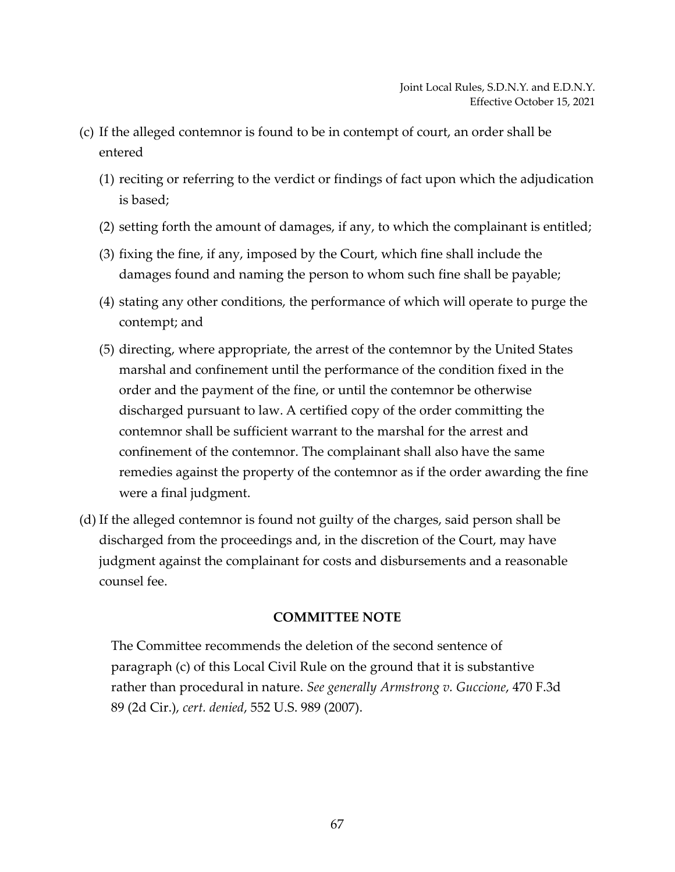- (c) If the alleged contemnor is found to be in contempt of court, an order shall be entered
	- (1) reciting or referring to the verdict or findings of fact upon which the adjudication is based;
	- (2) setting forth the amount of damages, if any, to which the complainant is entitled;
	- (3) fixing the fine, if any, imposed by the Court, which fine shall include the damages found and naming the person to whom such fine shall be payable;
	- (4) stating any other conditions, the performance of which will operate to purge the contempt; and
	- (5) directing, where appropriate, the arrest of the contemnor by the United States marshal and confinement until the performance of the condition fixed in the order and the payment of the fine, or until the contemnor be otherwise discharged pursuant to law. A certified copy of the order committing the contemnor shall be sufficient warrant to the marshal for the arrest and confinement of the contemnor. The complainant shall also have the same remedies against the property of the contemnor as if the order awarding the fine were a final judgment.
- (d) If the alleged contemnor is found not guilty of the charges, said person shall be discharged from the proceedings and, in the discretion of the Court, may have judgment against the complainant for costs and disbursements and a reasonable counsel fee.

### **COMMITTEE NOTE**

The Committee recommends the deletion of the second sentence of paragraph (c) of this Local Civil Rule on the ground that it is substantive rather than procedural in nature. *See generally Armstrong v. Guccione*, 470 F.3d 89 (2d Cir.), *cert. denied*, 552 U.S. 989 (2007).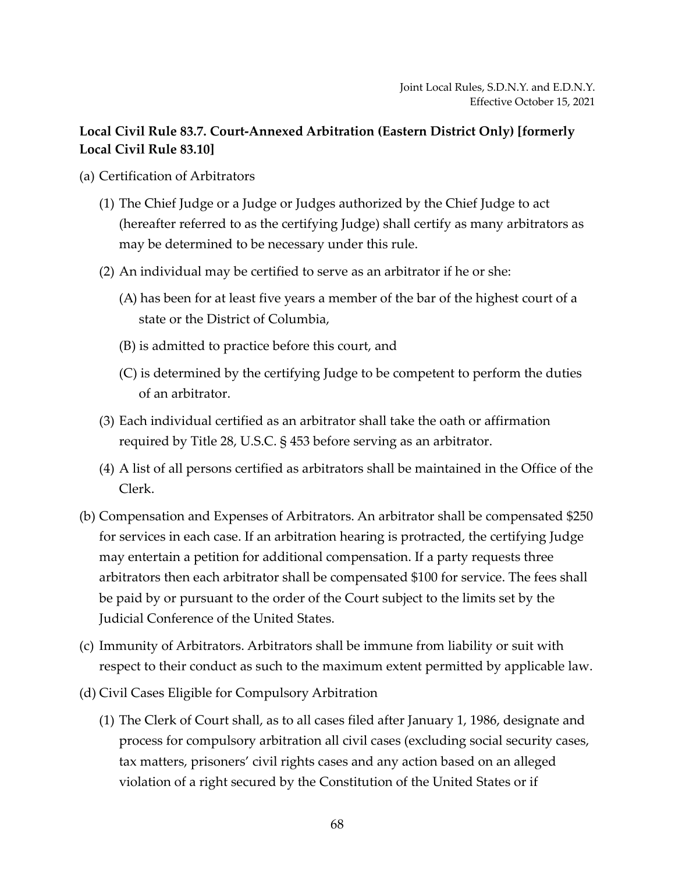## **Local Civil Rule 83.7. Court-Annexed Arbitration (Eastern District Only) [formerly Local Civil Rule 83.10]**

- (a) Certification of Arbitrators
	- (1) The Chief Judge or a Judge or Judges authorized by the Chief Judge to act (hereafter referred to as the certifying Judge) shall certify as many arbitrators as may be determined to be necessary under this rule.
	- (2) An individual may be certified to serve as an arbitrator if he or she:
		- (A) has been for at least five years a member of the bar of the highest court of a state or the District of Columbia,
		- (B) is admitted to practice before this court, and
		- (C) is determined by the certifying Judge to be competent to perform the duties of an arbitrator.
	- (3) Each individual certified as an arbitrator shall take the oath or affirmation required by Title 28, U.S.C. § 453 before serving as an arbitrator.
	- (4) A list of all persons certified as arbitrators shall be maintained in the Office of the Clerk.
- (b) Compensation and Expenses of Arbitrators. An arbitrator shall be compensated \$250 for services in each case. If an arbitration hearing is protracted, the certifying Judge may entertain a petition for additional compensation. If a party requests three arbitrators then each arbitrator shall be compensated \$100 for service. The fees shall be paid by or pursuant to the order of the Court subject to the limits set by the Judicial Conference of the United States.
- (c) Immunity of Arbitrators. Arbitrators shall be immune from liability or suit with respect to their conduct as such to the maximum extent permitted by applicable law.
- (d) Civil Cases Eligible for Compulsory Arbitration
	- (1) The Clerk of Court shall, as to all cases filed after January 1, 1986, designate and process for compulsory arbitration all civil cases (excluding social security cases, tax matters, prisoners' civil rights cases and any action based on an alleged violation of a right secured by the Constitution of the United States or if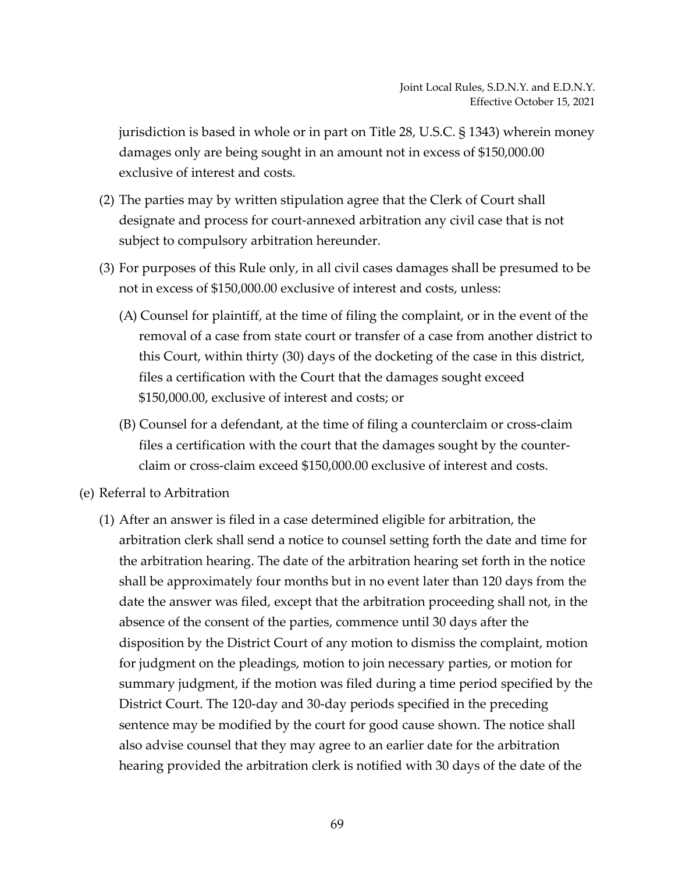jurisdiction is based in whole or in part on Title 28, U.S.C. § 1343) wherein money damages only are being sought in an amount not in excess of \$150,000.00 exclusive of interest and costs.

- (2) The parties may by written stipulation agree that the Clerk of Court shall designate and process for court-annexed arbitration any civil case that is not subject to compulsory arbitration hereunder.
- (3) For purposes of this Rule only, in all civil cases damages shall be presumed to be not in excess of \$150,000.00 exclusive of interest and costs, unless:
	- (A) Counsel for plaintiff, at the time of filing the complaint, or in the event of the removal of a case from state court or transfer of a case from another district to this Court, within thirty (30) days of the docketing of the case in this district, files a certification with the Court that the damages sought exceed \$150,000.00, exclusive of interest and costs; or
	- (B) Counsel for a defendant, at the time of filing a counterclaim or cross-claim files a certification with the court that the damages sought by the counterclaim or cross-claim exceed \$150,000.00 exclusive of interest and costs.
- (e) Referral to Arbitration
	- (1) After an answer is filed in a case determined eligible for arbitration, the arbitration clerk shall send a notice to counsel setting forth the date and time for the arbitration hearing. The date of the arbitration hearing set forth in the notice shall be approximately four months but in no event later than 120 days from the date the answer was filed, except that the arbitration proceeding shall not, in the absence of the consent of the parties, commence until 30 days after the disposition by the District Court of any motion to dismiss the complaint, motion for judgment on the pleadings, motion to join necessary parties, or motion for summary judgment, if the motion was filed during a time period specified by the District Court. The 120-day and 30-day periods specified in the preceding sentence may be modified by the court for good cause shown. The notice shall also advise counsel that they may agree to an earlier date for the arbitration hearing provided the arbitration clerk is notified with 30 days of the date of the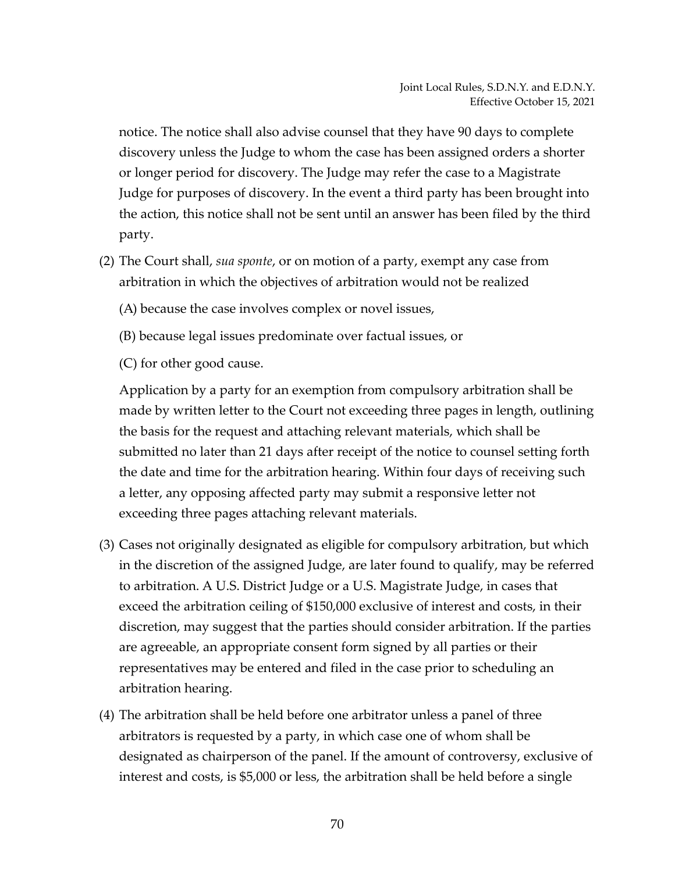notice. The notice shall also advise counsel that they have 90 days to complete discovery unless the Judge to whom the case has been assigned orders a shorter or longer period for discovery. The Judge may refer the case to a Magistrate Judge for purposes of discovery. In the event a third party has been brought into the action, this notice shall not be sent until an answer has been filed by the third party.

- (2) The Court shall, *sua sponte*, or on motion of a party, exempt any case from arbitration in which the objectives of arbitration would not be realized
	- (A) because the case involves complex or novel issues,
	- (B) because legal issues predominate over factual issues, or
	- (C) for other good cause.

Application by a party for an exemption from compulsory arbitration shall be made by written letter to the Court not exceeding three pages in length, outlining the basis for the request and attaching relevant materials, which shall be submitted no later than 21 days after receipt of the notice to counsel setting forth the date and time for the arbitration hearing. Within four days of receiving such a letter, any opposing affected party may submit a responsive letter not exceeding three pages attaching relevant materials.

- (3) Cases not originally designated as eligible for compulsory arbitration, but which in the discretion of the assigned Judge, are later found to qualify, may be referred to arbitration. A U.S. District Judge or a U.S. Magistrate Judge, in cases that exceed the arbitration ceiling of \$150,000 exclusive of interest and costs, in their discretion, may suggest that the parties should consider arbitration. If the parties are agreeable, an appropriate consent form signed by all parties or their representatives may be entered and filed in the case prior to scheduling an arbitration hearing.
- (4) The arbitration shall be held before one arbitrator unless a panel of three arbitrators is requested by a party, in which case one of whom shall be designated as chairperson of the panel. If the amount of controversy, exclusive of interest and costs, is \$5,000 or less, the arbitration shall be held before a single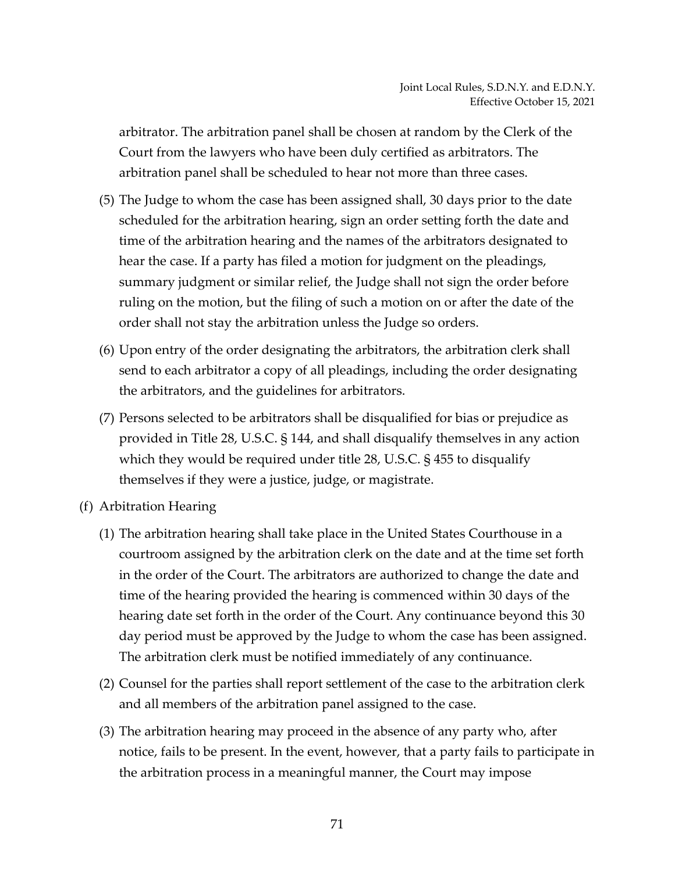arbitrator. The arbitration panel shall be chosen at random by the Clerk of the Court from the lawyers who have been duly certified as arbitrators. The arbitration panel shall be scheduled to hear not more than three cases.

- (5) The Judge to whom the case has been assigned shall, 30 days prior to the date scheduled for the arbitration hearing, sign an order setting forth the date and time of the arbitration hearing and the names of the arbitrators designated to hear the case. If a party has filed a motion for judgment on the pleadings, summary judgment or similar relief, the Judge shall not sign the order before ruling on the motion, but the filing of such a motion on or after the date of the order shall not stay the arbitration unless the Judge so orders.
- (6) Upon entry of the order designating the arbitrators, the arbitration clerk shall send to each arbitrator a copy of all pleadings, including the order designating the arbitrators, and the guidelines for arbitrators.
- (7) Persons selected to be arbitrators shall be disqualified for bias or prejudice as provided in Title 28, U.S.C. § 144, and shall disqualify themselves in any action which they would be required under title 28, U.S.C. § 455 to disqualify themselves if they were a justice, judge, or magistrate.
- (f) Arbitration Hearing
	- (1) The arbitration hearing shall take place in the United States Courthouse in a courtroom assigned by the arbitration clerk on the date and at the time set forth in the order of the Court. The arbitrators are authorized to change the date and time of the hearing provided the hearing is commenced within 30 days of the hearing date set forth in the order of the Court. Any continuance beyond this 30 day period must be approved by the Judge to whom the case has been assigned. The arbitration clerk must be notified immediately of any continuance.
	- (2) Counsel for the parties shall report settlement of the case to the arbitration clerk and all members of the arbitration panel assigned to the case.
	- (3) The arbitration hearing may proceed in the absence of any party who, after notice, fails to be present. In the event, however, that a party fails to participate in the arbitration process in a meaningful manner, the Court may impose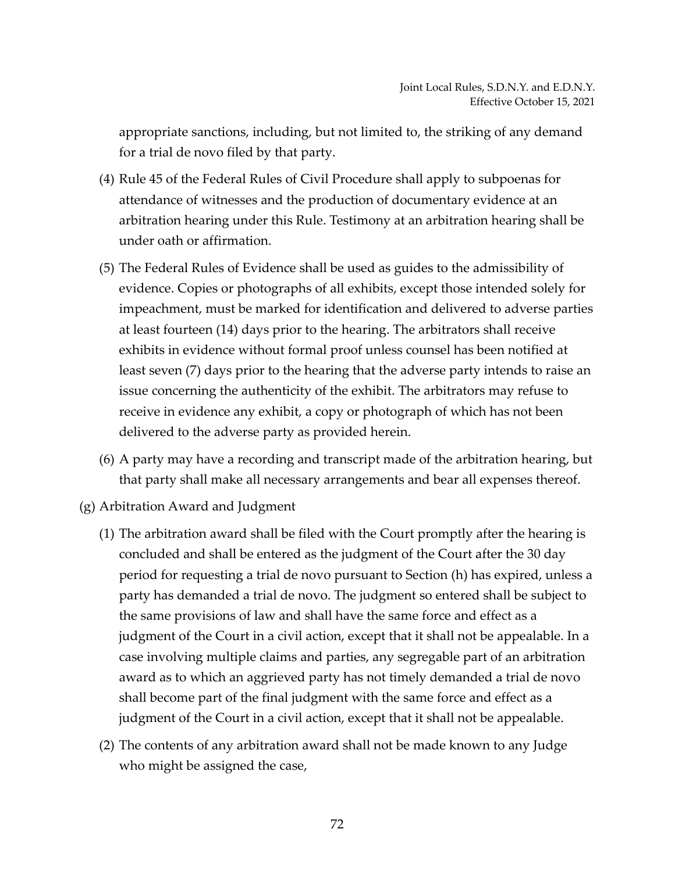appropriate sanctions, including, but not limited to, the striking of any demand for a trial de novo filed by that party.

- (4) Rule 45 of the Federal Rules of Civil Procedure shall apply to subpoenas for attendance of witnesses and the production of documentary evidence at an arbitration hearing under this Rule. Testimony at an arbitration hearing shall be under oath or affirmation.
- (5) The Federal Rules of Evidence shall be used as guides to the admissibility of evidence. Copies or photographs of all exhibits, except those intended solely for impeachment, must be marked for identification and delivered to adverse parties at least fourteen (14) days prior to the hearing. The arbitrators shall receive exhibits in evidence without formal proof unless counsel has been notified at least seven (7) days prior to the hearing that the adverse party intends to raise an issue concerning the authenticity of the exhibit. The arbitrators may refuse to receive in evidence any exhibit, a copy or photograph of which has not been delivered to the adverse party as provided herein.
- (6) A party may have a recording and transcript made of the arbitration hearing, but that party shall make all necessary arrangements and bear all expenses thereof.
- (g) Arbitration Award and Judgment
	- (1) The arbitration award shall be filed with the Court promptly after the hearing is concluded and shall be entered as the judgment of the Court after the 30 day period for requesting a trial de novo pursuant to Section (h) has expired, unless a party has demanded a trial de novo. The judgment so entered shall be subject to the same provisions of law and shall have the same force and effect as a judgment of the Court in a civil action, except that it shall not be appealable. In a case involving multiple claims and parties, any segregable part of an arbitration award as to which an aggrieved party has not timely demanded a trial de novo shall become part of the final judgment with the same force and effect as a judgment of the Court in a civil action, except that it shall not be appealable.
	- (2) The contents of any arbitration award shall not be made known to any Judge who might be assigned the case,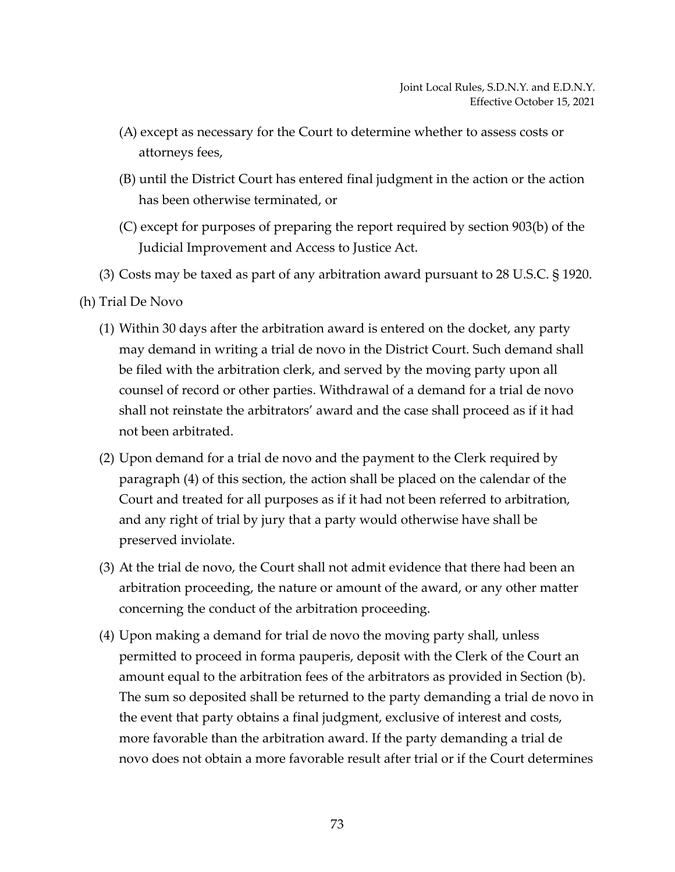- (A) except as necessary for the Court to determine whether to assess costs or attorneys fees,
- (B) until the District Court has entered final judgment in the action or the action has been otherwise terminated, or
- (C) except for purposes of preparing the report required by section 903(b) of the Judicial Improvement and Access to Justice Act.
- (3) Costs may be taxed as part of any arbitration award pursuant to 28 U.S.C. § 1920.
- (h) Trial De Novo
	- (1) Within 30 days after the arbitration award is entered on the docket, any party may demand in writing a trial de novo in the District Court. Such demand shall be filed with the arbitration clerk, and served by the moving party upon all counsel of record or other parties. Withdrawal of a demand for a trial de novo shall not reinstate the arbitrators' award and the case shall proceed as if it had not been arbitrated.
	- (2) Upon demand for a trial de novo and the payment to the Clerk required by paragraph (4) of this section, the action shall be placed on the calendar of the Court and treated for all purposes as if it had not been referred to arbitration, and any right of trial by jury that a party would otherwise have shall be preserved inviolate.
	- (3) At the trial de novo, the Court shall not admit evidence that there had been an arbitration proceeding, the nature or amount of the award, or any other matter concerning the conduct of the arbitration proceeding.
	- (4) Upon making a demand for trial de novo the moving party shall, unless permitted to proceed in forma pauperis, deposit with the Clerk of the Court an amount equal to the arbitration fees of the arbitrators as provided in Section (b). The sum so deposited shall be returned to the party demanding a trial de novo in the event that party obtains a final judgment, exclusive of interest and costs, more favorable than the arbitration award. If the party demanding a trial de novo does not obtain a more favorable result after trial or if the Court determines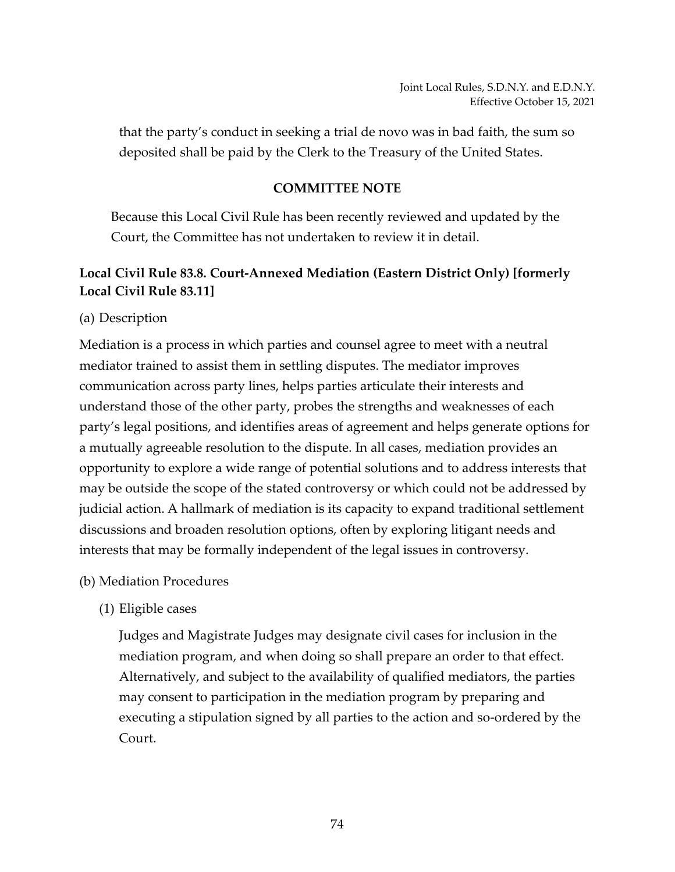that the party's conduct in seeking a trial de novo was in bad faith, the sum so deposited shall be paid by the Clerk to the Treasury of the United States.

## **COMMITTEE NOTE**

Because this Local Civil Rule has been recently reviewed and updated by the Court, the Committee has not undertaken to review it in detail.

# **Local Civil Rule 83.8. Court-Annexed Mediation (Eastern District Only) [formerly Local Civil Rule 83.11]**

(a) Description

Mediation is a process in which parties and counsel agree to meet with a neutral mediator trained to assist them in settling disputes. The mediator improves communication across party lines, helps parties articulate their interests and understand those of the other party, probes the strengths and weaknesses of each party's legal positions, and identifies areas of agreement and helps generate options for a mutually agreeable resolution to the dispute. In all cases, mediation provides an opportunity to explore a wide range of potential solutions and to address interests that may be outside the scope of the stated controversy or which could not be addressed by judicial action. A hallmark of mediation is its capacity to expand traditional settlement discussions and broaden resolution options, often by exploring litigant needs and interests that may be formally independent of the legal issues in controversy.

### (b) Mediation Procedures

(1) Eligible cases

Judges and Magistrate Judges may designate civil cases for inclusion in the mediation program, and when doing so shall prepare an order to that effect. Alternatively, and subject to the availability of qualified mediators, the parties may consent to participation in the mediation program by preparing and executing a stipulation signed by all parties to the action and so-ordered by the Court.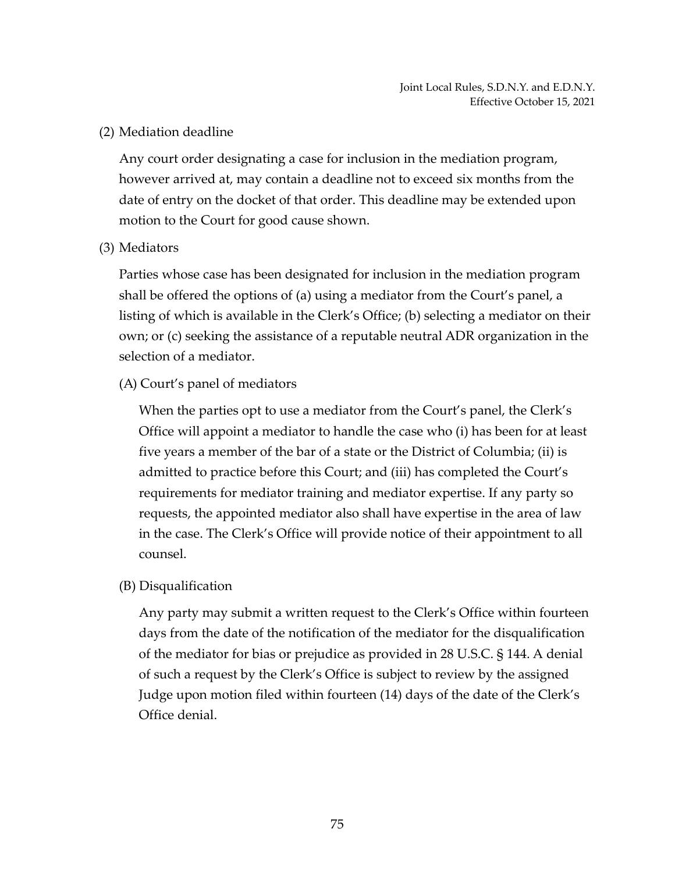## (2) Mediation deadline

Any court order designating a case for inclusion in the mediation program, however arrived at, may contain a deadline not to exceed six months from the date of entry on the docket of that order. This deadline may be extended upon motion to the Court for good cause shown.

### (3) Mediators

Parties whose case has been designated for inclusion in the mediation program shall be offered the options of (a) using a mediator from the Court's panel, a listing of which is available in the Clerk's Office; (b) selecting a mediator on their own; or (c) seeking the assistance of a reputable neutral ADR organization in the selection of a mediator.

## (A) Court's panel of mediators

When the parties opt to use a mediator from the Court's panel, the Clerk's Office will appoint a mediator to handle the case who (i) has been for at least five years a member of the bar of a state or the District of Columbia; (ii) is admitted to practice before this Court; and (iii) has completed the Court's requirements for mediator training and mediator expertise. If any party so requests, the appointed mediator also shall have expertise in the area of law in the case. The Clerk's Office will provide notice of their appointment to all counsel.

## (B) Disqualification

Any party may submit a written request to the Clerk's Office within fourteen days from the date of the notification of the mediator for the disqualification of the mediator for bias or prejudice as provided in 28 U.S.C. § 144. A denial of such a request by the Clerk's Office is subject to review by the assigned Judge upon motion filed within fourteen (14) days of the date of the Clerk's Office denial.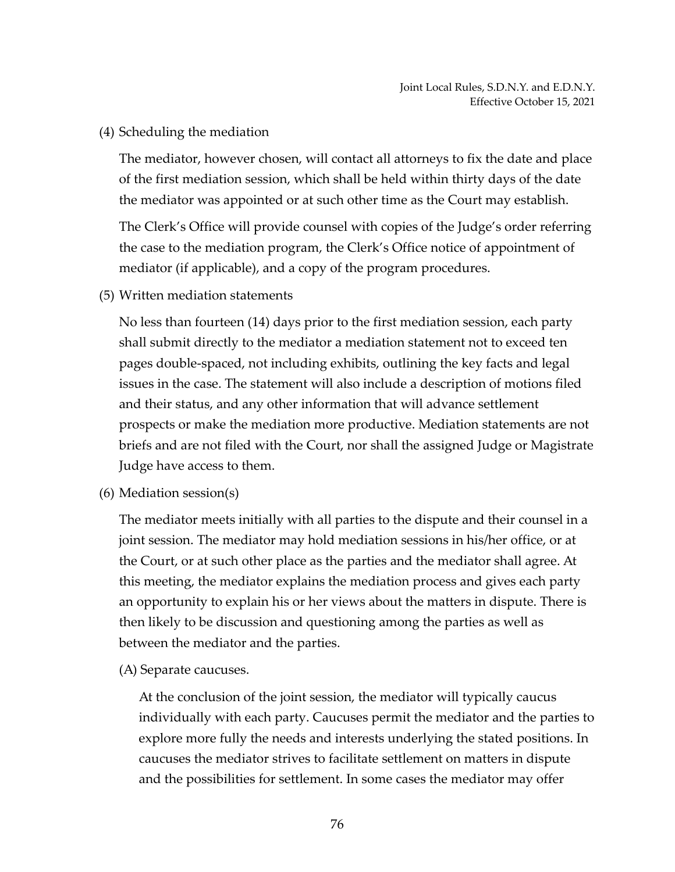## (4) Scheduling the mediation

The mediator, however chosen, will contact all attorneys to fix the date and place of the first mediation session, which shall be held within thirty days of the date the mediator was appointed or at such other time as the Court may establish.

The Clerk's Office will provide counsel with copies of the Judge's order referring the case to the mediation program, the Clerk's Office notice of appointment of mediator (if applicable), and a copy of the program procedures.

(5) Written mediation statements

No less than fourteen (14) days prior to the first mediation session, each party shall submit directly to the mediator a mediation statement not to exceed ten pages double-spaced, not including exhibits, outlining the key facts and legal issues in the case. The statement will also include a description of motions filed and their status, and any other information that will advance settlement prospects or make the mediation more productive. Mediation statements are not briefs and are not filed with the Court, nor shall the assigned Judge or Magistrate Judge have access to them.

(6) Mediation session(s)

The mediator meets initially with all parties to the dispute and their counsel in a joint session. The mediator may hold mediation sessions in his/her office, or at the Court, or at such other place as the parties and the mediator shall agree. At this meeting, the mediator explains the mediation process and gives each party an opportunity to explain his or her views about the matters in dispute. There is then likely to be discussion and questioning among the parties as well as between the mediator and the parties.

(A) Separate caucuses.

At the conclusion of the joint session, the mediator will typically caucus individually with each party. Caucuses permit the mediator and the parties to explore more fully the needs and interests underlying the stated positions. In caucuses the mediator strives to facilitate settlement on matters in dispute and the possibilities for settlement. In some cases the mediator may offer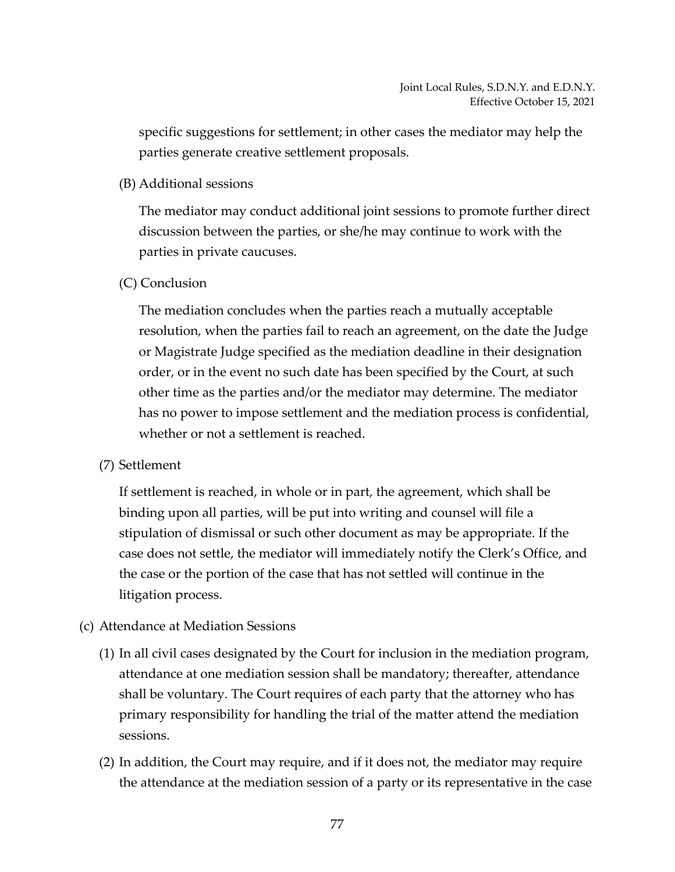specific suggestions for settlement; in other cases the mediator may help the parties generate creative settlement proposals.

(B) Additional sessions

The mediator may conduct additional joint sessions to promote further direct discussion between the parties, or she/he may continue to work with the parties in private caucuses.

#### (C) Conclusion

The mediation concludes when the parties reach a mutually acceptable resolution, when the parties fail to reach an agreement, on the date the Judge or Magistrate Judge specified as the mediation deadline in their designation order, or in the event no such date has been specified by the Court, at such other time as the parties and/or the mediator may determine. The mediator has no power to impose settlement and the mediation process is confidential, whether or not a settlement is reached.

#### (7) Settlement

If settlement is reached, in whole or in part, the agreement, which shall be binding upon all parties, will be put into writing and counsel will file a stipulation of dismissal or such other document as may be appropriate. If the case does not settle, the mediator will immediately notify the Clerk's Office, and the case or the portion of the case that has not settled will continue in the litigation process.

#### (c) Attendance at Mediation Sessions

- (1) In all civil cases designated by the Court for inclusion in the mediation program, attendance at one mediation session shall be mandatory; thereafter, attendance shall be voluntary. The Court requires of each party that the attorney who has primary responsibility for handling the trial of the matter attend the mediation sessions.
- (2) In addition, the Court may require, and if it does not, the mediator may require the attendance at the mediation session of a party or its representative in the case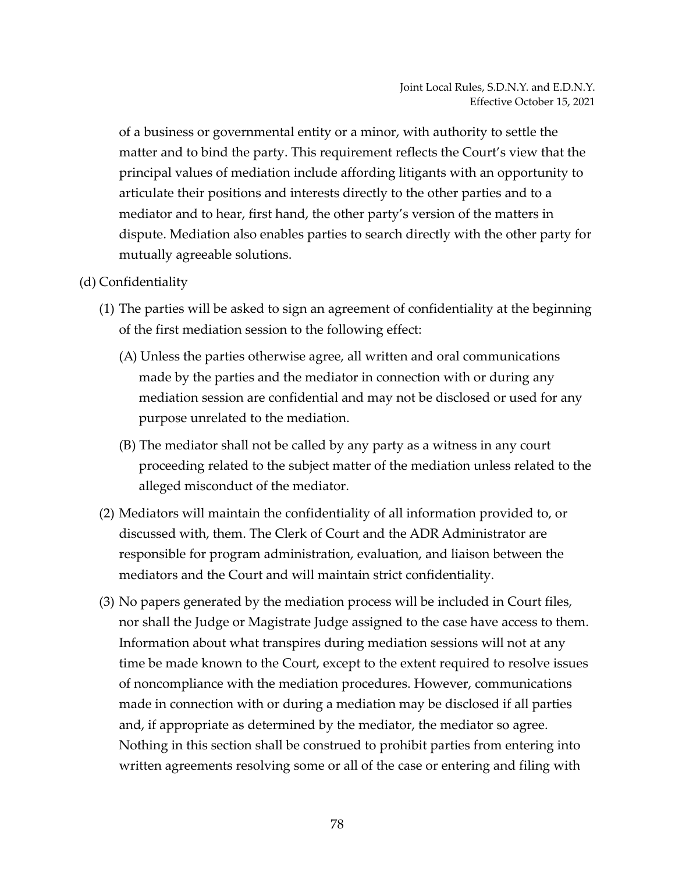of a business or governmental entity or a minor, with authority to settle the matter and to bind the party. This requirement reflects the Court's view that the principal values of mediation include affording litigants with an opportunity to articulate their positions and interests directly to the other parties and to a mediator and to hear, first hand, the other party's version of the matters in dispute. Mediation also enables parties to search directly with the other party for mutually agreeable solutions.

### (d) Confidentiality

- (1) The parties will be asked to sign an agreement of confidentiality at the beginning of the first mediation session to the following effect:
	- (A) Unless the parties otherwise agree, all written and oral communications made by the parties and the mediator in connection with or during any mediation session are confidential and may not be disclosed or used for any purpose unrelated to the mediation.
	- (B) The mediator shall not be called by any party as a witness in any court proceeding related to the subject matter of the mediation unless related to the alleged misconduct of the mediator.
- (2) Mediators will maintain the confidentiality of all information provided to, or discussed with, them. The Clerk of Court and the ADR Administrator are responsible for program administration, evaluation, and liaison between the mediators and the Court and will maintain strict confidentiality.
- (3) No papers generated by the mediation process will be included in Court files, nor shall the Judge or Magistrate Judge assigned to the case have access to them. Information about what transpires during mediation sessions will not at any time be made known to the Court, except to the extent required to resolve issues of noncompliance with the mediation procedures. However, communications made in connection with or during a mediation may be disclosed if all parties and, if appropriate as determined by the mediator, the mediator so agree. Nothing in this section shall be construed to prohibit parties from entering into written agreements resolving some or all of the case or entering and filing with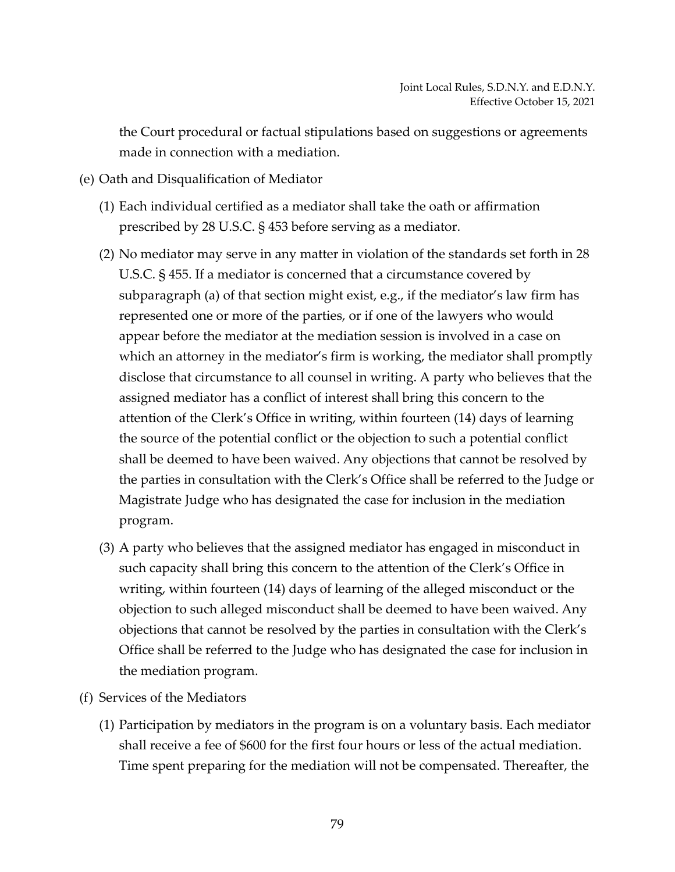the Court procedural or factual stipulations based on suggestions or agreements made in connection with a mediation.

- (e) Oath and Disqualification of Mediator
	- (1) Each individual certified as a mediator shall take the oath or affirmation prescribed by 28 U.S.C. § 453 before serving as a mediator.
	- (2) No mediator may serve in any matter in violation of the standards set forth in 28 U.S.C. § 455. If a mediator is concerned that a circumstance covered by subparagraph (a) of that section might exist, e.g., if the mediator's law firm has represented one or more of the parties, or if one of the lawyers who would appear before the mediator at the mediation session is involved in a case on which an attorney in the mediator's firm is working, the mediator shall promptly disclose that circumstance to all counsel in writing. A party who believes that the assigned mediator has a conflict of interest shall bring this concern to the attention of the Clerk's Office in writing, within fourteen (14) days of learning the source of the potential conflict or the objection to such a potential conflict shall be deemed to have been waived. Any objections that cannot be resolved by the parties in consultation with the Clerk's Office shall be referred to the Judge or Magistrate Judge who has designated the case for inclusion in the mediation program.
	- (3) A party who believes that the assigned mediator has engaged in misconduct in such capacity shall bring this concern to the attention of the Clerk's Office in writing, within fourteen (14) days of learning of the alleged misconduct or the objection to such alleged misconduct shall be deemed to have been waived. Any objections that cannot be resolved by the parties in consultation with the Clerk's Office shall be referred to the Judge who has designated the case for inclusion in the mediation program.
- (f) Services of the Mediators
	- (1) Participation by mediators in the program is on a voluntary basis. Each mediator shall receive a fee of \$600 for the first four hours or less of the actual mediation. Time spent preparing for the mediation will not be compensated. Thereafter, the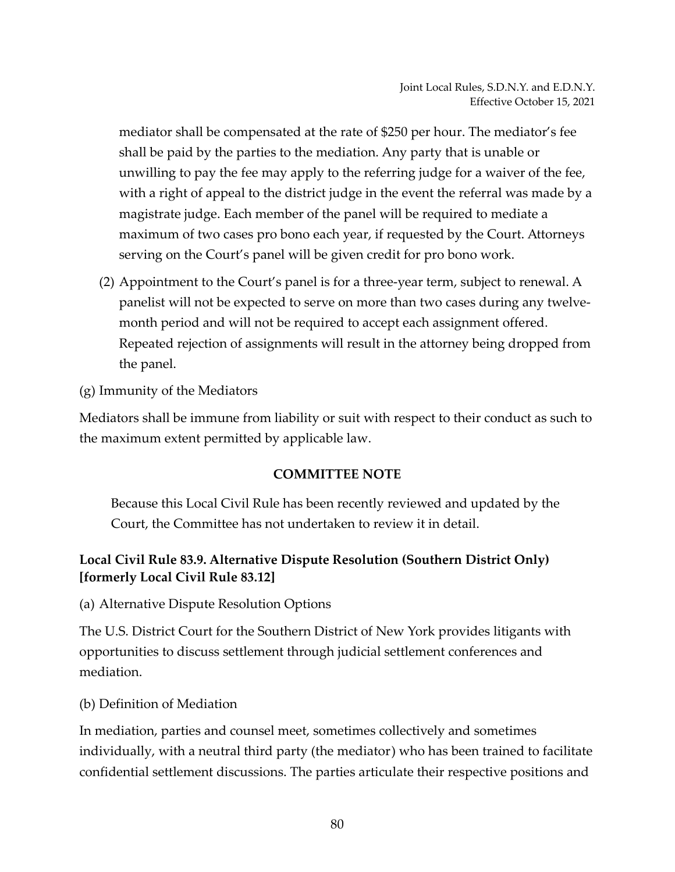mediator shall be compensated at the rate of \$250 per hour. The mediator's fee shall be paid by the parties to the mediation. Any party that is unable or unwilling to pay the fee may apply to the referring judge for a waiver of the fee, with a right of appeal to the district judge in the event the referral was made by a magistrate judge. Each member of the panel will be required to mediate a maximum of two cases pro bono each year, if requested by the Court. Attorneys serving on the Court's panel will be given credit for pro bono work.

(2) Appointment to the Court's panel is for a three-year term, subject to renewal. A panelist will not be expected to serve on more than two cases during any twelvemonth period and will not be required to accept each assignment offered. Repeated rejection of assignments will result in the attorney being dropped from the panel.

## (g) Immunity of the Mediators

Mediators shall be immune from liability or suit with respect to their conduct as such to the maximum extent permitted by applicable law.

## **COMMITTEE NOTE**

Because this Local Civil Rule has been recently reviewed and updated by the Court, the Committee has not undertaken to review it in detail.

# **Local Civil Rule 83.9. Alternative Dispute Resolution (Southern District Only) [formerly Local Civil Rule 83.12]**

(a) Alternative Dispute Resolution Options

The U.S. District Court for the Southern District of New York provides litigants with opportunities to discuss settlement through judicial settlement conferences and mediation.

## (b) Definition of Mediation

In mediation, parties and counsel meet, sometimes collectively and sometimes individually, with a neutral third party (the mediator) who has been trained to facilitate confidential settlement discussions. The parties articulate their respective positions and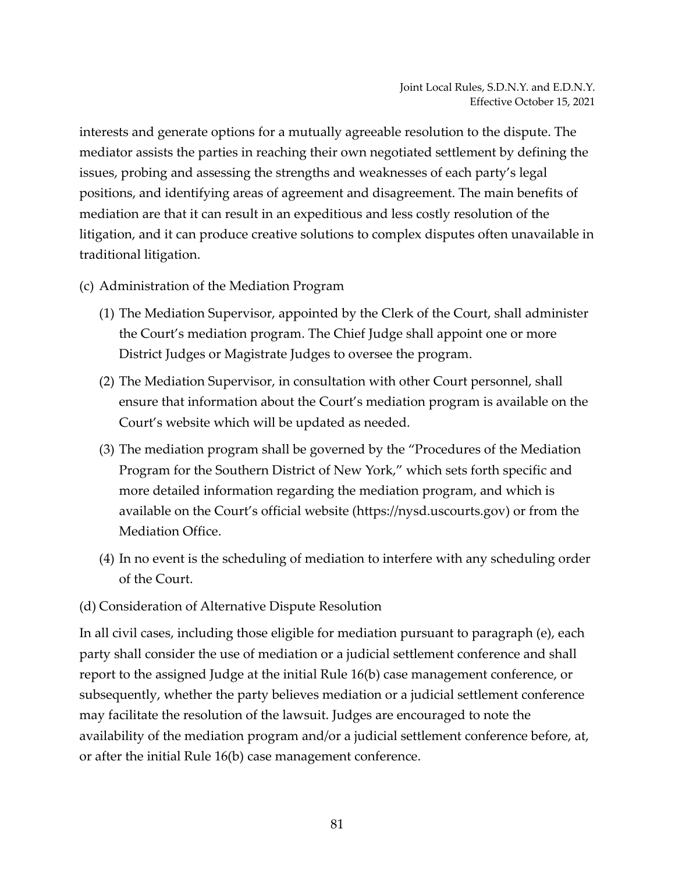interests and generate options for a mutually agreeable resolution to the dispute. The mediator assists the parties in reaching their own negotiated settlement by defining the issues, probing and assessing the strengths and weaknesses of each party's legal positions, and identifying areas of agreement and disagreement. The main benefits of mediation are that it can result in an expeditious and less costly resolution of the litigation, and it can produce creative solutions to complex disputes often unavailable in traditional litigation.

- (c) Administration of the Mediation Program
	- (1) The Mediation Supervisor, appointed by the Clerk of the Court, shall administer the Court's mediation program. The Chief Judge shall appoint one or more District Judges or Magistrate Judges to oversee the program.
	- (2) The Mediation Supervisor, in consultation with other Court personnel, shall ensure that information about the Court's mediation program is available on the Court's website which will be updated as needed.
	- (3) The mediation program shall be governed by the "Procedures of the Mediation Program for the Southern District of New York," which sets forth specific and more detailed information regarding the mediation program, and which is available on the Court's official website (https://nysd.uscourts.gov) or from the Mediation Office.
	- (4) In no event is the scheduling of mediation to interfere with any scheduling order of the Court.
- (d) Consideration of Alternative Dispute Resolution

In all civil cases, including those eligible for mediation pursuant to paragraph (e), each party shall consider the use of mediation or a judicial settlement conference and shall report to the assigned Judge at the initial Rule 16(b) case management conference, or subsequently, whether the party believes mediation or a judicial settlement conference may facilitate the resolution of the lawsuit. Judges are encouraged to note the availability of the mediation program and/or a judicial settlement conference before, at, or after the initial Rule 16(b) case management conference.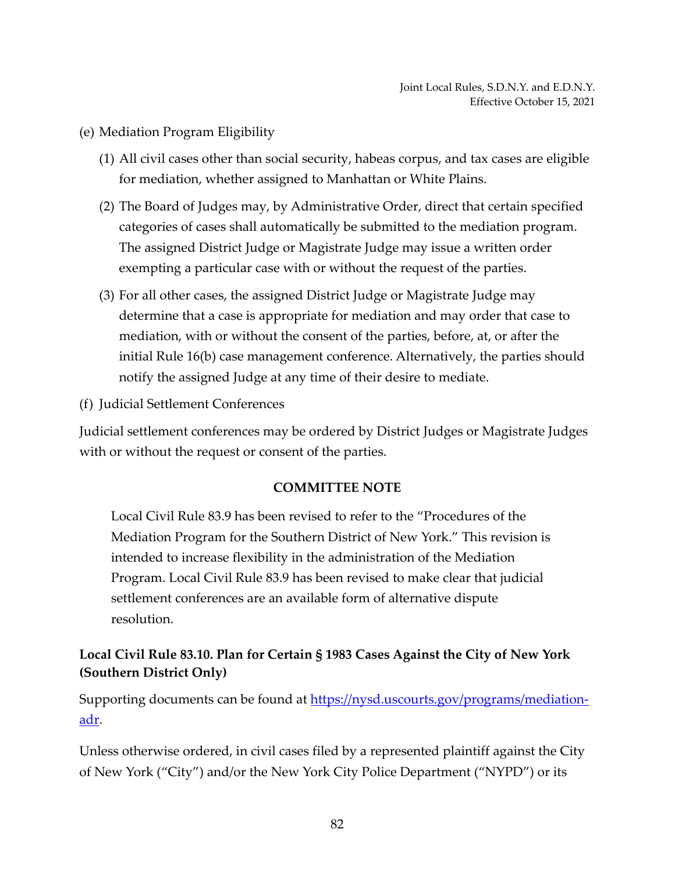# (e) Mediation Program Eligibility

- (1) All civil cases other than social security, habeas corpus, and tax cases are eligible for mediation, whether assigned to Manhattan or White Plains.
- (2) The Board of Judges may, by Administrative Order, direct that certain specified categories of cases shall automatically be submitted to the mediation program. The assigned District Judge or Magistrate Judge may issue a written order exempting a particular case with or without the request of the parties.
- (3) For all other cases, the assigned District Judge or Magistrate Judge may determine that a case is appropriate for mediation and may order that case to mediation, with or without the consent of the parties, before, at, or after the initial Rule 16(b) case management conference. Alternatively, the parties should notify the assigned Judge at any time of their desire to mediate.

### (f) Judicial Settlement Conferences

Judicial settlement conferences may be ordered by District Judges or Magistrate Judges with or without the request or consent of the parties.

## **COMMITTEE NOTE**

Local Civil Rule 83.9 has been revised to refer to the "Procedures of the Mediation Program for the Southern District of New York." This revision is intended to increase flexibility in the administration of the Mediation Program. Local Civil Rule 83.9 has been revised to make clear that judicial settlement conferences are an available form of alternative dispute resolution.

# **Local Civil Rule 83.10. Plan for Certain § 1983 Cases Against the City of New York (Southern District Only)**

Supporting documents can be found at [https://nysd.uscourts.gov/programs/mediation](https://nysd.uscourts.gov/programs/mediation-adr)[adr.](https://nysd.uscourts.gov/programs/mediation-adr)

Unless otherwise ordered, in civil cases filed by a represented plaintiff against the City of New York ("City") and/or the New York City Police Department ("NYPD") or its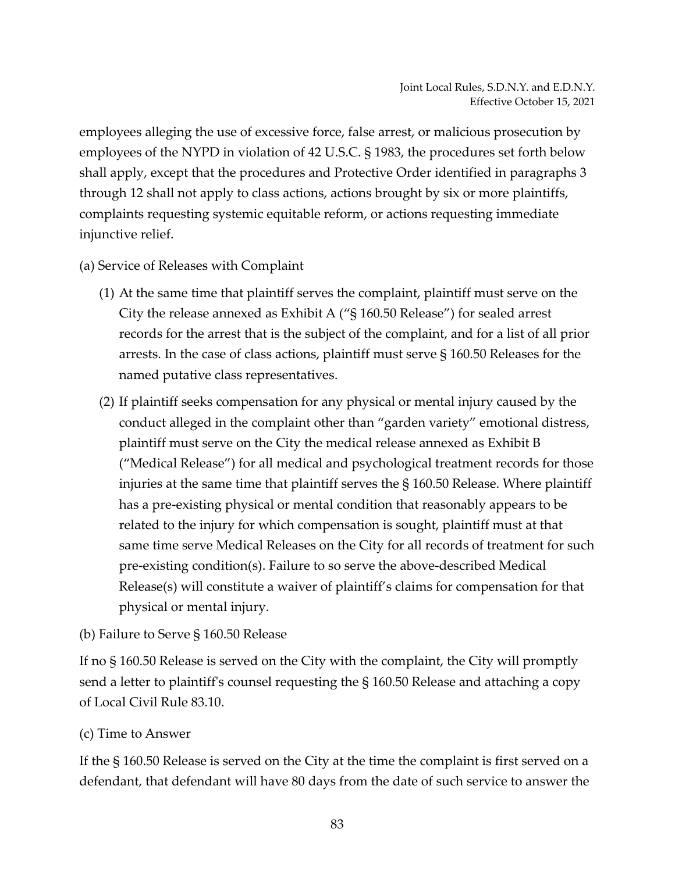employees alleging the use of excessive force, false arrest, or malicious prosecution by employees of the NYPD in violation of 42 U.S.C. § 1983, the procedures set forth below shall apply, except that the procedures and Protective Order identified in paragraphs 3 through 12 shall not apply to class actions, actions brought by six or more plaintiffs, complaints requesting systemic equitable reform, or actions requesting immediate injunctive relief.

## (a) Service of Releases with Complaint

- (1) At the same time that plaintiff serves the complaint, plaintiff must serve on the City the release annexed as Exhibit A ("§ 160.50 Release") for sealed arrest records for the arrest that is the subject of the complaint, and for a list of all prior arrests. In the case of class actions, plaintiff must serve § 160.50 Releases for the named putative class representatives.
- (2) If plaintiff seeks compensation for any physical or mental injury caused by the conduct alleged in the complaint other than "garden variety" emotional distress, plaintiff must serve on the City the medical release annexed as Exhibit B ("Medical Release") for all medical and psychological treatment records for those injuries at the same time that plaintiff serves the § 160.50 Release. Where plaintiff has a pre-existing physical or mental condition that reasonably appears to be related to the injury for which compensation is sought, plaintiff must at that same time serve Medical Releases on the City for all records of treatment for such pre-existing condition(s). Failure to so serve the above-described Medical Release(s) will constitute a waiver of plaintiff's claims for compensation for that physical or mental injury.

## (b) Failure to Serve § 160.50 Release

If no § 160.50 Release is served on the City with the complaint, the City will promptly send a letter to plaintiff's counsel requesting the § 160.50 Release and attaching a copy of Local Civil Rule 83.10.

## (c) Time to Answer

If the § 160.50 Release is served on the City at the time the complaint is first served on a defendant, that defendant will have 80 days from the date of such service to answer the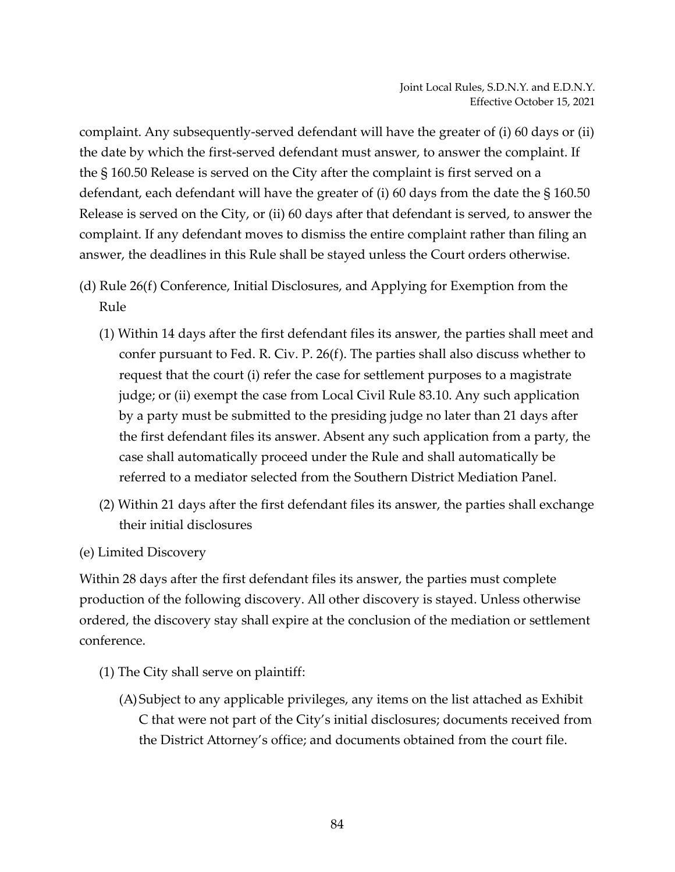complaint. Any subsequently-served defendant will have the greater of (i) 60 days or (ii) the date by which the first-served defendant must answer, to answer the complaint. If the § 160.50 Release is served on the City after the complaint is first served on a defendant, each defendant will have the greater of (i) 60 days from the date the § 160.50 Release is served on the City, or (ii) 60 days after that defendant is served, to answer the complaint. If any defendant moves to dismiss the entire complaint rather than filing an answer, the deadlines in this Rule shall be stayed unless the Court orders otherwise.

- (d) Rule 26(f) Conference, Initial Disclosures, and Applying for Exemption from the Rule
	- (1) Within 14 days after the first defendant files its answer, the parties shall meet and confer pursuant to Fed. R. Civ. P. 26(f). The parties shall also discuss whether to request that the court (i) refer the case for settlement purposes to a magistrate judge; or (ii) exempt the case from Local Civil Rule 83.10. Any such application by a party must be submitted to the presiding judge no later than 21 days after the first defendant files its answer. Absent any such application from a party, the case shall automatically proceed under the Rule and shall automatically be referred to a mediator selected from the Southern District Mediation Panel.
	- (2) Within 21 days after the first defendant files its answer, the parties shall exchange their initial disclosures
- (e) Limited Discovery

Within 28 days after the first defendant files its answer, the parties must complete production of the following discovery. All other discovery is stayed. Unless otherwise ordered, the discovery stay shall expire at the conclusion of the mediation or settlement conference.

- (1) The City shall serve on plaintiff:
	- (A)Subject to any applicable privileges, any items on the list attached as Exhibit C that were not part of the City's initial disclosures; documents received from the District Attorney's office; and documents obtained from the court file.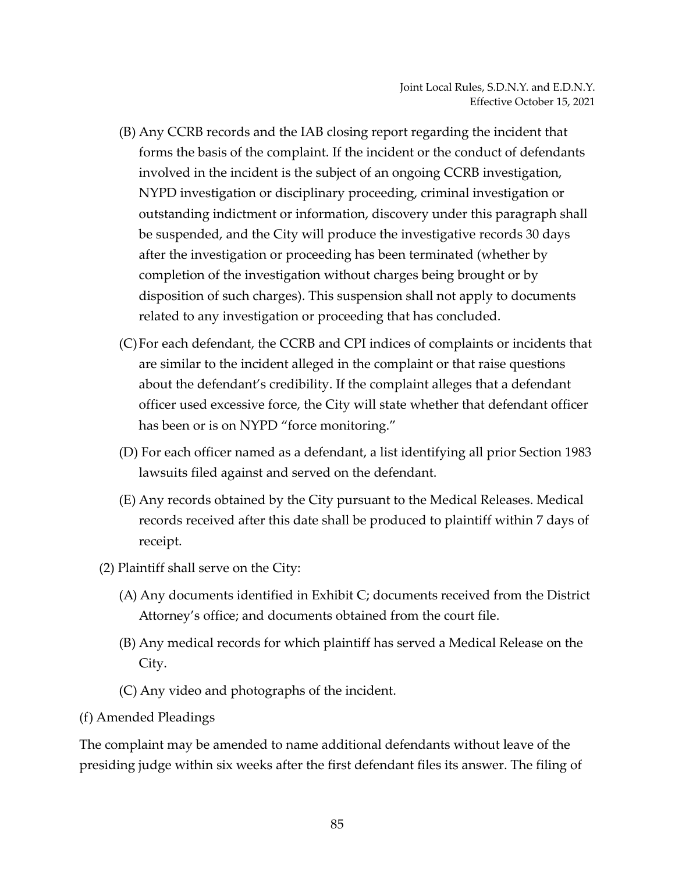- (B) Any CCRB records and the IAB closing report regarding the incident that forms the basis of the complaint. If the incident or the conduct of defendants involved in the incident is the subject of an ongoing CCRB investigation, NYPD investigation or disciplinary proceeding, criminal investigation or outstanding indictment or information, discovery under this paragraph shall be suspended, and the City will produce the investigative records 30 days after the investigation or proceeding has been terminated (whether by completion of the investigation without charges being brought or by disposition of such charges). This suspension shall not apply to documents related to any investigation or proceeding that has concluded.
- (C)For each defendant, the CCRB and CPI indices of complaints or incidents that are similar to the incident alleged in the complaint or that raise questions about the defendant's credibility. If the complaint alleges that a defendant officer used excessive force, the City will state whether that defendant officer has been or is on NYPD "force monitoring."
- (D) For each officer named as a defendant, a list identifying all prior Section 1983 lawsuits filed against and served on the defendant.
- (E) Any records obtained by the City pursuant to the Medical Releases. Medical records received after this date shall be produced to plaintiff within 7 days of receipt.
- (2) Plaintiff shall serve on the City:
	- (A) Any documents identified in Exhibit C; documents received from the District Attorney's office; and documents obtained from the court file.
	- (B) Any medical records for which plaintiff has served a Medical Release on the City.
	- (C) Any video and photographs of the incident.
- (f) Amended Pleadings

The complaint may be amended to name additional defendants without leave of the presiding judge within six weeks after the first defendant files its answer. The filing of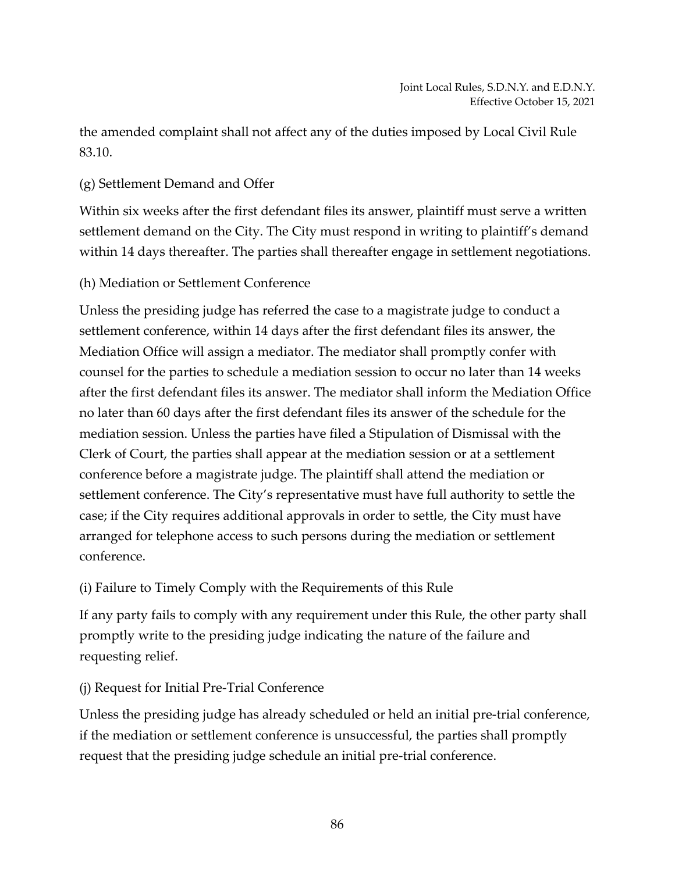the amended complaint shall not affect any of the duties imposed by Local Civil Rule 83.10.

## (g) Settlement Demand and Offer

Within six weeks after the first defendant files its answer, plaintiff must serve a written settlement demand on the City. The City must respond in writing to plaintiff's demand within 14 days thereafter. The parties shall thereafter engage in settlement negotiations.

## (h) Mediation or Settlement Conference

Unless the presiding judge has referred the case to a magistrate judge to conduct a settlement conference, within 14 days after the first defendant files its answer, the Mediation Office will assign a mediator. The mediator shall promptly confer with counsel for the parties to schedule a mediation session to occur no later than 14 weeks after the first defendant files its answer. The mediator shall inform the Mediation Office no later than 60 days after the first defendant files its answer of the schedule for the mediation session. Unless the parties have filed a Stipulation of Dismissal with the Clerk of Court, the parties shall appear at the mediation session or at a settlement conference before a magistrate judge. The plaintiff shall attend the mediation or settlement conference. The City's representative must have full authority to settle the case; if the City requires additional approvals in order to settle, the City must have arranged for telephone access to such persons during the mediation or settlement conference.

# (i) Failure to Timely Comply with the Requirements of this Rule

If any party fails to comply with any requirement under this Rule, the other party shall promptly write to the presiding judge indicating the nature of the failure and requesting relief.

# (j) Request for Initial Pre-Trial Conference

Unless the presiding judge has already scheduled or held an initial pre-trial conference, if the mediation or settlement conference is unsuccessful, the parties shall promptly request that the presiding judge schedule an initial pre-trial conference.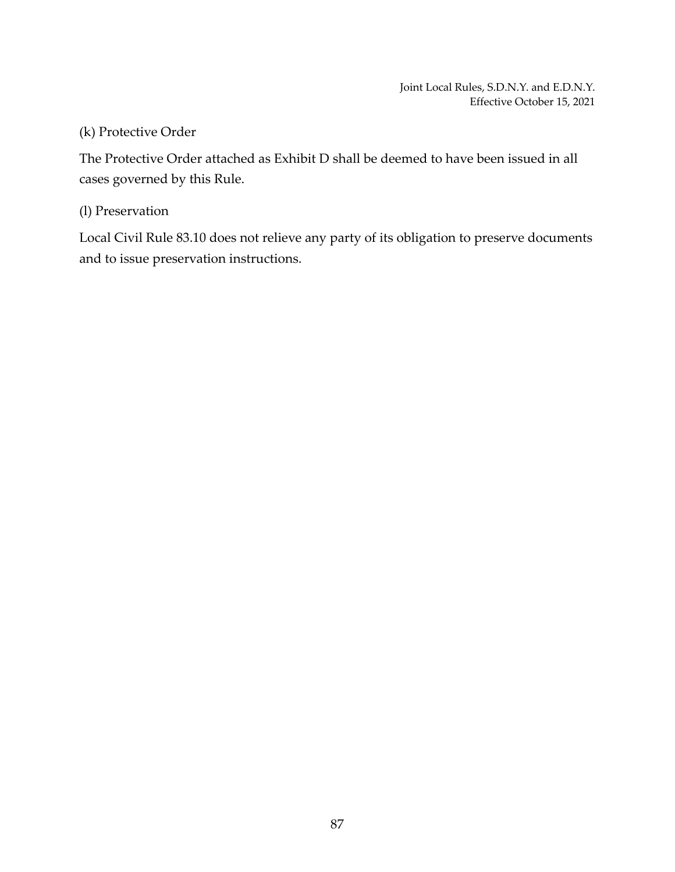#### Joint Local Rules, S.D.N.Y. and E.D.N.Y. Effective October 15, 2021

## (k) Protective Order

The Protective Order attached as Exhibit D shall be deemed to have been issued in all cases governed by this Rule.

## (l) Preservation

Local Civil Rule 83.10 does not relieve any party of its obligation to preserve documents and to issue preservation instructions.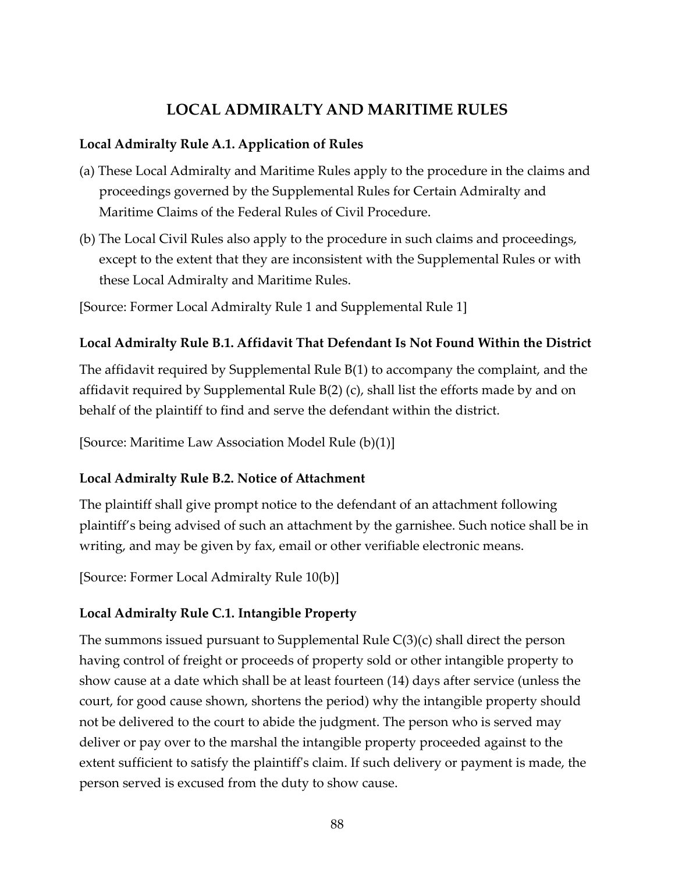# **LOCAL ADMIRALTY AND MARITIME RULES**

# **Local Admiralty Rule A.1. Application of Rules**

- (a) These Local Admiralty and Maritime Rules apply to the procedure in the claims and proceedings governed by the Supplemental Rules for Certain Admiralty and Maritime Claims of the Federal Rules of Civil Procedure.
- (b) The Local Civil Rules also apply to the procedure in such claims and proceedings, except to the extent that they are inconsistent with the Supplemental Rules or with these Local Admiralty and Maritime Rules.

[Source: Former Local Admiralty Rule 1 and Supplemental Rule 1]

# **Local Admiralty Rule B.1. Affidavit That Defendant Is Not Found Within the District**

The affidavit required by Supplemental Rule B(1) to accompany the complaint, and the affidavit required by Supplemental Rule B(2) (c), shall list the efforts made by and on behalf of the plaintiff to find and serve the defendant within the district.

[Source: Maritime Law Association Model Rule (b)(1)]

# **Local Admiralty Rule B.2. Notice of Attachment**

The plaintiff shall give prompt notice to the defendant of an attachment following plaintiff's being advised of such an attachment by the garnishee. Such notice shall be in writing, and may be given by fax, email or other verifiable electronic means.

[Source: Former Local Admiralty Rule 10(b)]

# **Local Admiralty Rule C.1. Intangible Property**

The summons issued pursuant to Supplemental Rule C(3)(c) shall direct the person having control of freight or proceeds of property sold or other intangible property to show cause at a date which shall be at least fourteen (14) days after service (unless the court, for good cause shown, shortens the period) why the intangible property should not be delivered to the court to abide the judgment. The person who is served may deliver or pay over to the marshal the intangible property proceeded against to the extent sufficient to satisfy the plaintiff's claim. If such delivery or payment is made, the person served is excused from the duty to show cause.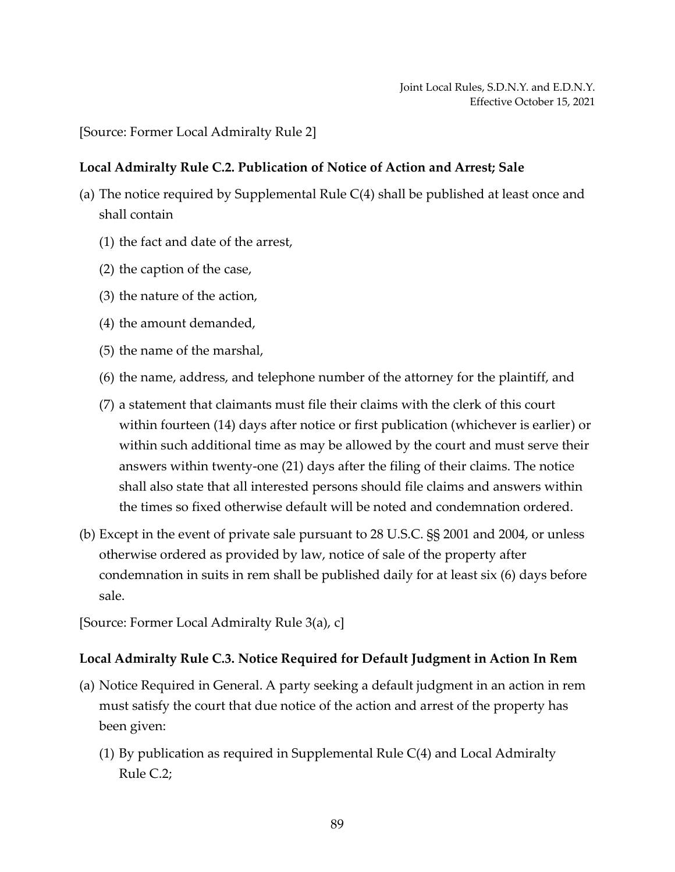[Source: Former Local Admiralty Rule 2]

## **Local Admiralty Rule C.2. Publication of Notice of Action and Arrest; Sale**

- (a) The notice required by Supplemental Rule C(4) shall be published at least once and shall contain
	- (1) the fact and date of the arrest,
	- (2) the caption of the case,
	- (3) the nature of the action,
	- (4) the amount demanded,
	- (5) the name of the marshal,
	- (6) the name, address, and telephone number of the attorney for the plaintiff, and
	- (7) a statement that claimants must file their claims with the clerk of this court within fourteen (14) days after notice or first publication (whichever is earlier) or within such additional time as may be allowed by the court and must serve their answers within twenty-one (21) days after the filing of their claims. The notice shall also state that all interested persons should file claims and answers within the times so fixed otherwise default will be noted and condemnation ordered.
- (b) Except in the event of private sale pursuant to 28 U.S.C. §§ 2001 and 2004, or unless otherwise ordered as provided by law, notice of sale of the property after condemnation in suits in rem shall be published daily for at least six (6) days before sale.

[Source: Former Local Admiralty Rule 3(a), c]

### **Local Admiralty Rule C.3. Notice Required for Default Judgment in Action In Rem**

- (a) Notice Required in General. A party seeking a default judgment in an action in rem must satisfy the court that due notice of the action and arrest of the property has been given:
	- (1) By publication as required in Supplemental Rule C(4) and Local Admiralty Rule C.2;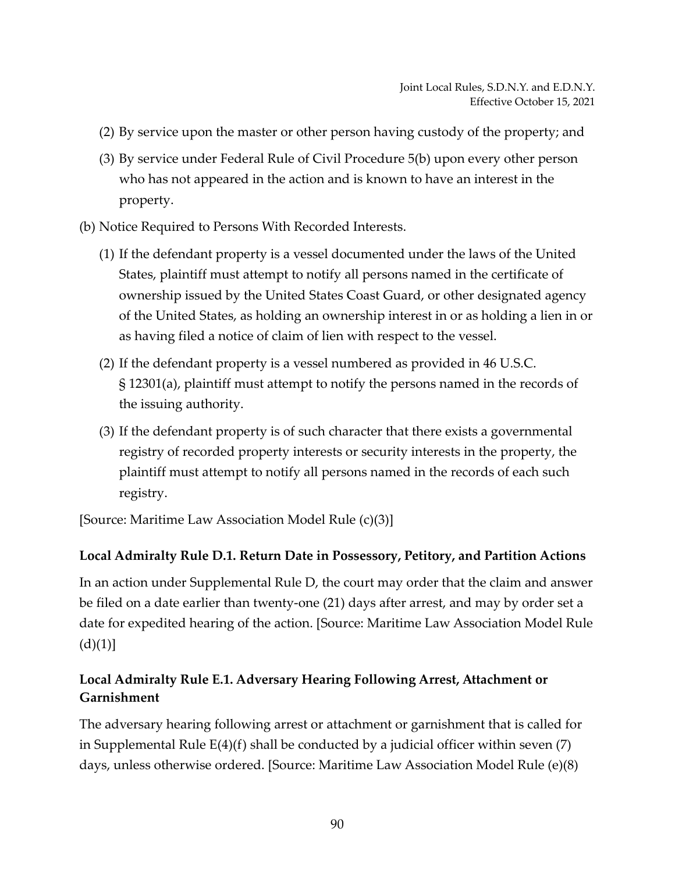- (2) By service upon the master or other person having custody of the property; and
- (3) By service under Federal Rule of Civil Procedure 5(b) upon every other person who has not appeared in the action and is known to have an interest in the property.
- (b) Notice Required to Persons With Recorded Interests.
	- (1) If the defendant property is a vessel documented under the laws of the United States, plaintiff must attempt to notify all persons named in the certificate of ownership issued by the United States Coast Guard, or other designated agency of the United States, as holding an ownership interest in or as holding a lien in or as having filed a notice of claim of lien with respect to the vessel.
	- (2) If the defendant property is a vessel numbered as provided in 46 U.S.C. § 12301(a), plaintiff must attempt to notify the persons named in the records of the issuing authority.
	- (3) If the defendant property is of such character that there exists a governmental registry of recorded property interests or security interests in the property, the plaintiff must attempt to notify all persons named in the records of each such registry.

[Source: Maritime Law Association Model Rule (c)(3)]

## **Local Admiralty Rule D.1. Return Date in Possessory, Petitory, and Partition Actions**

In an action under Supplemental Rule D, the court may order that the claim and answer be filed on a date earlier than twenty-one (21) days after arrest, and may by order set a date for expedited hearing of the action. [Source: Maritime Law Association Model Rule  $(d)(1)]$ 

# **Local Admiralty Rule E.1. Adversary Hearing Following Arrest, Attachment or Garnishment**

The adversary hearing following arrest or attachment or garnishment that is called for in Supplemental Rule E(4)(f) shall be conducted by a judicial officer within seven (7) days, unless otherwise ordered. [Source: Maritime Law Association Model Rule (e)(8)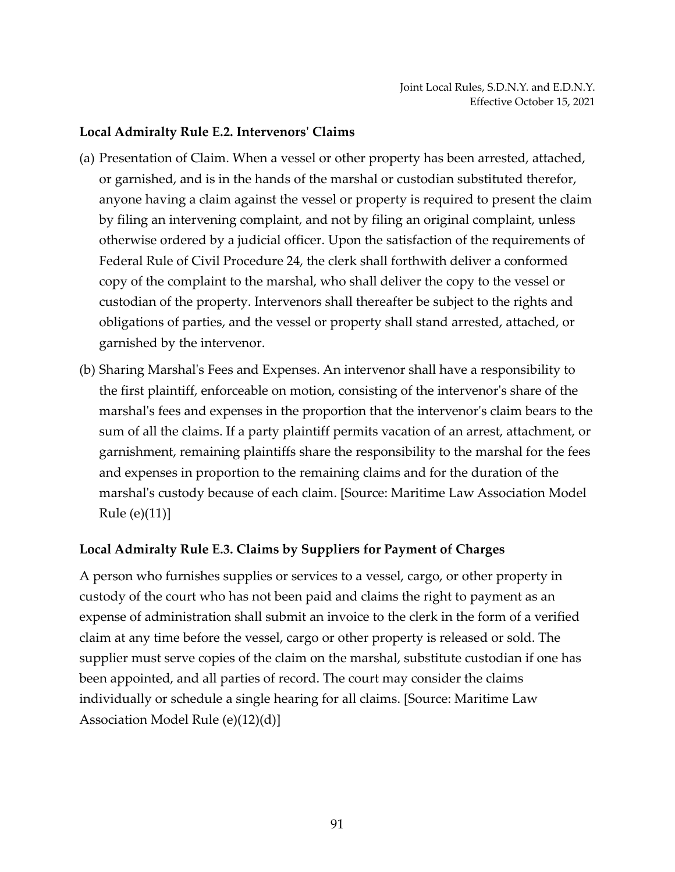## **Local Admiralty Rule E.2. Intervenors' Claims**

- (a) Presentation of Claim. When a vessel or other property has been arrested, attached, or garnished, and is in the hands of the marshal or custodian substituted therefor, anyone having a claim against the vessel or property is required to present the claim by filing an intervening complaint, and not by filing an original complaint, unless otherwise ordered by a judicial officer. Upon the satisfaction of the requirements of Federal Rule of Civil Procedure 24, the clerk shall forthwith deliver a conformed copy of the complaint to the marshal, who shall deliver the copy to the vessel or custodian of the property. Intervenors shall thereafter be subject to the rights and obligations of parties, and the vessel or property shall stand arrested, attached, or garnished by the intervenor.
- (b) Sharing Marshal's Fees and Expenses. An intervenor shall have a responsibility to the first plaintiff, enforceable on motion, consisting of the intervenor's share of the marshal's fees and expenses in the proportion that the intervenor's claim bears to the sum of all the claims. If a party plaintiff permits vacation of an arrest, attachment, or garnishment, remaining plaintiffs share the responsibility to the marshal for the fees and expenses in proportion to the remaining claims and for the duration of the marshal's custody because of each claim. [Source: Maritime Law Association Model Rule (e)(11)]

### **Local Admiralty Rule E.3. Claims by Suppliers for Payment of Charges**

A person who furnishes supplies or services to a vessel, cargo, or other property in custody of the court who has not been paid and claims the right to payment as an expense of administration shall submit an invoice to the clerk in the form of a verified claim at any time before the vessel, cargo or other property is released or sold. The supplier must serve copies of the claim on the marshal, substitute custodian if one has been appointed, and all parties of record. The court may consider the claims individually or schedule a single hearing for all claims. [Source: Maritime Law Association Model Rule (e)(12)(d)]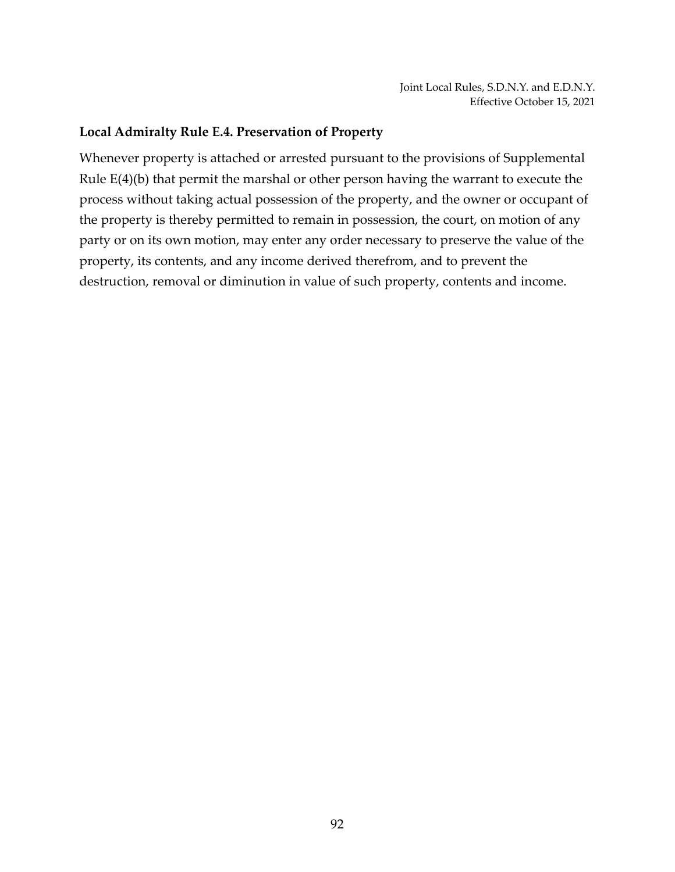### **Local Admiralty Rule E.4. Preservation of Property**

Whenever property is attached or arrested pursuant to the provisions of Supplemental Rule E(4)(b) that permit the marshal or other person having the warrant to execute the process without taking actual possession of the property, and the owner or occupant of the property is thereby permitted to remain in possession, the court, on motion of any party or on its own motion, may enter any order necessary to preserve the value of the property, its contents, and any income derived therefrom, and to prevent the destruction, removal or diminution in value of such property, contents and income.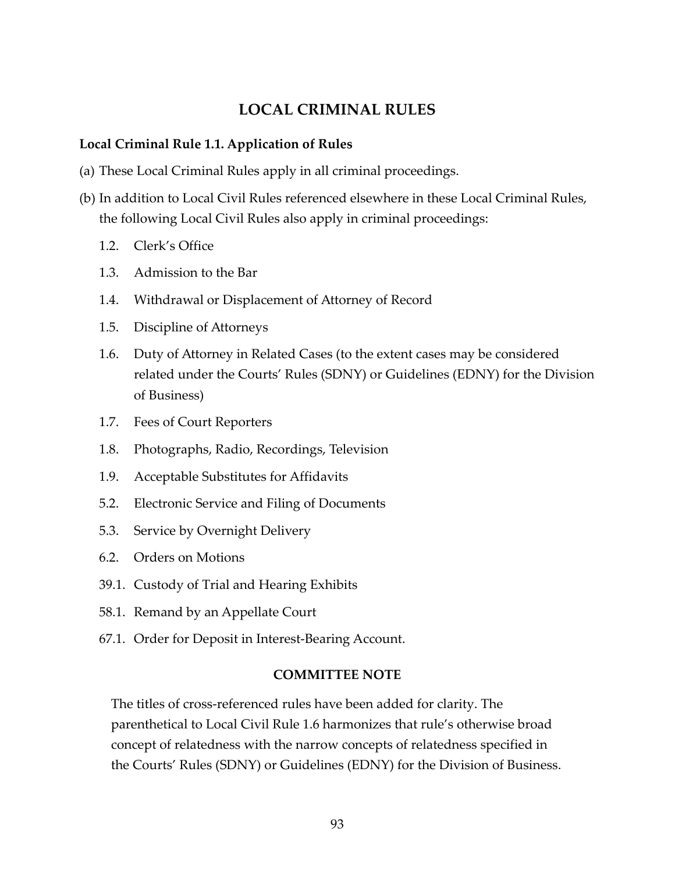# **LOCAL CRIMINAL RULES**

### **Local Criminal Rule 1.1. Application of Rules**

- (a) These Local Criminal Rules apply in all criminal proceedings.
- (b) In addition to Local Civil Rules referenced elsewhere in these Local Criminal Rules, the following Local Civil Rules also apply in criminal proceedings:
	- 1.2. Clerk's Office
	- 1.3. Admission to the Bar
	- 1.4. Withdrawal or Displacement of Attorney of Record
	- 1.5. Discipline of Attorneys
	- 1.6. Duty of Attorney in Related Cases (to the extent cases may be considered related under the Courts' Rules (SDNY) or Guidelines (EDNY) for the Division of Business)
	- 1.7. Fees of Court Reporters
	- 1.8. Photographs, Radio, Recordings, Television
	- 1.9. Acceptable Substitutes for Affidavits
	- 5.2. Electronic Service and Filing of Documents
	- 5.3. Service by Overnight Delivery
	- 6.2. Orders on Motions
	- 39.1. Custody of Trial and Hearing Exhibits
	- 58.1. Remand by an Appellate Court
	- 67.1. Order for Deposit in Interest-Bearing Account.

#### **COMMITTEE NOTE**

The titles of cross-referenced rules have been added for clarity. The parenthetical to Local Civil Rule 1.6 harmonizes that rule's otherwise broad concept of relatedness with the narrow concepts of relatedness specified in the Courts' Rules (SDNY) or Guidelines (EDNY) for the Division of Business.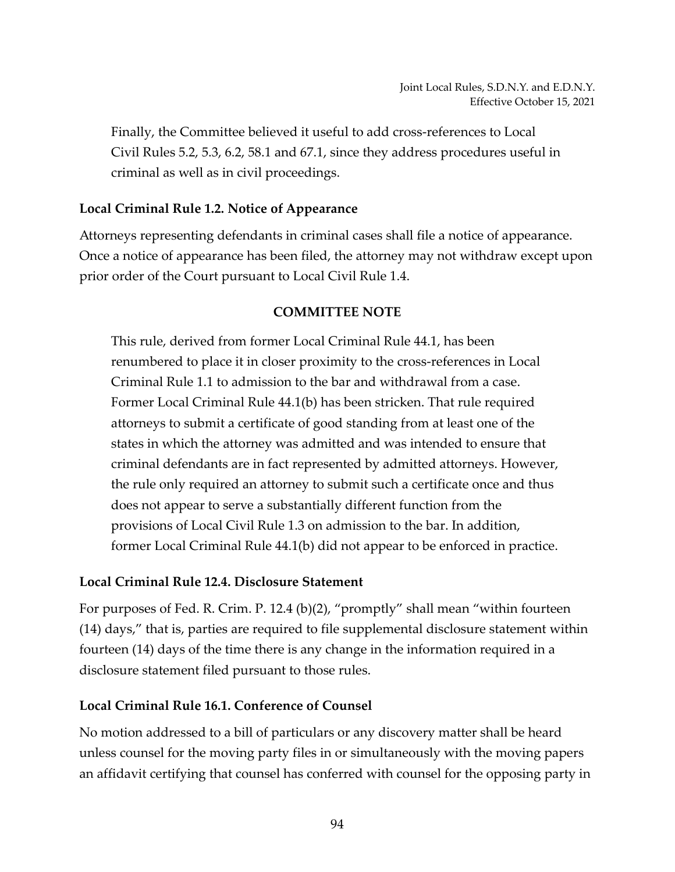Finally, the Committee believed it useful to add cross-references to Local Civil Rules 5.2, 5.3, 6.2, 58.1 and 67.1, since they address procedures useful in criminal as well as in civil proceedings.

## **Local Criminal Rule 1.2. Notice of Appearance**

Attorneys representing defendants in criminal cases shall file a notice of appearance. Once a notice of appearance has been filed, the attorney may not withdraw except upon prior order of the Court pursuant to Local Civil Rule 1.4.

## **COMMITTEE NOTE**

This rule, derived from former Local Criminal Rule 44.1, has been renumbered to place it in closer proximity to the cross-references in Local Criminal Rule 1.1 to admission to the bar and withdrawal from a case. Former Local Criminal Rule 44.1(b) has been stricken. That rule required attorneys to submit a certificate of good standing from at least one of the states in which the attorney was admitted and was intended to ensure that criminal defendants are in fact represented by admitted attorneys. However, the rule only required an attorney to submit such a certificate once and thus does not appear to serve a substantially different function from the provisions of Local Civil Rule 1.3 on admission to the bar. In addition, former Local Criminal Rule 44.1(b) did not appear to be enforced in practice.

## **Local Criminal Rule 12.4. Disclosure Statement**

For purposes of Fed. R. Crim. P. 12.4 (b)(2), "promptly" shall mean "within fourteen (14) days," that is, parties are required to file supplemental disclosure statement within fourteen (14) days of the time there is any change in the information required in a disclosure statement filed pursuant to those rules.

# **Local Criminal Rule 16.1. Conference of Counsel**

No motion addressed to a bill of particulars or any discovery matter shall be heard unless counsel for the moving party files in or simultaneously with the moving papers an affidavit certifying that counsel has conferred with counsel for the opposing party in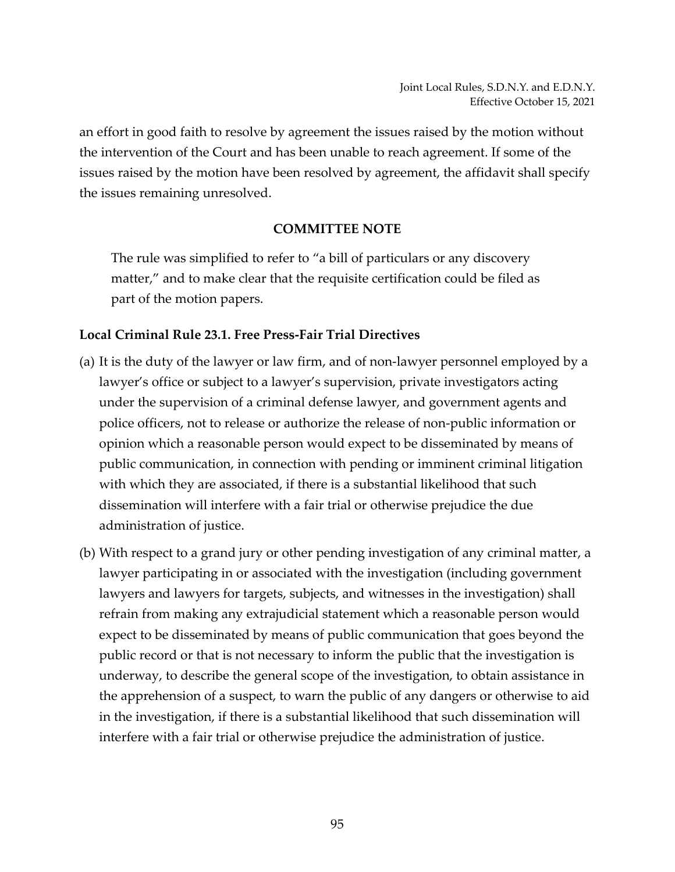an effort in good faith to resolve by agreement the issues raised by the motion without the intervention of the Court and has been unable to reach agreement. If some of the issues raised by the motion have been resolved by agreement, the affidavit shall specify the issues remaining unresolved.

## **COMMITTEE NOTE**

The rule was simplified to refer to "a bill of particulars or any discovery matter," and to make clear that the requisite certification could be filed as part of the motion papers.

### **Local Criminal Rule 23.1. Free Press-Fair Trial Directives**

- (a) It is the duty of the lawyer or law firm, and of non-lawyer personnel employed by a lawyer's office or subject to a lawyer's supervision, private investigators acting under the supervision of a criminal defense lawyer, and government agents and police officers, not to release or authorize the release of non-public information or opinion which a reasonable person would expect to be disseminated by means of public communication, in connection with pending or imminent criminal litigation with which they are associated, if there is a substantial likelihood that such dissemination will interfere with a fair trial or otherwise prejudice the due administration of justice.
- (b) With respect to a grand jury or other pending investigation of any criminal matter, a lawyer participating in or associated with the investigation (including government lawyers and lawyers for targets, subjects, and witnesses in the investigation) shall refrain from making any extrajudicial statement which a reasonable person would expect to be disseminated by means of public communication that goes beyond the public record or that is not necessary to inform the public that the investigation is underway, to describe the general scope of the investigation, to obtain assistance in the apprehension of a suspect, to warn the public of any dangers or otherwise to aid in the investigation, if there is a substantial likelihood that such dissemination will interfere with a fair trial or otherwise prejudice the administration of justice.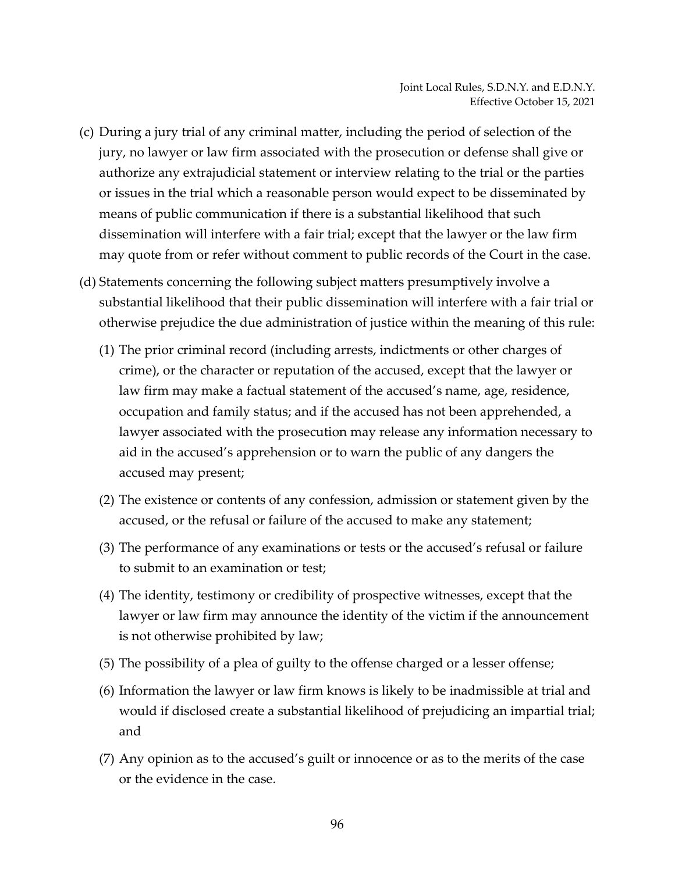- (c) During a jury trial of any criminal matter, including the period of selection of the jury, no lawyer or law firm associated with the prosecution or defense shall give or authorize any extrajudicial statement or interview relating to the trial or the parties or issues in the trial which a reasonable person would expect to be disseminated by means of public communication if there is a substantial likelihood that such dissemination will interfere with a fair trial; except that the lawyer or the law firm may quote from or refer without comment to public records of the Court in the case.
- (d) Statements concerning the following subject matters presumptively involve a substantial likelihood that their public dissemination will interfere with a fair trial or otherwise prejudice the due administration of justice within the meaning of this rule:
	- (1) The prior criminal record (including arrests, indictments or other charges of crime), or the character or reputation of the accused, except that the lawyer or law firm may make a factual statement of the accused's name, age, residence, occupation and family status; and if the accused has not been apprehended, a lawyer associated with the prosecution may release any information necessary to aid in the accused's apprehension or to warn the public of any dangers the accused may present;
	- (2) The existence or contents of any confession, admission or statement given by the accused, or the refusal or failure of the accused to make any statement;
	- (3) The performance of any examinations or tests or the accused's refusal or failure to submit to an examination or test;
	- (4) The identity, testimony or credibility of prospective witnesses, except that the lawyer or law firm may announce the identity of the victim if the announcement is not otherwise prohibited by law;
	- (5) The possibility of a plea of guilty to the offense charged or a lesser offense;
	- (6) Information the lawyer or law firm knows is likely to be inadmissible at trial and would if disclosed create a substantial likelihood of prejudicing an impartial trial; and
	- (7) Any opinion as to the accused's guilt or innocence or as to the merits of the case or the evidence in the case.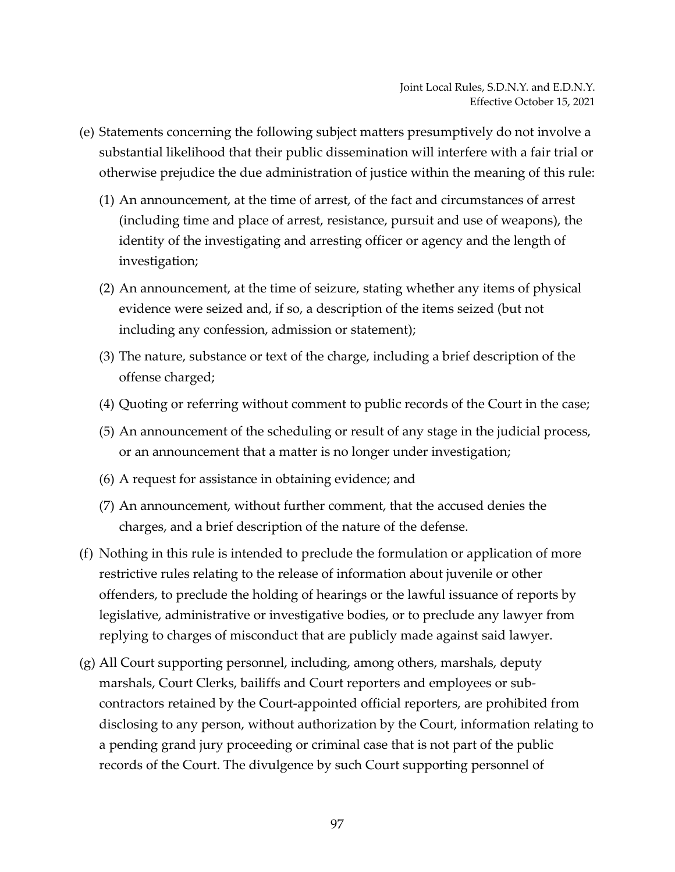- (e) Statements concerning the following subject matters presumptively do not involve a substantial likelihood that their public dissemination will interfere with a fair trial or otherwise prejudice the due administration of justice within the meaning of this rule:
	- (1) An announcement, at the time of arrest, of the fact and circumstances of arrest (including time and place of arrest, resistance, pursuit and use of weapons), the identity of the investigating and arresting officer or agency and the length of investigation;
	- (2) An announcement, at the time of seizure, stating whether any items of physical evidence were seized and, if so, a description of the items seized (but not including any confession, admission or statement);
	- (3) The nature, substance or text of the charge, including a brief description of the offense charged;
	- (4) Quoting or referring without comment to public records of the Court in the case;
	- (5) An announcement of the scheduling or result of any stage in the judicial process, or an announcement that a matter is no longer under investigation;
	- (6) A request for assistance in obtaining evidence; and
	- (7) An announcement, without further comment, that the accused denies the charges, and a brief description of the nature of the defense.
- (f) Nothing in this rule is intended to preclude the formulation or application of more restrictive rules relating to the release of information about juvenile or other offenders, to preclude the holding of hearings or the lawful issuance of reports by legislative, administrative or investigative bodies, or to preclude any lawyer from replying to charges of misconduct that are publicly made against said lawyer.
- (g) All Court supporting personnel, including, among others, marshals, deputy marshals, Court Clerks, bailiffs and Court reporters and employees or subcontractors retained by the Court-appointed official reporters, are prohibited from disclosing to any person, without authorization by the Court, information relating to a pending grand jury proceeding or criminal case that is not part of the public records of the Court. The divulgence by such Court supporting personnel of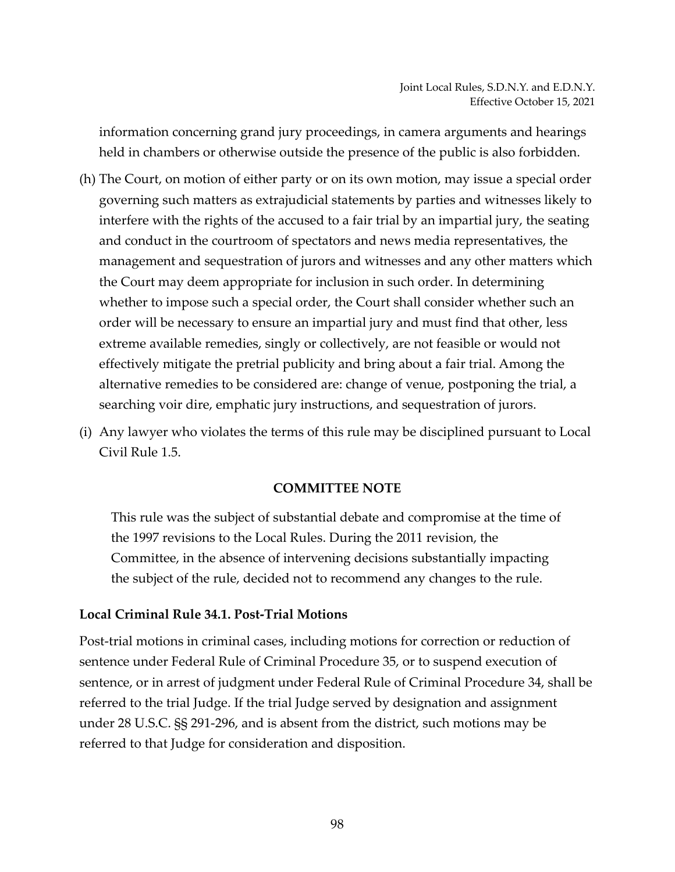information concerning grand jury proceedings, in camera arguments and hearings held in chambers or otherwise outside the presence of the public is also forbidden.

- (h) The Court, on motion of either party or on its own motion, may issue a special order governing such matters as extrajudicial statements by parties and witnesses likely to interfere with the rights of the accused to a fair trial by an impartial jury, the seating and conduct in the courtroom of spectators and news media representatives, the management and sequestration of jurors and witnesses and any other matters which the Court may deem appropriate for inclusion in such order. In determining whether to impose such a special order, the Court shall consider whether such an order will be necessary to ensure an impartial jury and must find that other, less extreme available remedies, singly or collectively, are not feasible or would not effectively mitigate the pretrial publicity and bring about a fair trial. Among the alternative remedies to be considered are: change of venue, postponing the trial, a searching voir dire, emphatic jury instructions, and sequestration of jurors.
- (i) Any lawyer who violates the terms of this rule may be disciplined pursuant to Local Civil Rule 1.5.

#### **COMMITTEE NOTE**

This rule was the subject of substantial debate and compromise at the time of the 1997 revisions to the Local Rules. During the 2011 revision, the Committee, in the absence of intervening decisions substantially impacting the subject of the rule, decided not to recommend any changes to the rule.

#### **Local Criminal Rule 34.1. Post-Trial Motions**

Post-trial motions in criminal cases, including motions for correction or reduction of sentence under Federal Rule of Criminal Procedure 35, or to suspend execution of sentence, or in arrest of judgment under Federal Rule of Criminal Procedure 34, shall be referred to the trial Judge. If the trial Judge served by designation and assignment under 28 U.S.C. §§ 291-296, and is absent from the district, such motions may be referred to that Judge for consideration and disposition.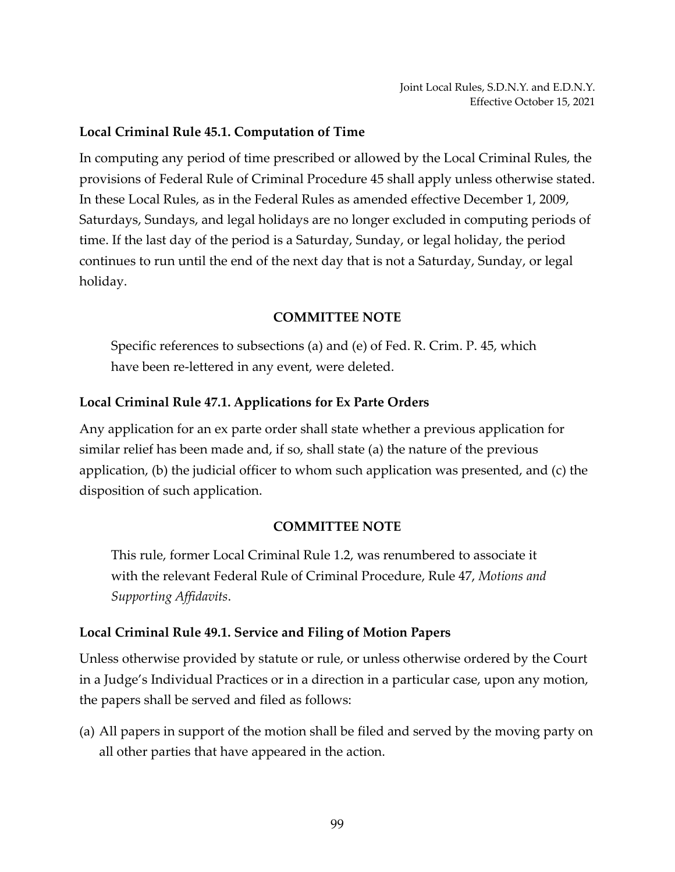## **Local Criminal Rule 45.1. Computation of Time**

In computing any period of time prescribed or allowed by the Local Criminal Rules, the provisions of Federal Rule of Criminal Procedure 45 shall apply unless otherwise stated. In these Local Rules, as in the Federal Rules as amended effective December 1, 2009, Saturdays, Sundays, and legal holidays are no longer excluded in computing periods of time. If the last day of the period is a Saturday, Sunday, or legal holiday, the period continues to run until the end of the next day that is not a Saturday, Sunday, or legal holiday.

## **COMMITTEE NOTE**

Specific references to subsections (a) and (e) of Fed. R. Crim. P. 45, which have been re-lettered in any event, were deleted.

## **Local Criminal Rule 47.1. Applications for Ex Parte Orders**

Any application for an ex parte order shall state whether a previous application for similar relief has been made and, if so, shall state (a) the nature of the previous application, (b) the judicial officer to whom such application was presented, and (c) the disposition of such application.

## **COMMITTEE NOTE**

This rule, former Local Criminal Rule 1.2, was renumbered to associate it with the relevant Federal Rule of Criminal Procedure, Rule 47, *Motions and Supporting Affidavits*.

### **Local Criminal Rule 49.1. Service and Filing of Motion Papers**

Unless otherwise provided by statute or rule, or unless otherwise ordered by the Court in a Judge's Individual Practices or in a direction in a particular case, upon any motion, the papers shall be served and filed as follows:

(a) All papers in support of the motion shall be filed and served by the moving party on all other parties that have appeared in the action.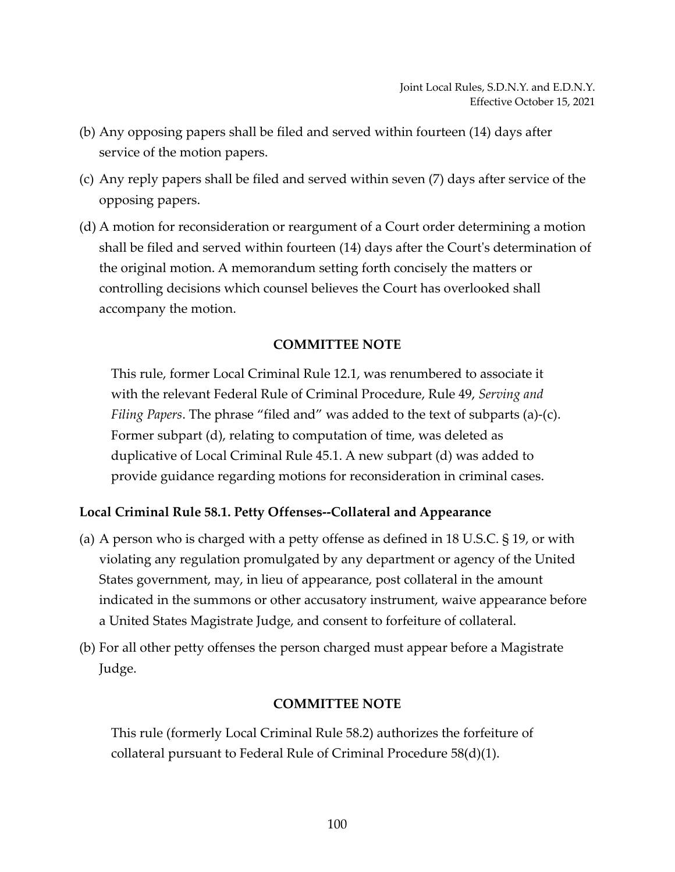- (b) Any opposing papers shall be filed and served within fourteen (14) days after service of the motion papers.
- (c) Any reply papers shall be filed and served within seven (7) days after service of the opposing papers.
- (d) A motion for reconsideration or reargument of a Court order determining a motion shall be filed and served within fourteen (14) days after the Court's determination of the original motion. A memorandum setting forth concisely the matters or controlling decisions which counsel believes the Court has overlooked shall accompany the motion.

## **COMMITTEE NOTE**

This rule, former Local Criminal Rule 12.1, was renumbered to associate it with the relevant Federal Rule of Criminal Procedure, Rule 49, *Serving and Filing Papers*. The phrase "filed and" was added to the text of subparts (a)-(c). Former subpart (d), relating to computation of time, was deleted as duplicative of Local Criminal Rule 45.1. A new subpart (d) was added to provide guidance regarding motions for reconsideration in criminal cases.

### **Local Criminal Rule 58.1. Petty Offenses--Collateral and Appearance**

- (a) A person who is charged with a petty offense as defined in 18 U.S.C. § 19, or with violating any regulation promulgated by any department or agency of the United States government, may, in lieu of appearance, post collateral in the amount indicated in the summons or other accusatory instrument, waive appearance before a United States Magistrate Judge, and consent to forfeiture of collateral.
- (b) For all other petty offenses the person charged must appear before a Magistrate Judge.

#### **COMMITTEE NOTE**

This rule (formerly Local Criminal Rule 58.2) authorizes the forfeiture of collateral pursuant to Federal Rule of Criminal Procedure 58(d)(1).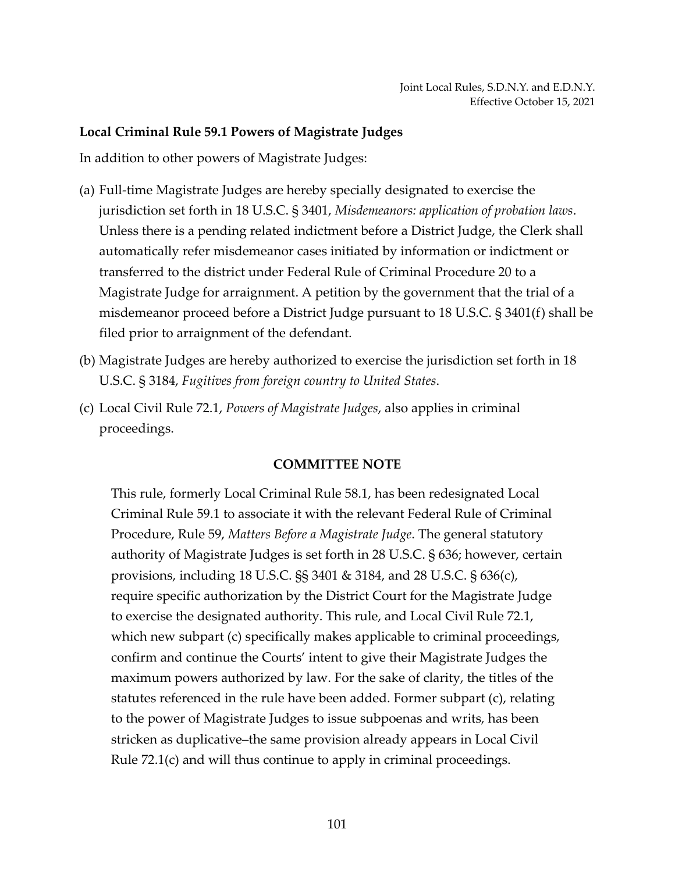### **Local Criminal Rule 59.1 Powers of Magistrate Judges**

In addition to other powers of Magistrate Judges:

- (a) Full-time Magistrate Judges are hereby specially designated to exercise the jurisdiction set forth in 18 U.S.C. § 3401, *Misdemeanors: application of probation laws*. Unless there is a pending related indictment before a District Judge, the Clerk shall automatically refer misdemeanor cases initiated by information or indictment or transferred to the district under Federal Rule of Criminal Procedure 20 to a Magistrate Judge for arraignment. A petition by the government that the trial of a misdemeanor proceed before a District Judge pursuant to 18 U.S.C. § 3401(f) shall be filed prior to arraignment of the defendant.
- (b) Magistrate Judges are hereby authorized to exercise the jurisdiction set forth in 18 U.S.C. § 3184, *Fugitives from foreign country to United States*.
- (c) Local Civil Rule 72.1, *Powers of Magistrate Judges*, also applies in criminal proceedings.

#### **COMMITTEE NOTE**

This rule, formerly Local Criminal Rule 58.1, has been redesignated Local Criminal Rule 59.1 to associate it with the relevant Federal Rule of Criminal Procedure, Rule 59, *Matters Before a Magistrate Judge*. The general statutory authority of Magistrate Judges is set forth in 28 U.S.C. § 636; however, certain provisions, including 18 U.S.C. §§ 3401 & 3184, and 28 U.S.C. § 636(c), require specific authorization by the District Court for the Magistrate Judge to exercise the designated authority. This rule, and Local Civil Rule 72.1, which new subpart (c) specifically makes applicable to criminal proceedings, confirm and continue the Courts' intent to give their Magistrate Judges the maximum powers authorized by law. For the sake of clarity, the titles of the statutes referenced in the rule have been added. Former subpart (c), relating to the power of Magistrate Judges to issue subpoenas and writs, has been stricken as duplicative–the same provision already appears in Local Civil Rule 72.1(c) and will thus continue to apply in criminal proceedings.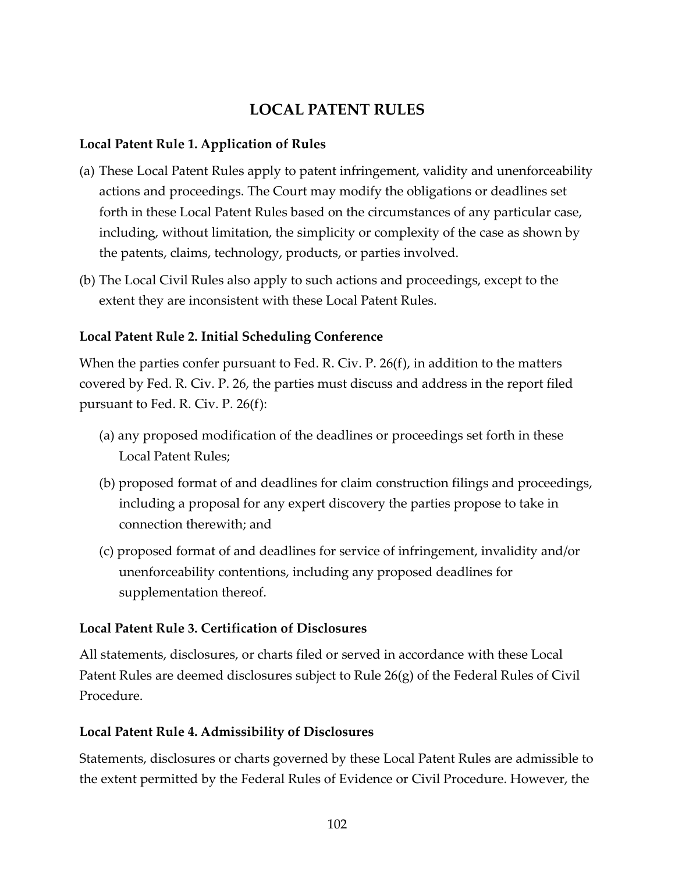# **LOCAL PATENT RULES**

## **Local Patent Rule 1. Application of Rules**

- (a) These Local Patent Rules apply to patent infringement, validity and unenforceability actions and proceedings. The Court may modify the obligations or deadlines set forth in these Local Patent Rules based on the circumstances of any particular case, including, without limitation, the simplicity or complexity of the case as shown by the patents, claims, technology, products, or parties involved.
- (b) The Local Civil Rules also apply to such actions and proceedings, except to the extent they are inconsistent with these Local Patent Rules.

### **Local Patent Rule 2. Initial Scheduling Conference**

When the parties confer pursuant to Fed. R. Civ. P. 26(f), in addition to the matters covered by Fed. R. Civ. P. 26, the parties must discuss and address in the report filed pursuant to Fed. R. Civ. P. 26(f):

- (a) any proposed modification of the deadlines or proceedings set forth in these Local Patent Rules;
- (b) proposed format of and deadlines for claim construction filings and proceedings, including a proposal for any expert discovery the parties propose to take in connection therewith; and
- (c) proposed format of and deadlines for service of infringement, invalidity and/or unenforceability contentions, including any proposed deadlines for supplementation thereof.

## **Local Patent Rule 3. Certification of Disclosures**

All statements, disclosures, or charts filed or served in accordance with these Local Patent Rules are deemed disclosures subject to Rule 26(g) of the Federal Rules of Civil Procedure.

## **Local Patent Rule 4. Admissibility of Disclosures**

Statements, disclosures or charts governed by these Local Patent Rules are admissible to the extent permitted by the Federal Rules of Evidence or Civil Procedure. However, the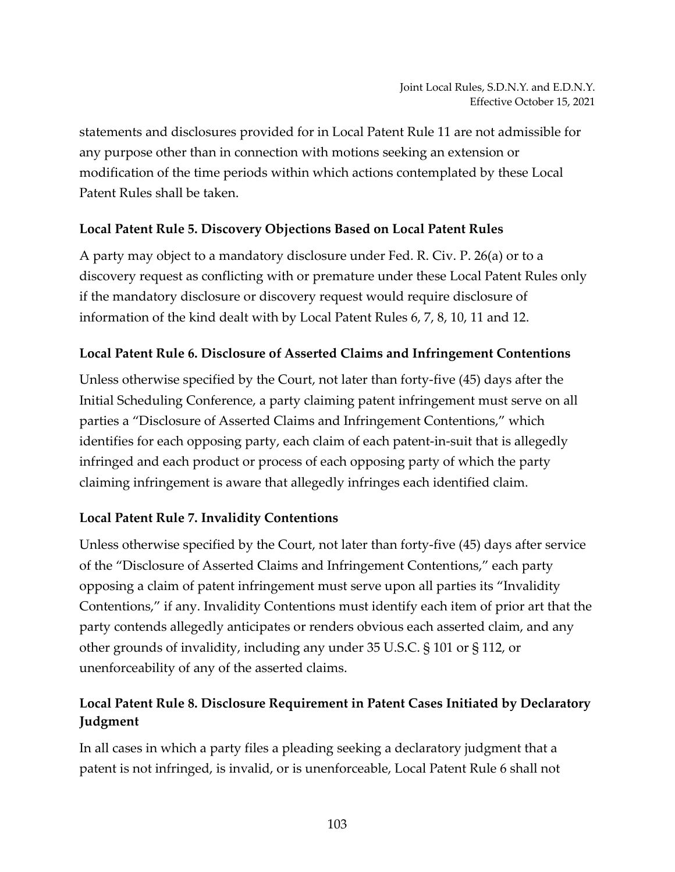statements and disclosures provided for in Local Patent Rule 11 are not admissible for any purpose other than in connection with motions seeking an extension or modification of the time periods within which actions contemplated by these Local Patent Rules shall be taken.

### **Local Patent Rule 5. Discovery Objections Based on Local Patent Rules**

A party may object to a mandatory disclosure under Fed. R. Civ. P. 26(a) or to a discovery request as conflicting with or premature under these Local Patent Rules only if the mandatory disclosure or discovery request would require disclosure of information of the kind dealt with by Local Patent Rules 6, 7, 8, 10, 11 and 12.

#### **Local Patent Rule 6. Disclosure of Asserted Claims and Infringement Contentions**

Unless otherwise specified by the Court, not later than forty-five (45) days after the Initial Scheduling Conference, a party claiming patent infringement must serve on all parties a "Disclosure of Asserted Claims and Infringement Contentions," which identifies for each opposing party, each claim of each patent-in-suit that is allegedly infringed and each product or process of each opposing party of which the party claiming infringement is aware that allegedly infringes each identified claim.

#### **Local Patent Rule 7. Invalidity Contentions**

Unless otherwise specified by the Court, not later than forty-five (45) days after service of the "Disclosure of Asserted Claims and Infringement Contentions," each party opposing a claim of patent infringement must serve upon all parties its "Invalidity Contentions," if any. Invalidity Contentions must identify each item of prior art that the party contends allegedly anticipates or renders obvious each asserted claim, and any other grounds of invalidity, including any under 35 U.S.C. § 101 or § 112, or unenforceability of any of the asserted claims.

# **Local Patent Rule 8. Disclosure Requirement in Patent Cases Initiated by Declaratory Judgment**

In all cases in which a party files a pleading seeking a declaratory judgment that a patent is not infringed, is invalid, or is unenforceable, Local Patent Rule 6 shall not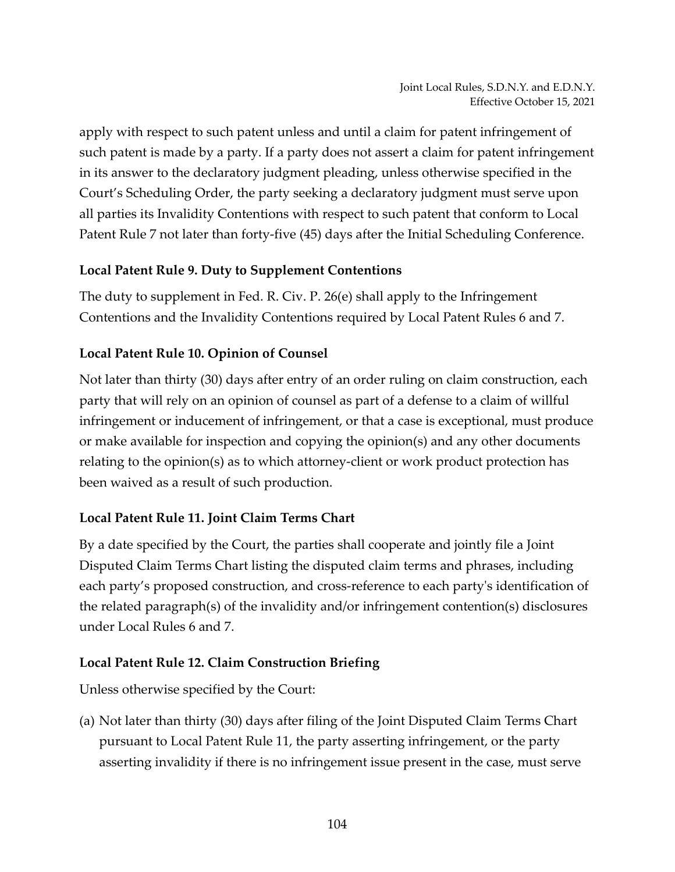apply with respect to such patent unless and until a claim for patent infringement of such patent is made by a party. If a party does not assert a claim for patent infringement in its answer to the declaratory judgment pleading, unless otherwise specified in the Court's Scheduling Order, the party seeking a declaratory judgment must serve upon all parties its Invalidity Contentions with respect to such patent that conform to Local Patent Rule 7 not later than forty-five (45) days after the Initial Scheduling Conference.

# **Local Patent Rule 9. Duty to Supplement Contentions**

The duty to supplement in Fed. R. Civ. P. 26(e) shall apply to the Infringement Contentions and the Invalidity Contentions required by Local Patent Rules 6 and 7.

### **Local Patent Rule 10. Opinion of Counsel**

Not later than thirty (30) days after entry of an order ruling on claim construction, each party that will rely on an opinion of counsel as part of a defense to a claim of willful infringement or inducement of infringement, or that a case is exceptional, must produce or make available for inspection and copying the opinion(s) and any other documents relating to the opinion(s) as to which attorney-client or work product protection has been waived as a result of such production.

# **Local Patent Rule 11. Joint Claim Terms Chart**

By a date specified by the Court, the parties shall cooperate and jointly file a Joint Disputed Claim Terms Chart listing the disputed claim terms and phrases, including each party's proposed construction, and cross-reference to each party's identification of the related paragraph(s) of the invalidity and/or infringement contention(s) disclosures under Local Rules 6 and 7.

# **Local Patent Rule 12. Claim Construction Briefing**

Unless otherwise specified by the Court:

(a) Not later than thirty (30) days after filing of the Joint Disputed Claim Terms Chart pursuant to Local Patent Rule 11, the party asserting infringement, or the party asserting invalidity if there is no infringement issue present in the case, must serve